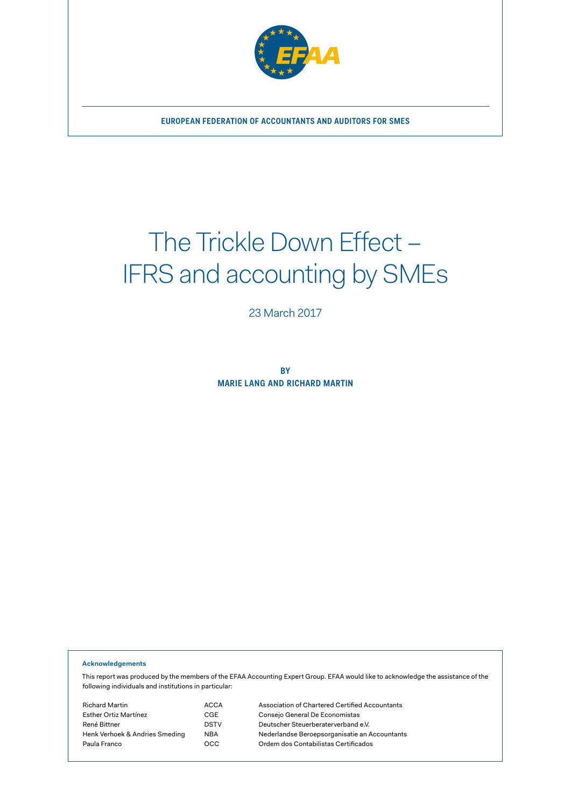

# The Trickle Down Effect – IFRS and accounting by SMEs

23 March 2017

**BY MARIE LANG AND RICHARD MARTIN**

**Acknowledgements**

This report was produced by the members of the EFAA Accounting Expert Group. EFAA would like to acknowledge the assistance of the following individuals and institutions in particular:

| <b>Richard Martin</b>          | ACCA        | Association of Chartered Certified Accountants |
|--------------------------------|-------------|------------------------------------------------|
| Esther Ortiz Martínez          | CGE         | Consejo General De Economistas                 |
| René Bittner                   | <b>DSTV</b> | Deutscher Steuerberaterverband e.V.            |
| Henk Verhoek & Andries Smeding | <b>NBA</b>  | Nederlandse Beroepsorganisatie an Accountants  |
| Paula Franco                   | OCC         | Ordem dos Contabilistas Certificados           |
|                                |             |                                                |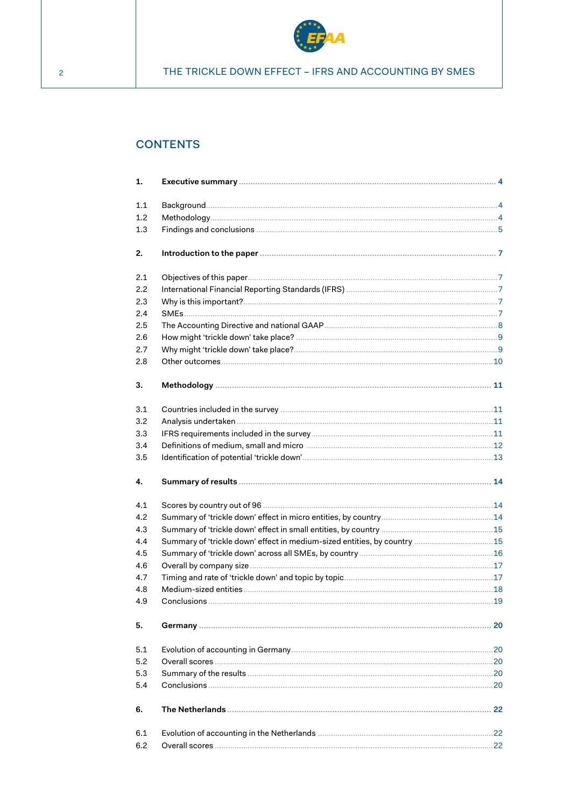

## **CONTENTS**

| 1.  |                                                                          |  |
|-----|--------------------------------------------------------------------------|--|
| 1.1 |                                                                          |  |
| 1.2 |                                                                          |  |
| 1.3 |                                                                          |  |
|     |                                                                          |  |
| 2.  |                                                                          |  |
| 2.1 |                                                                          |  |
| 2.2 |                                                                          |  |
| 2.3 |                                                                          |  |
| 2.4 |                                                                          |  |
| 2.5 |                                                                          |  |
| 2.6 |                                                                          |  |
| 2.7 |                                                                          |  |
| 2.8 |                                                                          |  |
| 3.  |                                                                          |  |
|     |                                                                          |  |
| 3.1 |                                                                          |  |
| 3.2 |                                                                          |  |
| 3.3 |                                                                          |  |
| 3.4 |                                                                          |  |
| 3.5 |                                                                          |  |
| 4.  |                                                                          |  |
|     |                                                                          |  |
| 4.1 |                                                                          |  |
| 4.2 |                                                                          |  |
| 4.3 |                                                                          |  |
| 4.4 | Summary of 'trickle down' effect in medium-sized entities, by country 15 |  |
| 4.5 |                                                                          |  |
| 4.6 |                                                                          |  |
| 4.7 |                                                                          |  |
| 4.8 |                                                                          |  |
| 4.9 |                                                                          |  |
| 5.  |                                                                          |  |
| 5.1 |                                                                          |  |
| 5.2 |                                                                          |  |
| 5.3 |                                                                          |  |
| 5.4 |                                                                          |  |
|     |                                                                          |  |
| 6.  |                                                                          |  |
| 6.1 |                                                                          |  |
| 6.2 |                                                                          |  |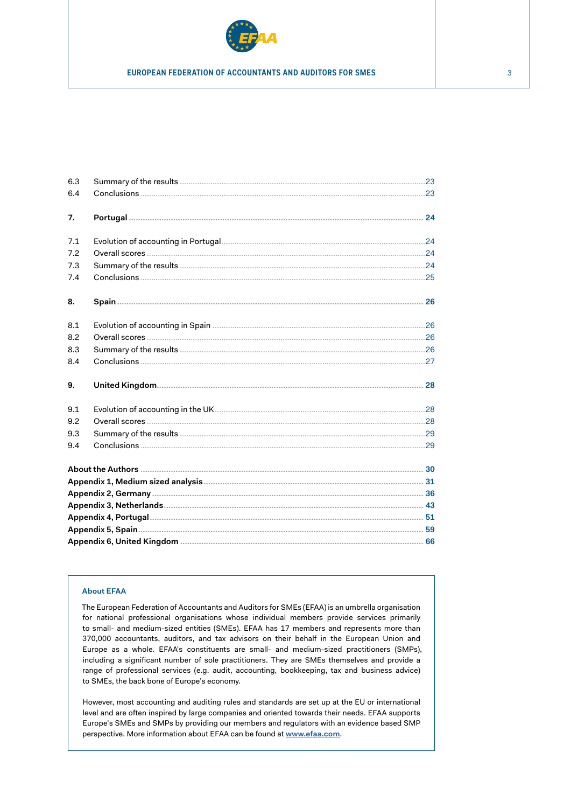

| 6.3 |  |
|-----|--|
| 6.4 |  |
| 7.  |  |
| 7.1 |  |
| 7.2 |  |
| 7.3 |  |
| 7.4 |  |
| 8.  |  |
| 8.1 |  |
| 8.2 |  |
| 8.3 |  |
| 8.4 |  |
| 9.  |  |
| 9.1 |  |
| 9.2 |  |
| 9.3 |  |
| 9.4 |  |
|     |  |
|     |  |
|     |  |
|     |  |
|     |  |
|     |  |
|     |  |

#### **About EFAA**

The European Federation of Accountants and Auditors for SMEs (EFAA) is an umbrella organisation for national professional organisations whose individual members provide services primarily to small- and medium-sized entities (SMEs). EFAA has 17 members and represents more than 370,000 accountants, auditors, and tax advisors on their behalf in the European Union and Europe as a whole. EFAA's constituents are small- and medium-sized practitioners (SMPs), including a significant number of sole practitioners. They are SMEs themselves and provide a range of professional services (e.g. audit, accounting, bookkeeping, tax and business advice) to SMEs, the back bone of Europe's economy.

However, most accounting and auditing rules and standards are set up at the EU or international level and are often inspired by large companies and oriented towards their needs. EFAA supports Europe's SMEs and SMPs by providing our members and regulators with an evidence based SMP perspective. More information about EFAA can be found at **[www.efaa.com](http://www.efaa.com)**.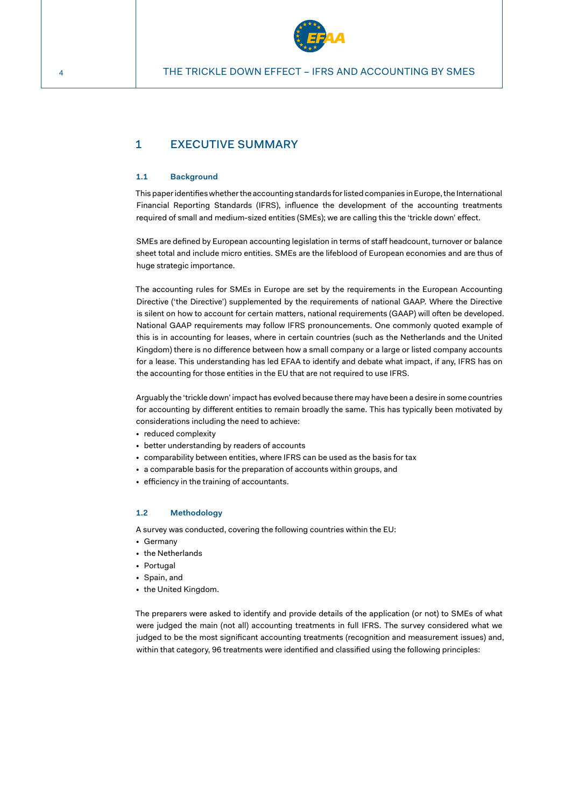

## <span id="page-3-0"></span>1 EXECUTIVE SUMMARY

#### **1.1 Background**

This paper identifies whether the accounting standards for listed companies in Europe, the International Financial Reporting Standards (IFRS), influence the development of the accounting treatments required of small and medium-sized entities (SMEs); we are calling this the 'trickle down' effect.

SMEs are defined by European accounting legislation in terms of staff headcount, turnover or balance sheet total and include micro entities. SMEs are the lifeblood of European economies and are thus of huge strategic importance.

The accounting rules for SMEs in Europe are set by the requirements in the European Accounting Directive ('the Directive') supplemented by the requirements of national GAAP. Where the Directive is silent on how to account for certain matters, national requirements (GAAP) will often be developed. National GAAP requirements may follow IFRS pronouncements. One commonly quoted example of this is in accounting for leases, where in certain countries (such as the Netherlands and the United Kingdom) there is no difference between how a small company or a large or listed company accounts for a lease. This understanding has led EFAA to identify and debate what impact, if any, IFRS has on the accounting for those entities in the EU that are not required to use IFRS.

Arguably the 'trickle down' impact has evolved because there may have been a desire in some countries for accounting by different entities to remain broadly the same. This has typically been motivated by considerations including the need to achieve:

- reduced complexity
- better understanding by readers of accounts
- comparability between entities, where IFRS can be used as the basis for tax
- a comparable basis for the preparation of accounts within groups, and
- efficiency in the training of accountants.

#### **1.2 Methodology**

A survey was conducted, covering the following countries within the EU:

- Germany
- the Netherlands
- Portugal
- Spain, and
- the United Kingdom.

The preparers were asked to identify and provide details of the application (or not) to SMEs of what were judged the main (not all) accounting treatments in full IFRS. The survey considered what we judged to be the most significant accounting treatments (recognition and measurement issues) and, within that category, 96 treatments were identified and classified using the following principles: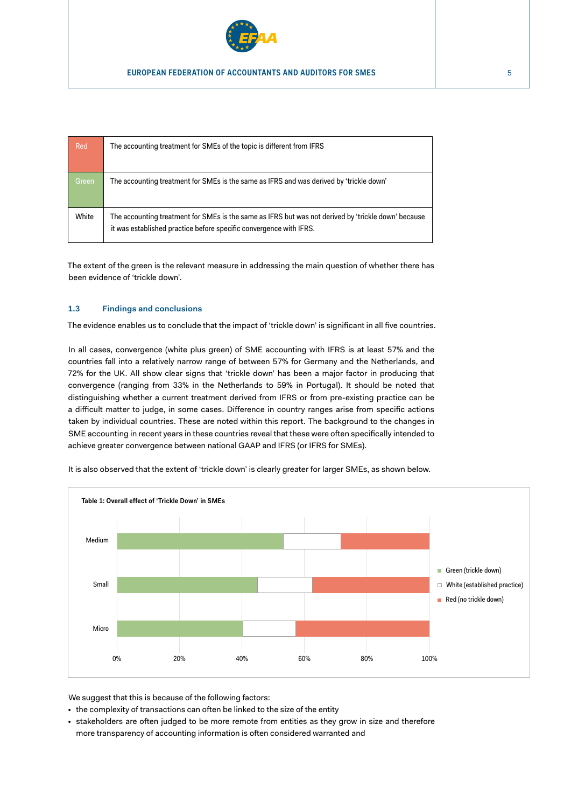

<span id="page-4-0"></span>

| Red    | The accounting treatment for SMEs of the topic is different from IFRS                                                                                                     |
|--------|---------------------------------------------------------------------------------------------------------------------------------------------------------------------------|
| Green. | The accounting treatment for SMEs is the same as IFRS and was derived by 'trickle down'                                                                                   |
|        |                                                                                                                                                                           |
| White  | The accounting treatment for SMEs is the same as IFRS but was not derived by 'trickle down' because<br>it was established practice before specific convergence with IFRS. |

The extent of the green is the relevant measure in addressing the main question of whether there has been evidence of 'trickle down'.

#### **1.3 Findings and conclusions**

The evidence enables us to conclude that the impact of 'trickle down' is significant in all five countries.

In all cases, convergence (white plus green) of SME accounting with IFRS is at least 57% and the countries fall into a relatively narrow range of between 57% for Germany and the Netherlands, and 72% for the UK. All show clear signs that 'trickle down' has been a major factor in producing that convergence (ranging from 33% in the Netherlands to 59% in Portugal). It should be noted that distinguishing whether a current treatment derived from IFRS or from pre-existing practice can be a difficult matter to judge, in some cases. Difference in country ranges arise from specific actions taken by individual countries. These are noted within this report. The background to the changes in SME accounting in recent years in these countries reveal that these were often specifically intended to achieve greater convergence between national GAAP and IFRS (or IFRS for SMEs).



It is also observed that the extent of 'trickle down' is clearly greater for larger SMEs, as shown below.

We suggest that this is because of the following factors:

- the complexity of transactions can often be linked to the size of the entity
- stakeholders are often judged to be more remote from entities as they grow in size and therefore more transparency of accounting information is often considered warranted and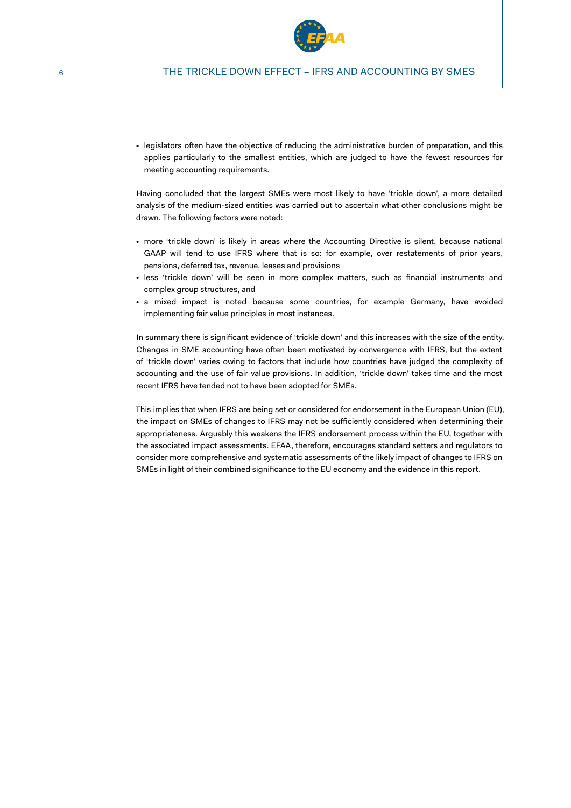

• legislators often have the objective of reducing the administrative burden of preparation, and this applies particularly to the smallest entities, which are judged to have the fewest resources for meeting accounting requirements.

Having concluded that the largest SMEs were most likely to have 'trickle down', a more detailed analysis of the medium-sized entities was carried out to ascertain what other conclusions might be drawn. The following factors were noted:

- more 'trickle down' is likely in areas where the Accounting Directive is silent, because national GAAP will tend to use IFRS where that is so: for example, over restatements of prior years, pensions, deferred tax, revenue, leases and provisions
- less 'trickle down' will be seen in more complex matters, such as financial instruments and complex group structures, and
- a mixed impact is noted because some countries, for example Germany, have avoided implementing fair value principles in most instances.

In summary there is significant evidence of 'trickle down' and this increases with the size of the entity. Changes in SME accounting have often been motivated by convergence with IFRS, but the extent of 'trickle down' varies owing to factors that include how countries have judged the complexity of accounting and the use of fair value provisions. In addition, 'trickle down' takes time and the most recent IFRS have tended not to have been adopted for SMEs.

This implies that when IFRS are being set or considered for endorsement in the European Union (EU), the impact on SMEs of changes to IFRS may not be sufficiently considered when determining their appropriateness. Arguably this weakens the IFRS endorsement process within the EU, together with the associated impact assessments. EFAA, therefore, encourages standard setters and regulators to consider more comprehensive and systematic assessments of the likely impact of changes to IFRS on SMEs in light of their combined significance to the EU economy and the evidence in this report.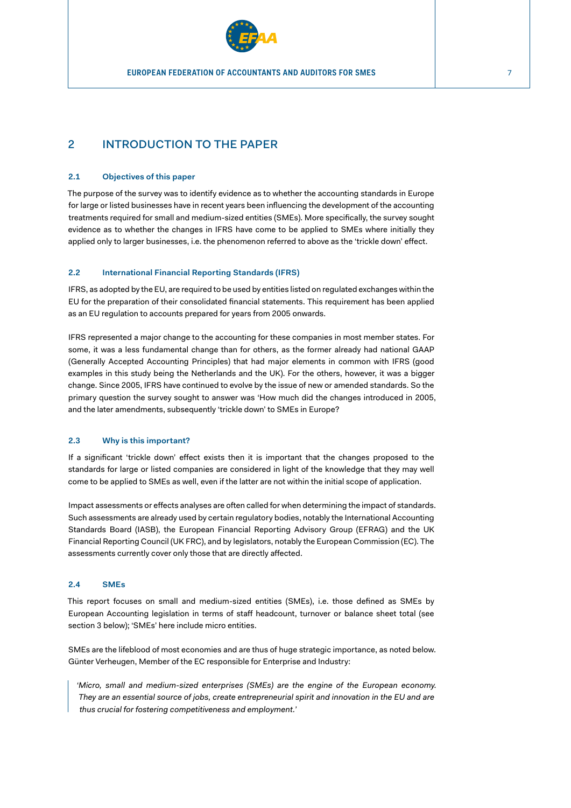

## <span id="page-6-0"></span>2 INTRODUCTION TO THE PAPER

#### **2.1 Objectives of this paper**

The purpose of the survey was to identify evidence as to whether the accounting standards in Europe for large or listed businesses have in recent years been influencing the development of the accounting treatments required for small and medium-sized entities (SMEs). More specifically, the survey sought evidence as to whether the changes in IFRS have come to be applied to SMEs where initially they applied only to larger businesses, i.e. the phenomenon referred to above as the 'trickle down' effect.

#### **2.2 International Financial Reporting Standards (IFRS)**

IFRS, as adopted by the EU, are required to be used by entities listed on regulated exchanges within the EU for the preparation of their consolidated financial statements. This requirement has been applied as an EU regulation to accounts prepared for years from 2005 onwards.

IFRS represented a major change to the accounting for these companies in most member states. For some, it was a less fundamental change than for others, as the former already had national GAAP (Generally Accepted Accounting Principles) that had major elements in common with IFRS (good examples in this study being the Netherlands and the UK). For the others, however, it was a bigger change. Since 2005, IFRS have continued to evolve by the issue of new or amended standards. So the primary question the survey sought to answer was 'How much did the changes introduced in 2005, and the later amendments, subsequently 'trickle down' to SMEs in Europe?

#### **2.3 Why is this important?**

If a significant 'trickle down' effect exists then it is important that the changes proposed to the standards for large or listed companies are considered in light of the knowledge that they may well come to be applied to SMEs as well, even if the latter are not within the initial scope of application.

Impact assessments or effects analyses are often called for when determining the impact of standards. Such assessments are already used by certain regulatory bodies, notably the International Accounting Standards Board (IASB), the European Financial Reporting Advisory Group (EFRAG) and the UK Financial Reporting Council (UK FRC), and by legislators, notably the European Commission (EC). The assessments currently cover only those that are directly affected.

#### **2.4 SMEs**

This report focuses on small and medium-sized entities (SMEs), i.e. those defined as SMEs by European Accounting legislation in terms of staff headcount, turnover or balance sheet total (see section 3 below); 'SMEs' here include micro entities.

SMEs are the lifeblood of most economies and are thus of huge strategic importance, as noted below. Günter Verheugen, Member of the EC responsible for Enterprise and Industry:

*'Micro, small and medium-sized enterprises (SMEs) are the engine of the European economy. They are an essential source of jobs, create entrepreneurial spirit and innovation in the EU and are thus crucial for fostering competitiveness and employment.'*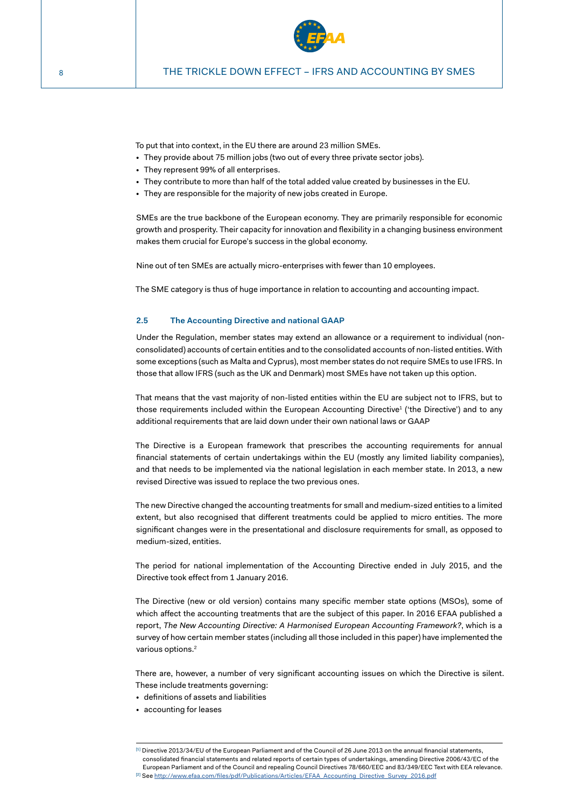

<span id="page-7-0"></span>To put that into context, in the EU there are around 23 million SMEs.

- They provide about 75 million jobs (two out of every three private sector jobs).
- They represent 99% of all enterprises.
- They contribute to more than half of the total added value created by businesses in the EU.
- They are responsible for the majority of new jobs created in Europe.

SMEs are the true backbone of the European economy. They are primarily responsible for economic growth and prosperity. Their capacity for innovation and flexibility in a changing business environment makes them crucial for Europe's success in the global economy.

Nine out of ten SMEs are actually micro-enterprises with fewer than 10 employees.

The SME category is thus of huge importance in relation to accounting and accounting impact.

#### **2.5 The Accounting Directive and national GAAP**

Under the Regulation, member states may extend an allowance or a requirement to individual (nonconsolidated) accounts of certain entities and to the consolidated accounts of non-listed entities. With some exceptions (such as Malta and Cyprus), most member states do not require SMEs to use IFRS. In those that allow IFRS (such as the UK and Denmark) most SMEs have not taken up this option.

That means that the vast majority of non-listed entities within the EU are subject not to IFRS, but to those requirements included within the European Accounting Directive<sup>1</sup> ('the Directive') and to any additional requirements that are laid down under their own national laws or GAAP

The Directive is a European framework that prescribes the accounting requirements for annual financial statements of certain undertakings within the EU (mostly any limited liability companies), and that needs to be implemented via the national legislation in each member state. In 2013, a new revised Directive was issued to replace the two previous ones.

The new Directive changed the accounting treatments for small and medium-sized entities to a limited extent, but also recognised that different treatments could be applied to micro entities. The more significant changes were in the presentational and disclosure requirements for small, as opposed to medium-sized, entities.

The period for national implementation of the Accounting Directive ended in July 2015, and the Directive took effect from 1 January 2016.

The Directive (new or old version) contains many specific member state options (MSOs), some of which affect the accounting treatments that are the subject of this paper. In 2016 EFAA published a report, *The New Accounting Directive: A Harmonised European Accounting Framework?*, which is a survey of how certain member states (including all those included in this paper) have implemented the various options.<sup>2</sup>

There are, however, a number of very significant accounting issues on which the Directive is silent. These include treatments governing:

- definitions of assets and liabilities
- accounting for leases

<sup>[1]</sup> Directive 2013/34/EU of the European Parliament and of the Council of 26 June 2013 on the annual financial statements, consolidated financial statements and related reports of certain types of undertakings, amending Directive 2006/43/EC of the European Parliament and of the Council and repealing Council Directives 78/660/EEC and 83/349/EEC Text with EEA relevance. [2] See [http://www.efaa.com/files/pdf/Publications/Articles/EFAA\\_Accounting\\_Directive\\_Survey\\_2016.pdf](http://www.efaa.com/files/pdf/Publications/Articles/EFAA_Accounting_Directive_Survey_2016.pdf)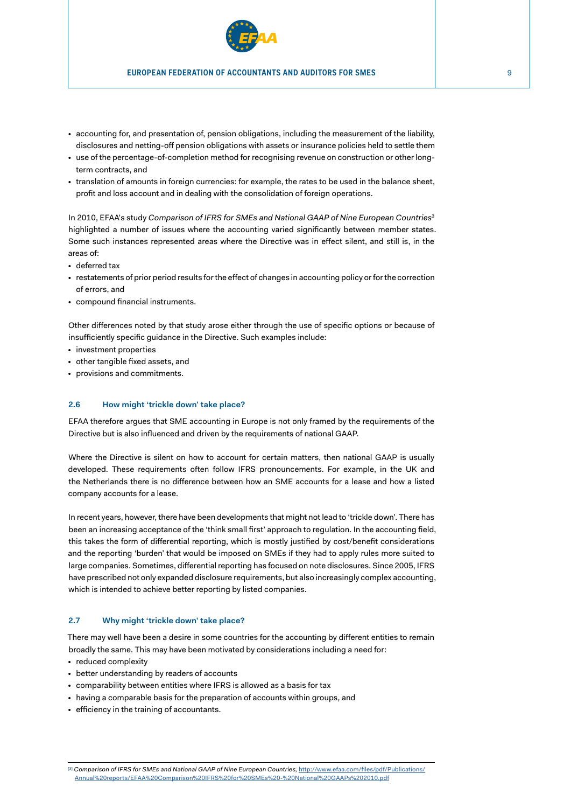

- <span id="page-8-0"></span>• accounting for, and presentation of, pension obligations, including the measurement of the liability, disclosures and netting-off pension obligations with assets or insurance policies held to settle them
- use of the percentage-of-completion method for recognising revenue on construction or other longterm contracts, and
- translation of amounts in foreign currencies: for example, the rates to be used in the balance sheet, profit and loss account and in dealing with the consolidation of foreign operations.

In 2010, EFAA's study *Comparison of IFRS for SMEs and National GAAP of Nine European Countries<sup>3</sup>* highlighted a number of issues where the accounting varied significantly between member states. Some such instances represented areas where the Directive was in effect silent, and still is, in the areas of:

- deferred tax
- restatements of prior period results for the effect of changes in accounting policy or for the correction of errors, and
- compound financial instruments.

Other differences noted by that study arose either through the use of specific options or because of insufficiently specific guidance in the Directive. Such examples include:

- investment properties
- other tangible fixed assets, and
- provisions and commitments.

#### **2.6 How might 'trickle down' take place?**

EFAA therefore argues that SME accounting in Europe is not only framed by the requirements of the Directive but is also influenced and driven by the requirements of national GAAP.

Where the Directive is silent on how to account for certain matters, then national GAAP is usually developed. These requirements often follow IFRS pronouncements. For example, in the UK and the Netherlands there is no difference between how an SME accounts for a lease and how a listed company accounts for a lease.

In recent years, however, there have been developments that might not lead to 'trickle down'. There has been an increasing acceptance of the 'think small first' approach to regulation. In the accounting field, this takes the form of differential reporting, which is mostly justified by cost/benefit considerations and the reporting 'burden' that would be imposed on SMEs if they had to apply rules more suited to large companies. Sometimes, differential reporting has focused on note disclosures. Since 2005, IFRS have prescribed not only expanded disclosure requirements, but also increasingly complex accounting, which is intended to achieve better reporting by listed companies.

#### **2.7 Why might 'trickle down' take place?**

There may well have been a desire in some countries for the accounting by different entities to remain broadly the same. This may have been motivated by considerations including a need for:

- reduced complexity
- better understanding by readers of accounts
- comparability between entities where IFRS is allowed as a basis for tax
- having a comparable basis for the preparation of accounts within groups, and
- efficiency in the training of accountants.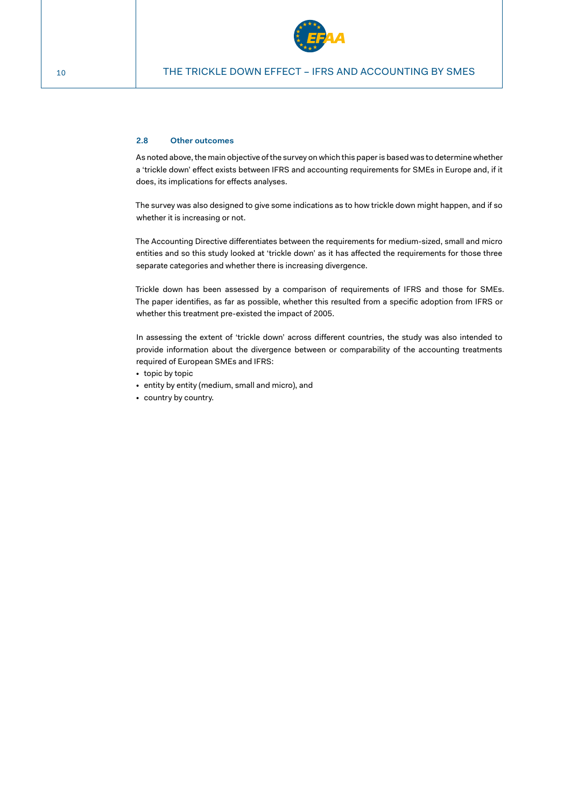

#### <span id="page-9-0"></span>**2.8 Other outcomes**

As noted above, the main objective of the survey on which this paper is based was to determine whether a 'trickle down' effect exists between IFRS and accounting requirements for SMEs in Europe and, if it does, its implications for effects analyses.

The survey was also designed to give some indications as to how trickle down might happen, and if so whether it is increasing or not.

The Accounting Directive differentiates between the requirements for medium-sized, small and micro entities and so this study looked at 'trickle down' as it has affected the requirements for those three separate categories and whether there is increasing divergence.

Trickle down has been assessed by a comparison of requirements of IFRS and those for SMEs. The paper identifies, as far as possible, whether this resulted from a specific adoption from IFRS or whether this treatment pre-existed the impact of 2005.

In assessing the extent of 'trickle down' across different countries, the study was also intended to provide information about the divergence between or comparability of the accounting treatments required of European SMEs and IFRS:

- topic by topic
- entity by entity (medium, small and micro), and
- country by country.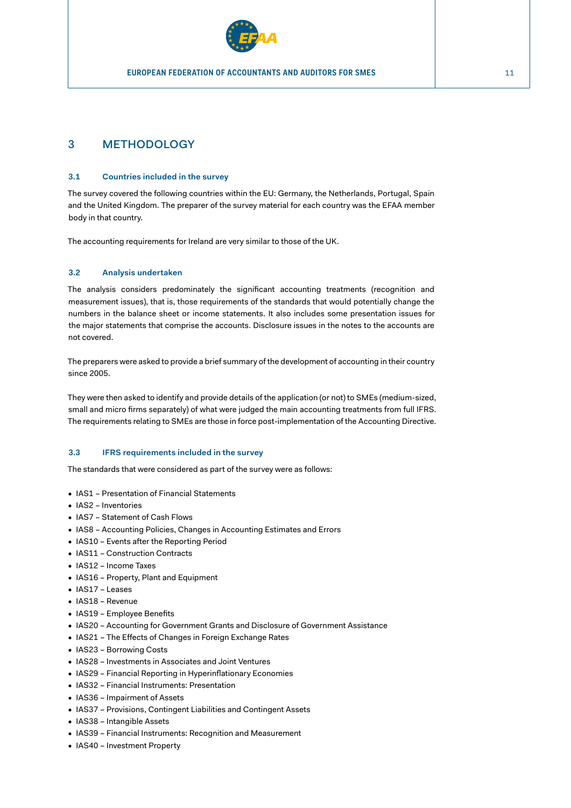

## <span id="page-10-0"></span>3 METHODOLOGY

#### **3.1 Countries included in the survey**

The survey covered the following countries within the EU: Germany, the Netherlands, Portugal, Spain and the United Kingdom. The preparer of the survey material for each country was the EFAA member body in that country.

The accounting requirements for Ireland are very similar to those of the UK.

#### **3.2 Analysis undertaken**

The analysis considers predominately the significant accounting treatments (recognition and measurement issues), that is, those requirements of the standards that would potentially change the numbers in the balance sheet or income statements. It also includes some presentation issues for the major statements that comprise the accounts. Disclosure issues in the notes to the accounts are not covered.

The preparers were asked to provide a brief summary of the development of accounting in their country since 2005.

They were then asked to identify and provide details of the application (or not) to SMEs (medium-sized, small and micro firms separately) of what were judged the main accounting treatments from full IFRS. The requirements relating to SMEs are those in force post-implementation of the Accounting Directive.

#### **3.3 IFRS requirements included in the survey**

The standards that were considered as part of the survey were as follows:

- IAS1 Presentation of Financial Statements
- IAS2 Inventories
- IAS7 Statement of Cash Flows
- IAS8 Accounting Policies, Changes in Accounting Estimates and Errors
- IAS10 Events after the Reporting Period
- IAS11 Construction Contracts
- IAS12 Income Taxes
- IAS16 Property, Plant and Equipment
- IAS17 Leases
- IAS18 Revenue
- IAS19 Employee Benefits
- IAS20 Accounting for Government Grants and Disclosure of Government Assistance
- IAS21 The Effects of Changes in Foreign Exchange Rates
- IAS23 Borrowing Costs
- IAS28 Investments in Associates and Joint Ventures
- IAS29 Financial Reporting in Hyperinflationary Economies
- IAS32 Financial Instruments: Presentation
- IAS36 Impairment of Assets
- IAS37 Provisions, Contingent Liabilities and Contingent Assets
- IAS38 Intangible Assets
- IAS39 Financial Instruments: Recognition and Measurement
- IAS40 Investment Property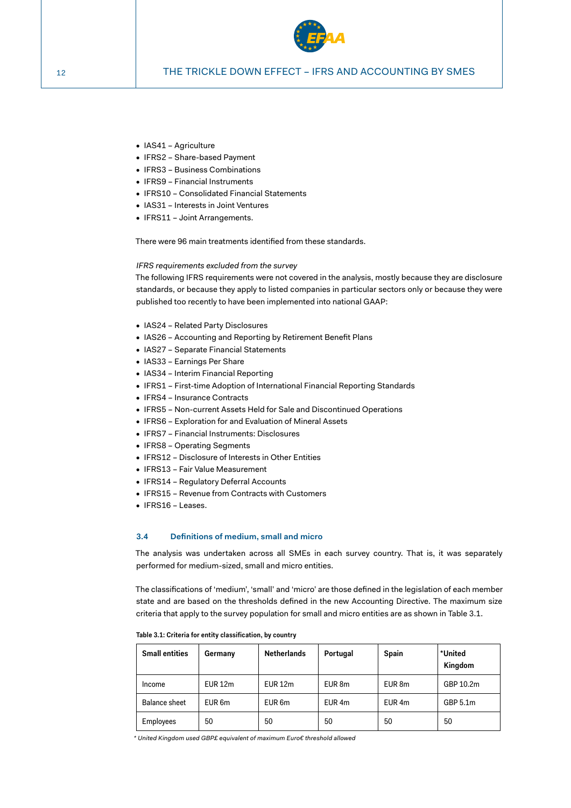

- <span id="page-11-0"></span>• IAS41 – Agriculture
- IFRS2 Share-based Payment
- IFRS3 Business Combinations
- IFRS9 Financial Instruments
- IFRS10 Consolidated Financial Statements
- IAS31 Interests in Joint Ventures
- IFRS11 Joint Arrangements.

There were 96 main treatments identified from these standards.

#### *IFRS requirements excluded from the survey*

The following IFRS requirements were not covered in the analysis, mostly because they are disclosure standards, or because they apply to listed companies in particular sectors only or because they were published too recently to have been implemented into national GAAP:

- IAS24 Related Party Disclosures
- IAS26 Accounting and Reporting by Retirement Benefit Plans
- IAS27 Separate Financial Statements
- IAS33 Earnings Per Share
- IAS34 Interim Financial Reporting
- IFRS1 First-time Adoption of International Financial Reporting Standards
- IFRS4 Insurance Contracts
- IFRS5 Non-current Assets Held for Sale and Discontinued Operations
- IFRS6 Exploration for and Evaluation of Mineral Assets
- IFRS7 Financial Instruments: Disclosures
- IFRS8 Operating Segments
- IFRS12 Disclosure of Interests in Other Entities
- IFRS13 Fair Value Measurement
- IFRS14 Regulatory Deferral Accounts
- IFRS15 Revenue from Contracts with Customers
- IFRS16 Leases.

#### **3.4 Definitions of medium, small and micro**

The analysis was undertaken across all SMEs in each survey country. That is, it was separately performed for medium-sized, small and micro entities.

The classifications of 'medium', 'small' and 'micro' are those defined in the legislation of each member state and are based on the thresholds defined in the new Accounting Directive. The maximum size criteria that apply to the survey population for small and micro entities are as shown in Table 3.1.

| <b>Small entities</b> | Germany            | <b>Netherlands</b> | Portugal          | Spain             | *United<br>Kingdom |
|-----------------------|--------------------|--------------------|-------------------|-------------------|--------------------|
| Income                | EUR <sub>12m</sub> | EUR 12m            | EUR 8m            | EUR 8m            | GBP 10.2m          |
| <b>Balance sheet</b>  | EUR 6m             | EUR <sub>6m</sub>  | EUR <sub>4m</sub> | EUR <sub>4m</sub> | GBP 5.1m           |
| Employees             | 50                 | 50                 | 50                | 50                | 50                 |

**Table 3.1: Criteria for entity classification, by country**

*\* United Kingdom used GBP£ equivalent of maximum Euro€ threshold allowed*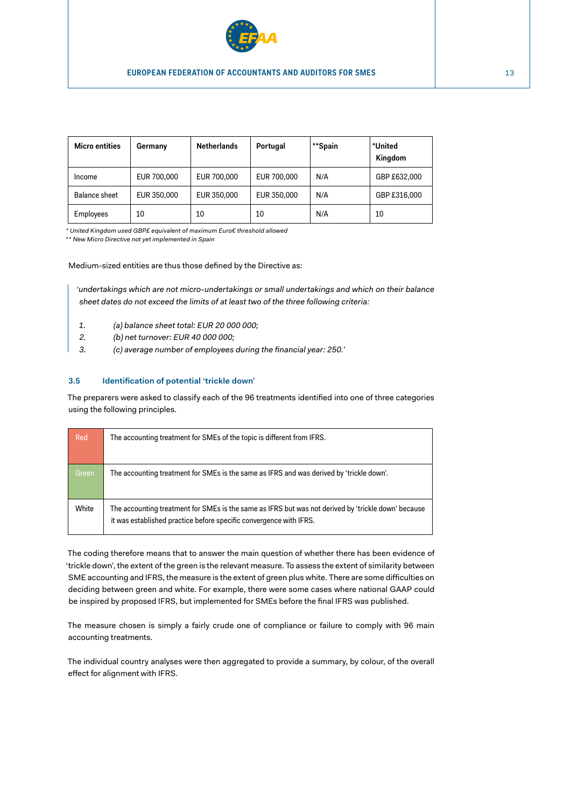

<span id="page-12-0"></span>

| <b>Micro entities</b> | Germany     | <b>Netherlands</b> | Portugal    | **Spain | *United<br>Kingdom |
|-----------------------|-------------|--------------------|-------------|---------|--------------------|
| Income                | EUR 700,000 | EUR 700,000        | EUR 700,000 | N/A     | GBP £632,000       |
| Balance sheet         | EUR 350,000 | EUR 350,000        | EUR 350,000 | N/A     | GBP £316,000       |
| Employees             | 10          | 10                 | 10          | N/A     | 10                 |

*\* United Kingdom used GBP£ equivalent of maximum Euro€ threshold allowed*

*\*\* New Micro Directive not yet implemented in Spain* 

Medium-sized entities are thus those defined by the Directive as:

*'undertakings which are not micro-undertakings or small undertakings and which on their balance sheet dates do not exceed the limits of at least two of the three following criteria:* 

- *1. (a) balance sheet total: EUR 20 000 000;*
- *2. (b) net turnover: EUR 40 000 000;*
- *3. (c) average number of employees during the financial year: 250.'*

#### **3.5 Identification of potential 'trickle down'**

The preparers were asked to classify each of the 96 treatments identified into one of three categories using the following principles.

| <b>Red</b> | The accounting treatment for SMEs of the topic is different from IFRS.                                                                                                    |
|------------|---------------------------------------------------------------------------------------------------------------------------------------------------------------------------|
| Green      | The accounting treatment for SMEs is the same as IFRS and was derived by 'trickle down'.                                                                                  |
| White      | The accounting treatment for SMEs is the same as IFRS but was not derived by 'trickle down' because<br>it was established practice before specific convergence with IFRS. |

The coding therefore means that to answer the main question of whether there has been evidence of 'trickle down', the extent of the green is the relevant measure. To assess the extent of similarity between SME accounting and IFRS, the measure is the extent of green plus white. There are some difficulties on deciding between green and white. For example, there were some cases where national GAAP could be inspired by proposed IFRS, but implemented for SMEs before the final IFRS was published.

The measure chosen is simply a fairly crude one of compliance or failure to comply with 96 main accounting treatments.

The individual country analyses were then aggregated to provide a summary, by colour, of the overall effect for alignment with IFRS.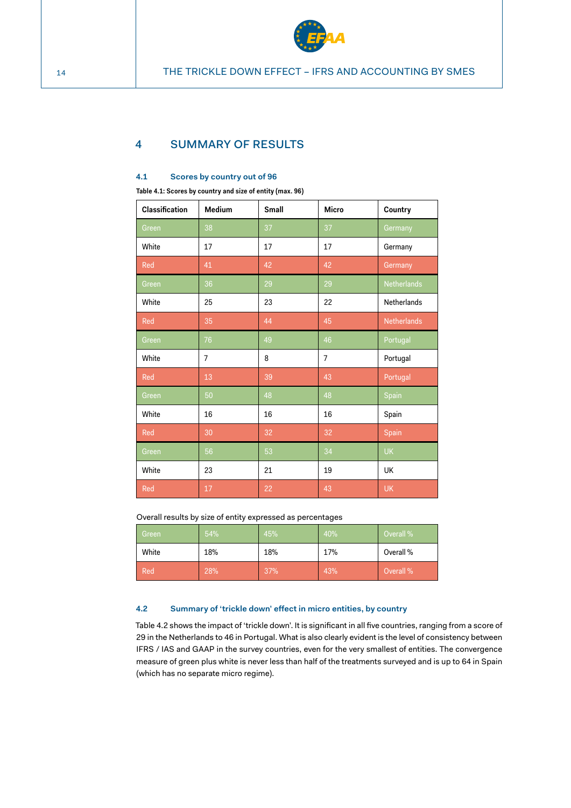

## <span id="page-13-0"></span>4 SUMMARY OF RESULTS

#### **4.1 Scores by country out of 96**

**Table 4.1: Scores by country and size of entity (max. 96)**

| Classification | Medium         | Small | Micro          | Country            |
|----------------|----------------|-------|----------------|--------------------|
| Green          | 38             | 37    | 37             | Germany            |
| White          | 17             | 17    | 17             | Germany            |
| Red            | 41             | 42    | 42             | Germany            |
| Green          | 36             | 29    | 29             | Netherlands        |
| White          | 25             | 23    | 22             | Netherlands        |
| Red            | 35             | 44    | 45             | <b>Netherlands</b> |
| Green          | 76             | 49    | 46             | Portugal           |
| White          | $\overline{7}$ | 8     | $\overline{7}$ | Portugal           |
| Red            | 13             | 39    | 43             | Portugal           |
| Green          | 50             | 48    | 48             | Spain              |
| White          | 16             | 16    | 16             | Spain              |
| Red            | 30             | 32    | 32             | Spain              |
| Green          | 56             | 53    | 34             | <b>UK</b>          |
| White          | 23             | 21    | 19             | <b>UK</b>          |
| Red            | 17             | 22    | 43             | <b>UK</b>          |

Overall results by size of entity expressed as percentages

| Green | 54% | 45% | 40% | Overall % |
|-------|-----|-----|-----|-----------|
| White | 18% | 18% | 17% | Overall % |
| Red   | 28% | 37% | 43% | Overall % |

#### **4.2 Summary of 'trickle down' effect in micro entities, by country**

Table 4.2 shows the impact of 'trickle down'. It is significant in all five countries, ranging from a score of 29 in the Netherlands to 46 in Portugal. What is also clearly evident is the level of consistency between IFRS / IAS and GAAP in the survey countries, even for the very smallest of entities. The convergence measure of green plus white is never less than half of the treatments surveyed and is up to 64 in Spain (which has no separate micro regime).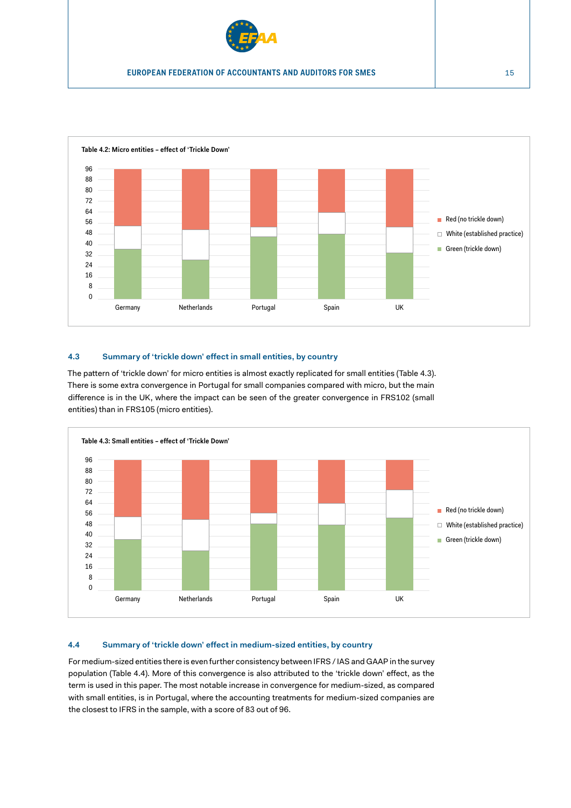

<span id="page-14-0"></span>

#### **4.3 Summary of 'trickle down' effect in small entities, by country**

The pattern of 'trickle down' for micro entities is almost exactly replicated for small entities (Table 4.3). There is some extra convergence in Portugal for small companies compared with micro, but the main difference is in the UK, where the impact can be seen of the greater convergence in FRS102 (small entities) than in FRS105 (micro entities).



## **4.4 Summary of 'trickle down' effect in medium-sized entities, by country**

For medium-sized entities there is even further consistency between IFRS / IAS and GAAP in the survey population (Table 4.4). More of this convergence is also attributed to the 'trickle down' effect, as the term is used in this paper. The most notable increase in convergence for medium-sized, as compared with small entities, is in Portugal, where the accounting treatments for medium-sized companies are the closest to IFRS in the sample, with a score of 83 out of 96.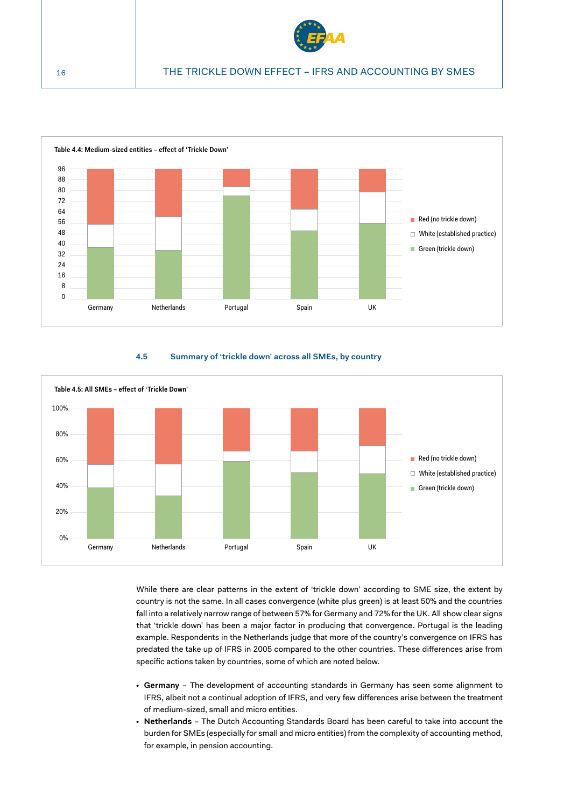

<span id="page-15-0"></span>

#### **4.5 Summary of 'trickle down' across all SMEs, by country**



While there are clear patterns in the extent of 'trickle down' according to SME size, the extent by country is not the same. In all cases convergence (white plus green) is at least 50% and the countries fall into a relatively narrow range of between 57% for Germany and 72% for the UK. All show clear signs that 'trickle down' has been a major factor in producing that convergence. Portugal is the leading example. Respondents in the Netherlands judge that more of the country's convergence on IFRS has predated the take up of IFRS in 2005 compared to the other countries. These differences arise from specific actions taken by countries, some of which are noted below.

- **Germany** The development of accounting standards in Germany has seen some alignment to IFRS, albeit not a continual adoption of IFRS, and very few differences arise between the treatment of medium-sized, small and micro entities.
- **Netherlands** The Dutch Accounting Standards Board has been careful to take into account the burden for SMEs (especially for small and micro entities) from the complexity of accounting method, for example, in pension accounting.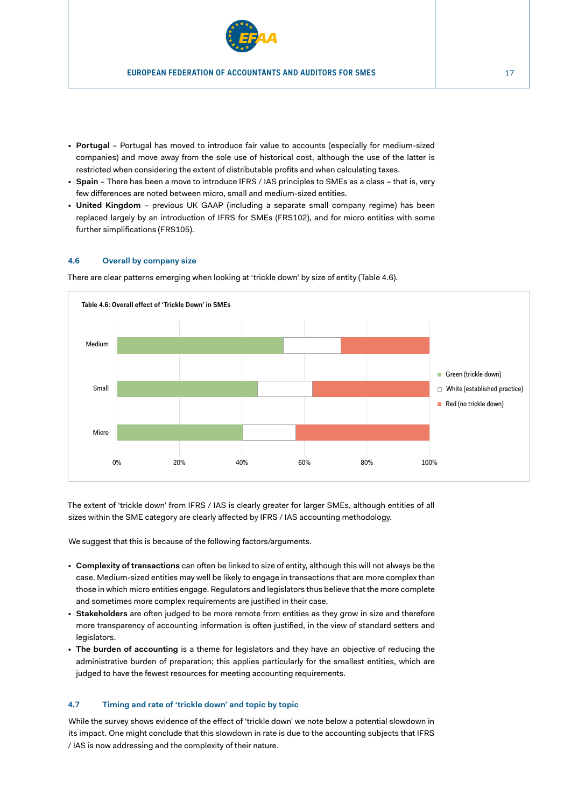

- <span id="page-16-0"></span>• **Portugal** – Portugal has moved to introduce fair value to accounts (especially for medium-sized companies) and move away from the sole use of historical cost, although the use of the latter is restricted when considering the extent of distributable profits and when calculating taxes.
- **Spain** There has been a move to introduce IFRS / IAS principles to SMEs as a class that is, very few differences are noted between micro, small and medium-sized entities.
- **United Kingdom** previous UK GAAP (including a separate small company regime) has been replaced largely by an introduction of IFRS for SMEs (FRS102), and for micro entities with some further simplifications (FRS105).

#### **4.6 Overall by company size**

There are clear patterns emerging when looking at 'trickle down' by size of entity (Table 4.6).



The extent of 'trickle down' from IFRS / IAS is clearly greater for larger SMEs, although entities of all sizes within the SME category are clearly affected by IFRS / IAS accounting methodology.

We suggest that this is because of the following factors/arguments.

- **Complexity of transactions** can often be linked to size of entity, although this will not always be the case. Medium-sized entities may well be likely to engage in transactions that are more complex than those in which micro entities engage. Regulators and legislators thus believe that the more complete and sometimes more complex requirements are justified in their case.
- **Stakeholders** are often judged to be more remote from entities as they grow in size and therefore more transparency of accounting information is often justified, in the view of standard setters and legislators.
- **The burden of accounting** is a theme for legislators and they have an objective of reducing the administrative burden of preparation; this applies particularly for the smallest entities, which are judged to have the fewest resources for meeting accounting requirements.

#### **4.7 Timing and rate of 'trickle down' and topic by topic**

While the survey shows evidence of the effect of 'trickle down' we note below a potential slowdown in its impact. One might conclude that this slowdown in rate is due to the accounting subjects that IFRS / IAS is now addressing and the complexity of their nature.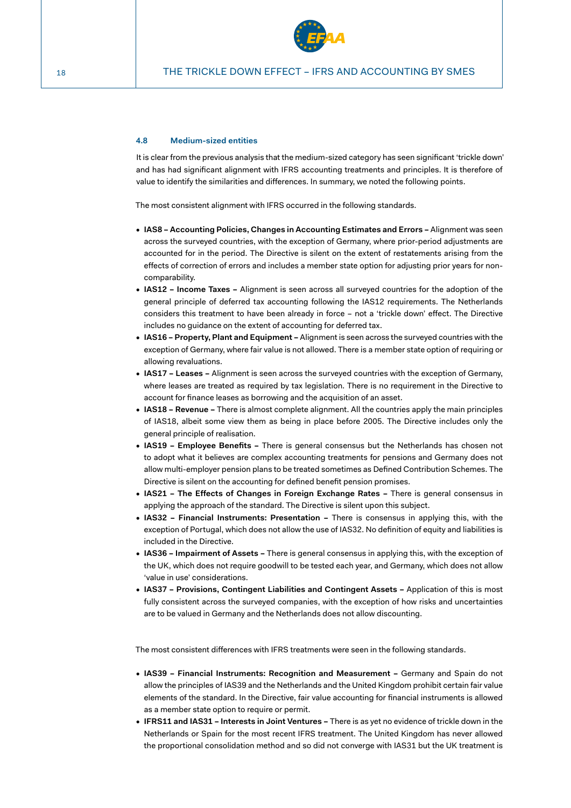

#### <span id="page-17-0"></span>**4.8 Medium-sized entities**

It is clear from the previous analysis that the medium-sized category has seen significant 'trickle down' and has had significant alignment with IFRS accounting treatments and principles. It is therefore of value to identify the similarities and differences. In summary, we noted the following points.

The most consistent alignment with IFRS occurred in the following standards.

- **IAS8 Accounting Policies, Changes in Accounting Estimates and Errors –** Alignment was seen across the surveyed countries, with the exception of Germany, where prior-period adjustments are accounted for in the period. The Directive is silent on the extent of restatements arising from the effects of correction of errors and includes a member state option for adjusting prior years for noncomparability.
- **IAS12 Income Taxes –** Alignment is seen across all surveyed countries for the adoption of the general principle of deferred tax accounting following the IAS12 requirements. The Netherlands considers this treatment to have been already in force – not a 'trickle down' effect. The Directive includes no guidance on the extent of accounting for deferred tax.
- **IAS16 Property, Plant and Equipment –** Alignment is seen across the surveyed countries with the exception of Germany, where fair value is not allowed. There is a member state option of requiring or allowing revaluations.
- **IAS17 Leases –** Alignment is seen across the surveyed countries with the exception of Germany, where leases are treated as required by tax legislation. There is no requirement in the Directive to account for finance leases as borrowing and the acquisition of an asset.
- **IAS18 Revenue –** There is almost complete alignment. All the countries apply the main principles of IAS18, albeit some view them as being in place before 2005. The Directive includes only the general principle of realisation.
- **IAS19 Employee Benefits –** There is general consensus but the Netherlands has chosen not to adopt what it believes are complex accounting treatments for pensions and Germany does not allow multi-employer pension plans to be treated sometimes as Defined Contribution Schemes. The Directive is silent on the accounting for defined benefit pension promises.
- **IAS21 The Effects of Changes in Foreign Exchange Rates –** There is general consensus in applying the approach of the standard. The Directive is silent upon this subject.
- **IAS32 Financial Instruments: Presentation –** There is consensus in applying this, with the exception of Portugal, which does not allow the use of IAS32. No definition of equity and liabilities is included in the Directive.
- **IAS36 Impairment of Assets –** There is general consensus in applying this, with the exception of the UK, which does not require goodwill to be tested each year, and Germany, which does not allow 'value in use' considerations.
- **IAS37 Provisions, Contingent Liabilities and Contingent Assets –** Application of this is most fully consistent across the surveyed companies, with the exception of how risks and uncertainties are to be valued in Germany and the Netherlands does not allow discounting.

The most consistent differences with IFRS treatments were seen in the following standards.

- **IAS39 Financial Instruments: Recognition and Measurement –** Germany and Spain do not allow the principles of IAS39 and the Netherlands and the United Kingdom prohibit certain fair value elements of the standard. In the Directive, fair value accounting for financial instruments is allowed as a member state option to require or permit.
- **IFRS11 and IAS31 Interests in Joint Ventures –** There is as yet no evidence of trickle down in the Netherlands or Spain for the most recent IFRS treatment. The United Kingdom has never allowed the proportional consolidation method and so did not converge with IAS31 but the UK treatment is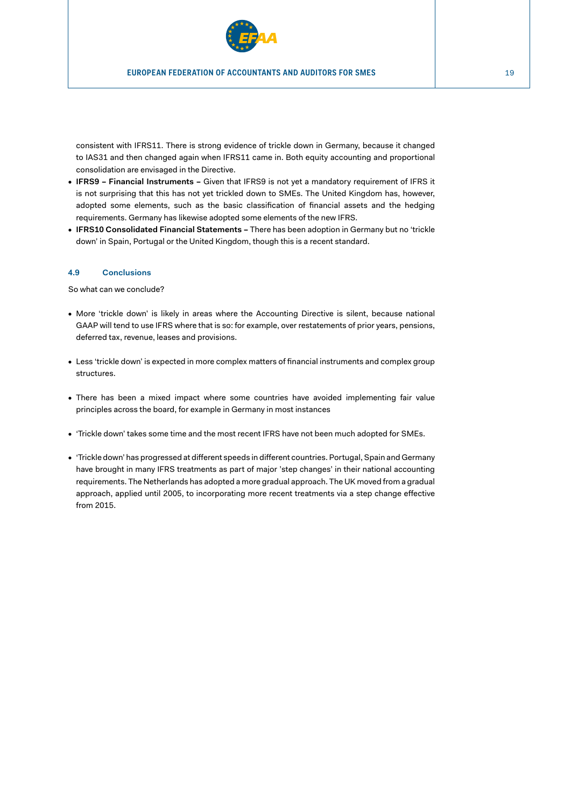

<span id="page-18-0"></span>consistent with IFRS11. There is strong evidence of trickle down in Germany, because it changed to IAS31 and then changed again when IFRS11 came in. Both equity accounting and proportional consolidation are envisaged in the Directive.

- **IFRS9 Financial Instruments –** Given that IFRS9 is not yet a mandatory requirement of IFRS it is not surprising that this has not yet trickled down to SMEs. The United Kingdom has, however, adopted some elements, such as the basic classification of financial assets and the hedging requirements. Germany has likewise adopted some elements of the new IFRS.
- **IFRS10 Consolidated Financial Statements –** There has been adoption in Germany but no 'trickle down' in Spain, Portugal or the United Kingdom, though this is a recent standard.

#### **4.9 Conclusions**

So what can we conclude?

- More 'trickle down' is likely in areas where the Accounting Directive is silent, because national GAAP will tend to use IFRS where that is so: for example, over restatements of prior years, pensions, deferred tax, revenue, leases and provisions.
- Less 'trickle down' is expected in more complex matters of financial instruments and complex group structures.
- There has been a mixed impact where some countries have avoided implementing fair value principles across the board, for example in Germany in most instances
- 'Trickle down' takes some time and the most recent IFRS have not been much adopted for SMEs.
- 'Trickle down' has progressed at different speeds in different countries. Portugal, Spain and Germany have brought in many IFRS treatments as part of major 'step changes' in their national accounting requirements. The Netherlands has adopted a more gradual approach. The UK moved from a gradual approach, applied until 2005, to incorporating more recent treatments via a step change effective from 2015.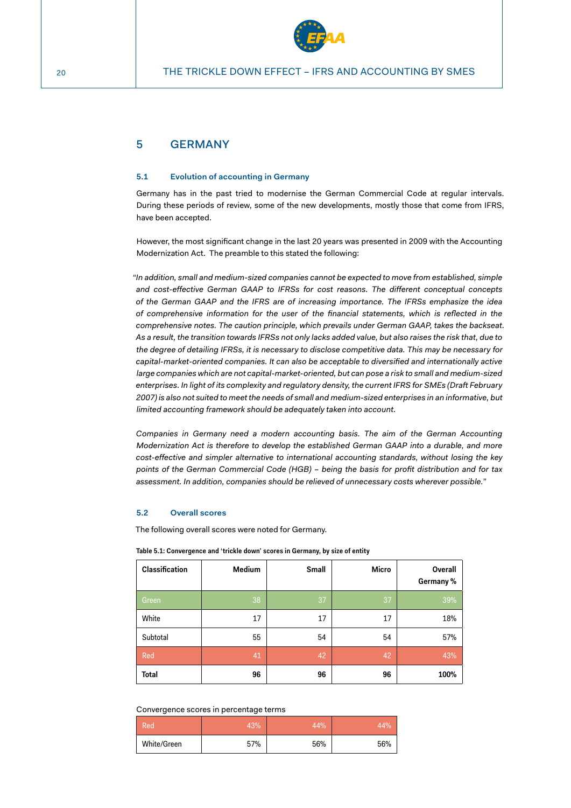

## <span id="page-19-0"></span>5 GERMANY

#### **5.1 Evolution of accounting in Germany**

Germany has in the past tried to modernise the German Commercial Code at regular intervals. During these periods of review, some of the new developments, mostly those that come from IFRS, have been accepted.

However, the most significant change in the last 20 years was presented in 2009 with the Accounting Modernization Act. The preamble to this stated the following:

*"In addition, small and medium-sized companies cannot be expected to move from established, simple and cost-effective German GAAP to IFRSs for cost reasons. The different conceptual concepts of the German GAAP and the IFRS are of increasing importance. The IFRSs emphasize the idea of comprehensive information for the user of the financial statements, which is reflected in the comprehensive notes. The caution principle, which prevails under German GAAP, takes the backseat. As a result, the transition towards IFRSs not only lacks added value, but also raises the risk that, due to the degree of detailing IFRSs, it is necessary to disclose competitive data. This may be necessary for capital-market-oriented companies. It can also be acceptable to diversified and internationally active large companies which are not capital-market-oriented, but can pose a risk to small and medium-sized enterprises. In light of its complexity and regulatory density, the current IFRS for SMEs (Draft February 2007) is also not suited to meet the needs of small and medium-sized enterprises in an informative, but limited accounting framework should be adequately taken into account.*

*Companies in Germany need a modern accounting basis. The aim of the German Accounting Modernization Act is therefore to develop the established German GAAP into a durable, and more cost-effective and simpler alternative to international accounting standards, without losing the key points of the German Commercial Code (HGB) – being the basis for profit distribution and for tax assessment. In addition, companies should be relieved of unnecessary costs wherever possible."* 

#### **5.2 Overall scores**

The following overall scores were noted for Germany.

| Classification | <b>Medium</b> | <b>Small</b> | <b>Micro</b> | <b>Overall</b><br>Germany % |
|----------------|---------------|--------------|--------------|-----------------------------|
| Green          | 38            | 37           | 37           | 39%                         |
| White          | 17            | 17           | 17           | 18%                         |
| Subtotal       | 55            | 54           | 54           | 57%                         |
| Red            | 41            | 42           | 42           | 43%                         |
| <b>Total</b>   | 96            | 96           | 96           | 100%                        |

**Table 5.1: Convergence and 'trickle down' scores in Germany, by size of entity**

#### Convergence scores in percentage terms

| Red         | 43% | 44% | 44% |
|-------------|-----|-----|-----|
| White/Green | 57% | 56% | 56% |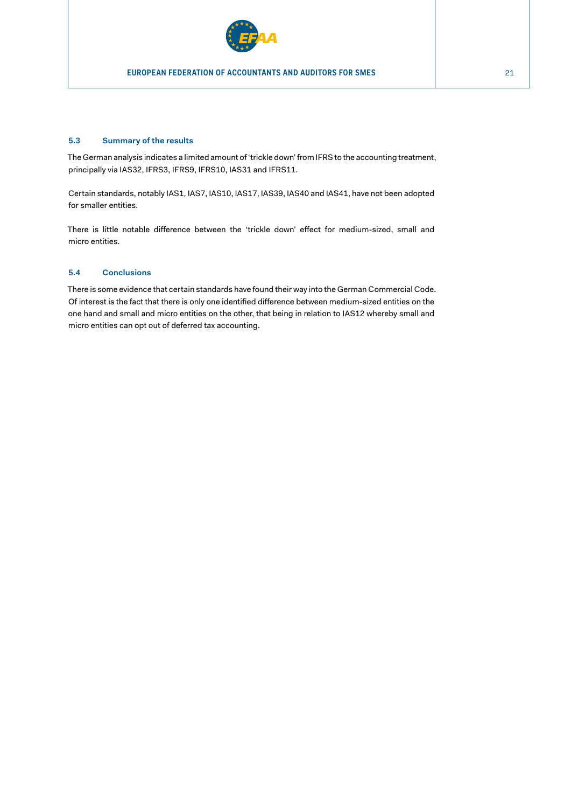

## **5.3 Summary of the results**

The German analysis indicates a limited amount of 'trickle down' from IFRS to the accounting treatment, principally via IAS32, IFRS3, IFRS9, IFRS10, IAS31 and IFRS11.

Certain standards, notably IAS1, IAS7, IAS10, IAS17, IAS39, IAS40 and IAS41, have not been adopted for smaller entities.

There is little notable difference between the 'trickle down' effect for medium-sized, small and micro entities.

#### **5.4 Conclusions**

There is some evidence that certain standards have found their way into the German Commercial Code. Of interest is the fact that there is only one identified difference between medium-sized entities on the one hand and small and micro entities on the other, that being in relation to IAS12 whereby small and micro entities can opt out of deferred tax accounting.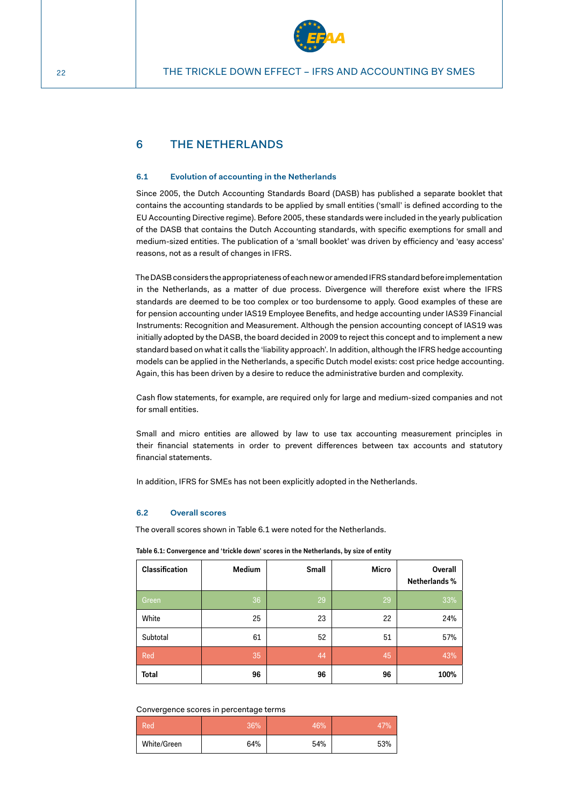

## <span id="page-21-0"></span>6 THE NETHERLANDS

#### **6.1 Evolution of accounting in the Netherlands**

Since 2005, the Dutch Accounting Standards Board (DASB) has published a separate booklet that contains the accounting standards to be applied by small entities ('small' is defined according to the EU Accounting Directive regime). Before 2005, these standards were included in the yearly publication of the DASB that contains the Dutch Accounting standards, with specific exemptions for small and medium-sized entities. The publication of a 'small booklet' was driven by efficiency and 'easy access' reasons, not as a result of changes in IFRS.

The DASB considers the appropriateness of each new or amended IFRS standard before implementation in the Netherlands, as a matter of due process. Divergence will therefore exist where the IFRS standards are deemed to be too complex or too burdensome to apply. Good examples of these are for pension accounting under IAS19 Employee Benefits, and hedge accounting under IAS39 Financial Instruments: Recognition and Measurement. Although the pension accounting concept of IAS19 was initially adopted by the DASB, the board decided in 2009 to reject this concept and to implement a new standard based on what it calls the 'liability approach'. In addition, although the IFRS hedge accounting models can be applied in the Netherlands, a specific Dutch model exists: cost price hedge accounting. Again, this has been driven by a desire to reduce the administrative burden and complexity.

Cash flow statements, for example, are required only for large and medium-sized companies and not for small entities.

Small and micro entities are allowed by law to use tax accounting measurement principles in their financial statements in order to prevent differences between tax accounts and statutory financial statements.

In addition, IFRS for SMEs has not been explicitly adopted in the Netherlands.

#### **6.2 Overall scores**

The overall scores shown in Table 6.1 were noted for the Netherlands.

| Classification | <b>Medium</b> | <b>Small</b> | <b>Micro</b> | Overall<br>Netherlands % |
|----------------|---------------|--------------|--------------|--------------------------|
| Green          | 36            | 29           | 29           | 33%                      |
| White          | 25            | 23           | 22           | 24%                      |
| Subtotal       | 61            | 52           | 51           | 57%                      |
| Red            | 35            | 44           | 45           | 43%                      |
| <b>Total</b>   | 96            | 96           | 96           | 100%                     |

**Table 6.1: Convergence and 'trickle down' scores in the Netherlands, by size of entity**

#### Convergence scores in percentage terms

| <b>Red</b>  | 36% | 46% | 47% |
|-------------|-----|-----|-----|
| White/Green | 64% | 54% | 53% |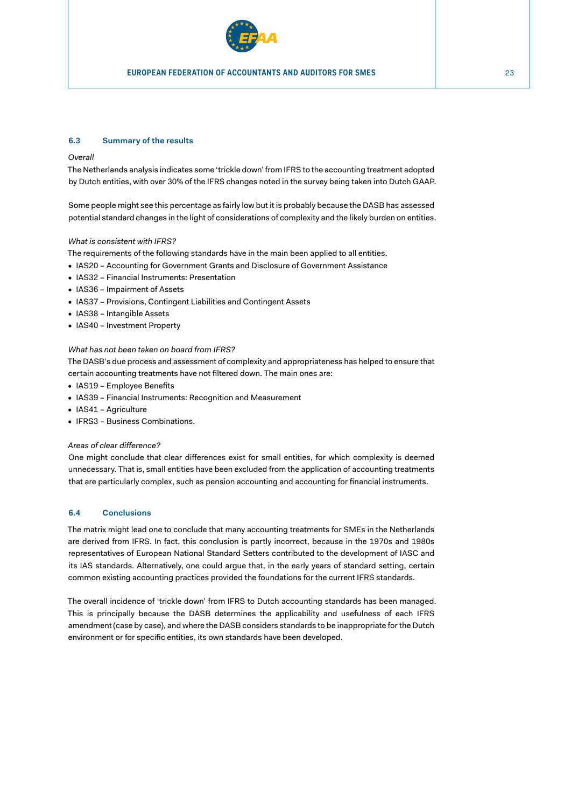

#### <span id="page-22-0"></span>**6.3 Summary of the results**

#### *Overall*

The Netherlands analysis indicates some 'trickle down' from IFRS to the accounting treatment adopted by Dutch entities, with over 30% of the IFRS changes noted in the survey being taken into Dutch GAAP.

Some people might see this percentage as fairly low but it is probably because the DASB has assessed potential standard changes in the light of considerations of complexity and the likely burden on entities.

#### *What is consistent with IFRS?*

The requirements of the following standards have in the main been applied to all entities.

- IAS20 Accounting for Government Grants and Disclosure of Government Assistance
- IAS32 Financial Instruments: Presentation
- IAS36 Impairment of Assets
- IAS37 Provisions, Contingent Liabilities and Contingent Assets
- IAS38 Intangible Assets
- IAS40 Investment Property

#### *What has not been taken on board from IFRS?*

The DASB's due process and assessment of complexity and appropriateness has helped to ensure that certain accounting treatments have not filtered down. The main ones are:

- IAS19 Employee Benefits
- IAS39 Financial Instruments: Recognition and Measurement
- IAS41 Agriculture
- IFRS3 Business Combinations.

#### *Areas of clear difference?*

One might conclude that clear differences exist for small entities, for which complexity is deemed unnecessary. That is, small entities have been excluded from the application of accounting treatments that are particularly complex, such as pension accounting and accounting for financial instruments.

#### **6.4 Conclusions**

The matrix might lead one to conclude that many accounting treatments for SMEs in the Netherlands are derived from IFRS. In fact, this conclusion is partly incorrect, because in the 1970s and 1980s representatives of European National Standard Setters contributed to the development of IASC and its IAS standards. Alternatively, one could argue that, in the early years of standard setting, certain common existing accounting practices provided the foundations for the current IFRS standards.

The overall incidence of 'trickle down' from IFRS to Dutch accounting standards has been managed. This is principally because the DASB determines the applicability and usefulness of each IFRS amendment (case by case), and where the DASB considers standards to be inappropriate for the Dutch environment or for specific entities, its own standards have been developed.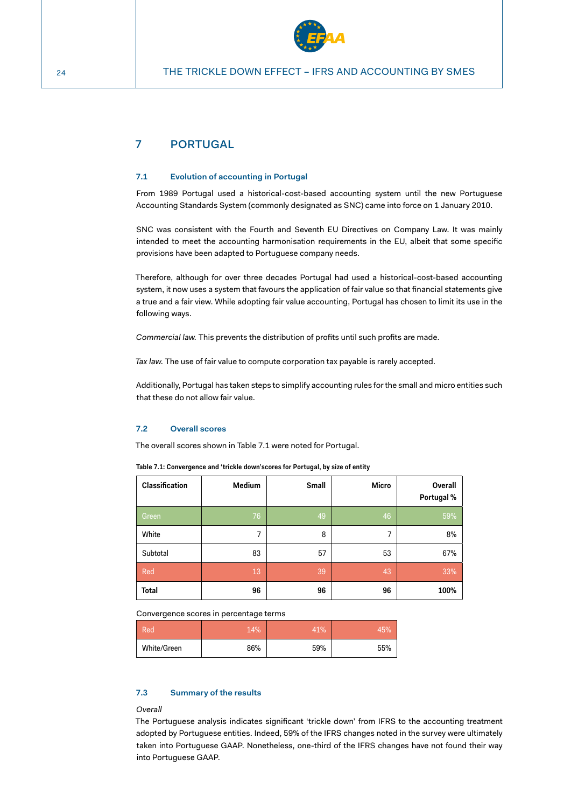

## <span id="page-23-0"></span>7 PORTUGAL

#### **7.1 Evolution of accounting in Portugal**

From 1989 Portugal used a historical-cost-based accounting system until the new Portuguese Accounting Standards System (commonly designated as SNC) came into force on 1 January 2010.

SNC was consistent with the Fourth and Seventh EU Directives on Company Law. It was mainly intended to meet the accounting harmonisation requirements in the EU, albeit that some specific provisions have been adapted to Portuguese company needs.

Therefore, although for over three decades Portugal had used a historical-cost-based accounting system, it now uses a system that favours the application of fair value so that financial statements give a true and a fair view. While adopting fair value accounting, Portugal has chosen to limit its use in the following ways.

*Commercial law.* This prevents the distribution of profits until such profits are made.

*Tax law.* The use of fair value to compute corporation tax payable is rarely accepted.

Additionally, Portugal has taken steps to simplify accounting rules for the small and micro entities such that these do not allow fair value.

#### **7.2 Overall scores**

The overall scores shown in Table 7.1 were noted for Portugal.

| Classification | <b>Medium</b> | Small | <b>Micro</b> | Overall<br>Portugal % |
|----------------|---------------|-------|--------------|-----------------------|
| Green          | 76            | 49    | 46           | 59%                   |
| White          | 7             | 8     | 7            | 8%                    |
| Subtotal       | 83            | 57    | 53           | 67%                   |
| Red            | 13            | 39    | 43           | 33%                   |
| <b>Total</b>   | 96            | 96    | 96           | 100%                  |

**Table 7.1: Convergence and 'trickle down'scores for Portugal, by size of entity**

Convergence scores in percentage terms

| Red         | 14% | 41% | 45% |
|-------------|-----|-----|-----|
| White/Green | 86% | 59% | 55% |

#### **7.3 Summary of the results**

#### *Overall*

The Portuguese analysis indicates significant 'trickle down' from IFRS to the accounting treatment adopted by Portuguese entities. Indeed, 59% of the IFRS changes noted in the survey were ultimately taken into Portuguese GAAP. Nonetheless, one-third of the IFRS changes have not found their way into Portuguese GAAP.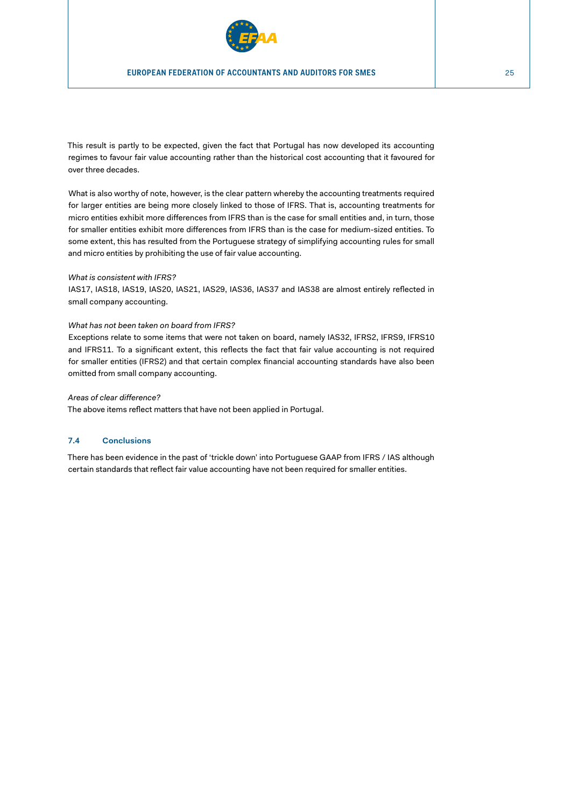

<span id="page-24-0"></span>This result is partly to be expected, given the fact that Portugal has now developed its accounting regimes to favour fair value accounting rather than the historical cost accounting that it favoured for over three decades.

What is also worthy of note, however, is the clear pattern whereby the accounting treatments required for larger entities are being more closely linked to those of IFRS. That is, accounting treatments for micro entities exhibit more differences from IFRS than is the case for small entities and, in turn, those for smaller entities exhibit more differences from IFRS than is the case for medium-sized entities. To some extent, this has resulted from the Portuguese strategy of simplifying accounting rules for small and micro entities by prohibiting the use of fair value accounting.

#### *What is consistent with IFRS?*

IAS17, IAS18, IAS19, IAS20, IAS21, IAS29, IAS36, IAS37 and IAS38 are almost entirely reflected in small company accounting.

#### *What has not been taken on board from IFRS?*

Exceptions relate to some items that were not taken on board, namely IAS32, IFRS2, IFRS9, IFRS10 and IFRS11. To a significant extent, this reflects the fact that fair value accounting is not required for smaller entities (IFRS2) and that certain complex financial accounting standards have also been omitted from small company accounting.

#### *Areas of clear difference?*

The above items reflect matters that have not been applied in Portugal.

#### **7.4 Conclusions**

There has been evidence in the past of 'trickle down' into Portuguese GAAP from IFRS / IAS although certain standards that reflect fair value accounting have not been required for smaller entities.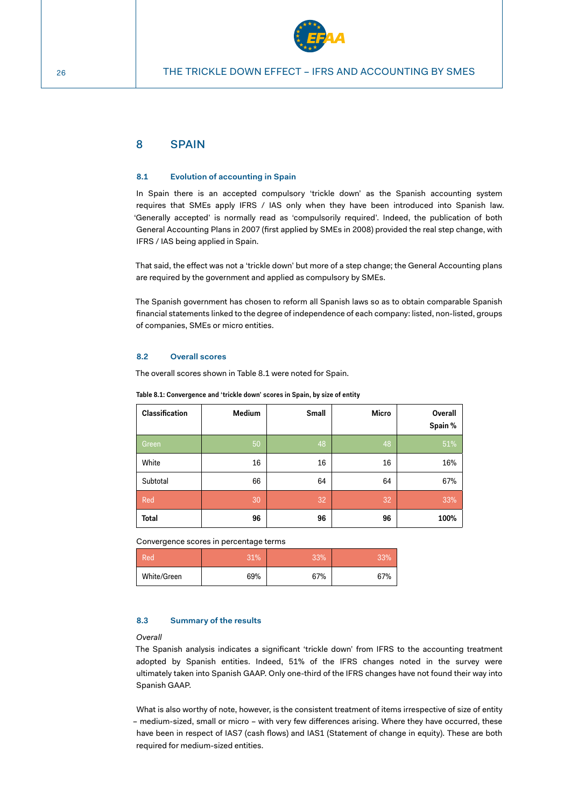

## <span id="page-25-0"></span>8 SPAIN

#### **8.1 Evolution of accounting in Spain**

In Spain there is an accepted compulsory 'trickle down' as the Spanish accounting system requires that SMEs apply IFRS / IAS only when they have been introduced into Spanish law. 'Generally accepted' is normally read as 'compulsorily required'. Indeed, the publication of both General Accounting Plans in 2007 (first applied by SMEs in 2008) provided the real step change, with IFRS / IAS being applied in Spain.

That said, the effect was not a 'trickle down' but more of a step change; the General Accounting plans are required by the government and applied as compulsory by SMEs.

The Spanish government has chosen to reform all Spanish laws so as to obtain comparable Spanish financial statements linked to the degree of independence of each company: listed, non-listed, groups of companies, SMEs or micro entities.

#### **8.2 Overall scores**

The overall scores shown in Table 8.1 were noted for Spain.

| Classification | <b>Medium</b> | <b>Small</b> | Micro | <b>Overall</b><br>Spain % |
|----------------|---------------|--------------|-------|---------------------------|
| Green          | 50            | 48           | 48    | 51%                       |
| White          | 16            | 16           | 16    | 16%                       |
| Subtotal       | 66            | 64           | 64    | 67%                       |
| Red            | 30            | 32           | 32    | 33%                       |
| <b>Total</b>   | 96            | 96           | 96    | 100%                      |

**Table 8.1: Convergence and 'trickle down' scores in Spain, by size of entity**

Convergence scores in percentage terms

| Red         | 31% | 33% | 33% |
|-------------|-----|-----|-----|
| White/Green | 69% | 67% | 67% |

#### **8.3 Summary of the results**

#### *Overall*

The Spanish analysis indicates a significant 'trickle down' from IFRS to the accounting treatment adopted by Spanish entities. Indeed, 51% of the IFRS changes noted in the survey were ultimately taken into Spanish GAAP. Only one-third of the IFRS changes have not found their way into Spanish GAAP.

What is also worthy of note, however, is the consistent treatment of items irrespective of size of entity – medium-sized, small or micro – with very few differences arising. Where they have occurred, these have been in respect of IAS7 (cash flows) and IAS1 (Statement of change in equity). These are both required for medium-sized entities.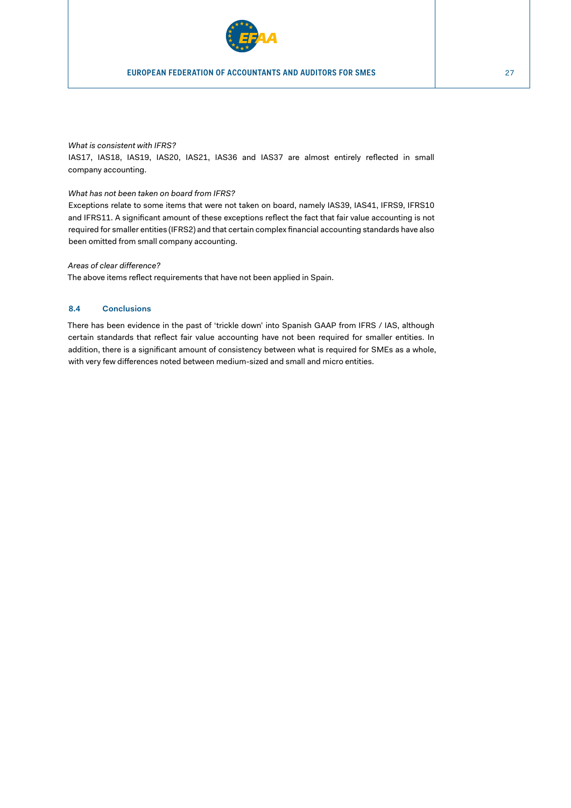

#### <span id="page-26-0"></span>*What is consistent with IFRS?*

IAS17, IAS18, IAS19, IAS20, IAS21, IAS36 and IAS37 are almost entirely reflected in small company accounting.

#### *What has not been taken on board from IFRS?*

Exceptions relate to some items that were not taken on board, namely IAS39, IAS41, IFRS9, IFRS10 and IFRS11. A significant amount of these exceptions reflect the fact that fair value accounting is not required for smaller entities (IFRS2) and that certain complex financial accounting standards have also been omitted from small company accounting.

#### *Areas of clear difference?*

The above items reflect requirements that have not been applied in Spain.

#### **8.4 Conclusions**

There has been evidence in the past of 'trickle down' into Spanish GAAP from IFRS / IAS, although certain standards that reflect fair value accounting have not been required for smaller entities. In addition, there is a significant amount of consistency between what is required for SMEs as a whole, with very few differences noted between medium-sized and small and micro entities.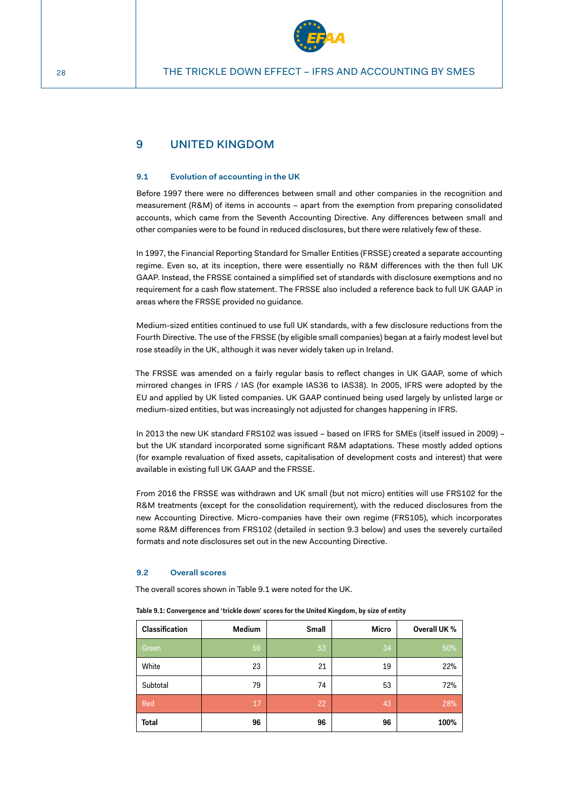

## <span id="page-27-0"></span>9 UNITED KINGDOM

#### **9.1 Evolution of accounting in the UK**

Before 1997 there were no differences between small and other companies in the recognition and measurement (R&M) of items in accounts – apart from the exemption from preparing consolidated accounts, which came from the Seventh Accounting Directive. Any differences between small and other companies were to be found in reduced disclosures, but there were relatively few of these.

In 1997, the Financial Reporting Standard for Smaller Entities (FRSSE) created a separate accounting regime. Even so, at its inception, there were essentially no R&M differences with the then full UK GAAP. Instead, the FRSSE contained a simplified set of standards with disclosure exemptions and no requirement for a cash flow statement. The FRSSE also included a reference back to full UK GAAP in areas where the FRSSE provided no guidance.

Medium-sized entities continued to use full UK standards, with a few disclosure reductions from the Fourth Directive. The use of the FRSSE (by eligible small companies) began at a fairly modest level but rose steadily in the UK, although it was never widely taken up in Ireland.

The FRSSE was amended on a fairly regular basis to reflect changes in UK GAAP, some of which mirrored changes in IFRS / IAS (for example IAS36 to IAS38). In 2005, IFRS were adopted by the EU and applied by UK listed companies. UK GAAP continued being used largely by unlisted large or medium-sized entities, but was increasingly not adjusted for changes happening in IFRS.

In 2013 the new UK standard FRS102 was issued – based on IFRS for SMEs (itself issued in 2009) – but the UK standard incorporated some significant R&M adaptations. These mostly added options (for example revaluation of fixed assets, capitalisation of development costs and interest) that were available in existing full UK GAAP and the FRSSE.

From 2016 the FRSSE was withdrawn and UK small (but not micro) entities will use FRS102 for the R&M treatments (except for the consolidation requirement), with the reduced disclosures from the new Accounting Directive. Micro-companies have their own regime (FRS105), which incorporates some R&M differences from FRS102 (detailed in section 9.3 below) and uses the severely curtailed formats and note disclosures set out in the new Accounting Directive.

#### **9.2 Overall scores**

The overall scores shown in Table 9.1 were noted for the UK.

**Table 9.1: Convergence and 'trickle down' scores for the United Kingdom, by size of entity**

| Classification | <b>Medium</b> | <b>Small</b> | Micro | Overall UK % |
|----------------|---------------|--------------|-------|--------------|
| Green          | 56            | 53           | 34    | 50%          |
| White          | 23            | 21           | 19    | 22%          |
| Subtotal       | 79            | 74           | 53    | 72%          |
| Red            | 17            | 22           | 43    | 28%          |
| <b>Total</b>   | 96            | 96           | 96    | 100%         |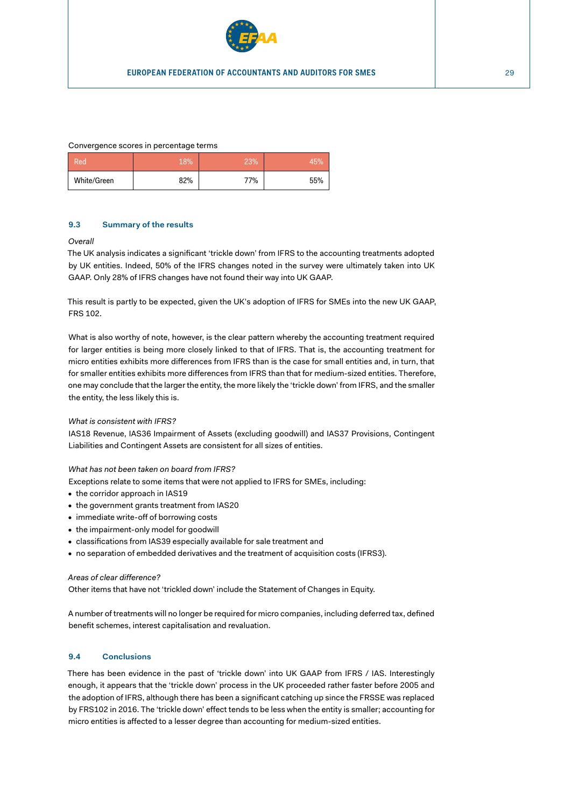

#### <span id="page-28-0"></span>Convergence scores in percentage terms

| Red         | 18% | 23% | 45% |
|-------------|-----|-----|-----|
| White/Green | 82% | 77% | 55% |

#### **9.3 Summary of the results**

#### *Overall*

The UK analysis indicates a significant 'trickle down' from IFRS to the accounting treatments adopted by UK entities. Indeed, 50% of the IFRS changes noted in the survey were ultimately taken into UK GAAP. Only 28% of IFRS changes have not found their way into UK GAAP.

This result is partly to be expected, given the UK's adoption of IFRS for SMEs into the new UK GAAP, FRS 102.

What is also worthy of note, however, is the clear pattern whereby the accounting treatment required for larger entities is being more closely linked to that of IFRS. That is, the accounting treatment for micro entities exhibits more differences from IFRS than is the case for small entities and, in turn, that for smaller entities exhibits more differences from IFRS than that for medium-sized entities. Therefore, one may conclude that the larger the entity, the more likely the 'trickle down' from IFRS, and the smaller the entity, the less likely this is.

#### *What is consistent with IFRS?*

IAS18 Revenue, IAS36 Impairment of Assets (excluding goodwill) and IAS37 Provisions, Contingent Liabilities and Contingent Assets are consistent for all sizes of entities.

#### *What has not been taken on board from IFRS?*

Exceptions relate to some items that were not applied to IFRS for SMEs, including:

- the corridor approach in IAS19
- the government grants treatment from IAS20
- immediate write-off of borrowing costs
- the impairment-only model for goodwill
- classifications from IAS39 especially available for sale treatment and
- no separation of embedded derivatives and the treatment of acquisition costs (IFRS3).

#### *Areas of clear difference?*

Other items that have not 'trickled down' include the Statement of Changes in Equity.

A number of treatments will no longer be required for micro companies, including deferred tax, defined benefit schemes, interest capitalisation and revaluation.

#### **9.4 Conclusions**

There has been evidence in the past of 'trickle down' into UK GAAP from IFRS / IAS. Interestingly enough, it appears that the 'trickle down' process in the UK proceeded rather faster before 2005 and the adoption of IFRS, although there has been a significant catching up since the FRSSE was replaced by FRS102 in 2016. The 'trickle down' effect tends to be less when the entity is smaller; accounting for micro entities is affected to a lesser degree than accounting for medium-sized entities.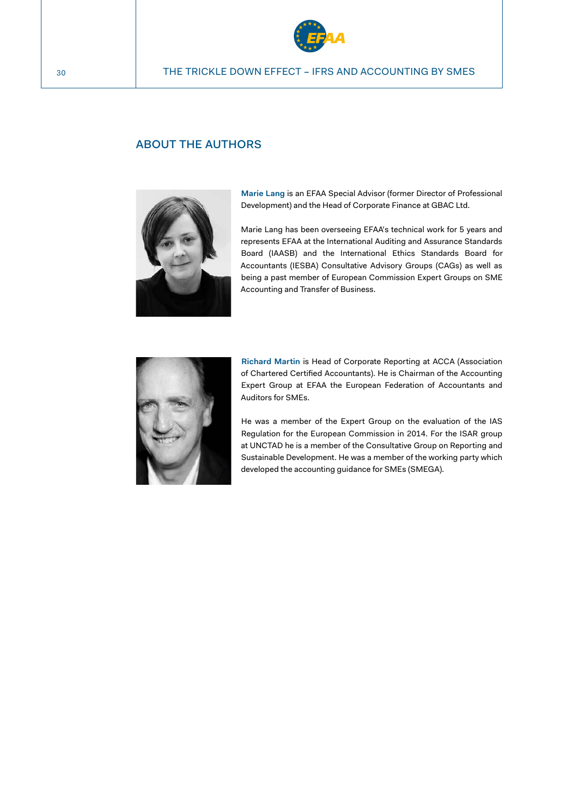

## <span id="page-29-0"></span>ABOUT THE AUTHORS



**Marie Lang** is an EFAA Special Advisor (former Director of Professional Development) and the Head of Corporate Finance at GBAC Ltd.

Marie Lang has been overseeing EFAA's technical work for 5 years and represents EFAA at the International Auditing and Assurance Standards Board (IAASB) and the International Ethics Standards Board for Accountants (IESBA) Consultative Advisory Groups (CAGs) as well as being a past member of European Commission Expert Groups on SME Accounting and Transfer of Business.



**Richard Martin** is Head of Corporate Reporting at ACCA (Association of Chartered Certified Accountants). He is Chairman of the Accounting Expert Group at EFAA the European Federation of Accountants and Auditors for SMEs.

He was a member of the Expert Group on the evaluation of the IAS Regulation for the European Commission in 2014. For the ISAR group at UNCTAD he is a member of the Consultative Group on Reporting and Sustainable Development. He was a member of the working party which developed the accounting guidance for SMEs (SMEGA).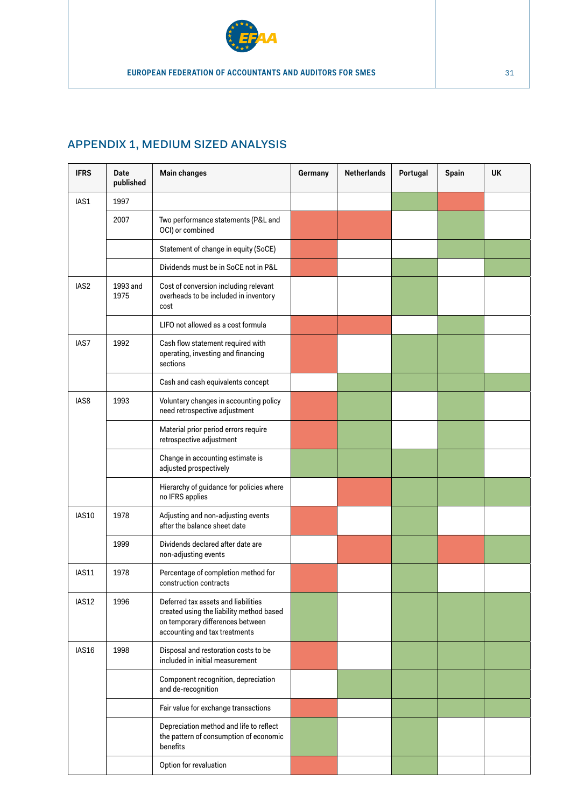

# <span id="page-30-0"></span>APPENDIX 1, MEDIUM SIZED ANALYSIS

| <b>IFRS</b>  | <b>Date</b><br>published | <b>Main changes</b>                                                                                                                                  | Germany | <b>Netherlands</b> | Portugal | Spain | <b>UK</b> |
|--------------|--------------------------|------------------------------------------------------------------------------------------------------------------------------------------------------|---------|--------------------|----------|-------|-----------|
| IAS1         | 1997                     |                                                                                                                                                      |         |                    |          |       |           |
|              | 2007                     | Two performance statements (P&L and<br>OCI) or combined                                                                                              |         |                    |          |       |           |
|              |                          | Statement of change in equity (SoCE)                                                                                                                 |         |                    |          |       |           |
|              |                          | Dividends must be in SoCE not in P&L                                                                                                                 |         |                    |          |       |           |
| IAS2         | 1993 and<br>1975         | Cost of conversion including relevant<br>overheads to be included in inventory<br>cost                                                               |         |                    |          |       |           |
|              |                          | LIFO not allowed as a cost formula                                                                                                                   |         |                    |          |       |           |
| IAS7         | 1992                     | Cash flow statement required with<br>operating, investing and financing<br>sections                                                                  |         |                    |          |       |           |
|              |                          | Cash and cash equivalents concept                                                                                                                    |         |                    |          |       |           |
| IAS8         | 1993                     | Voluntary changes in accounting policy<br>need retrospective adjustment                                                                              |         |                    |          |       |           |
|              |                          | Material prior period errors require<br>retrospective adjustment                                                                                     |         |                    |          |       |           |
|              |                          | Change in accounting estimate is<br>adjusted prospectively                                                                                           |         |                    |          |       |           |
|              |                          | Hierarchy of guidance for policies where<br>no IFRS applies                                                                                          |         |                    |          |       |           |
| <b>IAS10</b> | 1978                     | Adjusting and non-adjusting events<br>after the balance sheet date                                                                                   |         |                    |          |       |           |
|              | 1999                     | Dividends declared after date are<br>non-adjusting events                                                                                            |         |                    |          |       |           |
| IAS11        | 1978                     | Percentage of completion method for<br>construction contracts                                                                                        |         |                    |          |       |           |
| IAS12        | 1996                     | Deferred tax assets and liabilities<br>created using the liability method based<br>on temporary differences between<br>accounting and tax treatments |         |                    |          |       |           |
| IAS16        | 1998                     | Disposal and restoration costs to be<br>included in initial measurement                                                                              |         |                    |          |       |           |
|              |                          | Component recognition, depreciation<br>and de-recognition                                                                                            |         |                    |          |       |           |
|              |                          | Fair value for exchange transactions                                                                                                                 |         |                    |          |       |           |
|              |                          | Depreciation method and life to reflect<br>the pattern of consumption of economic<br>benefits                                                        |         |                    |          |       |           |
|              |                          | Option for revaluation                                                                                                                               |         |                    |          |       |           |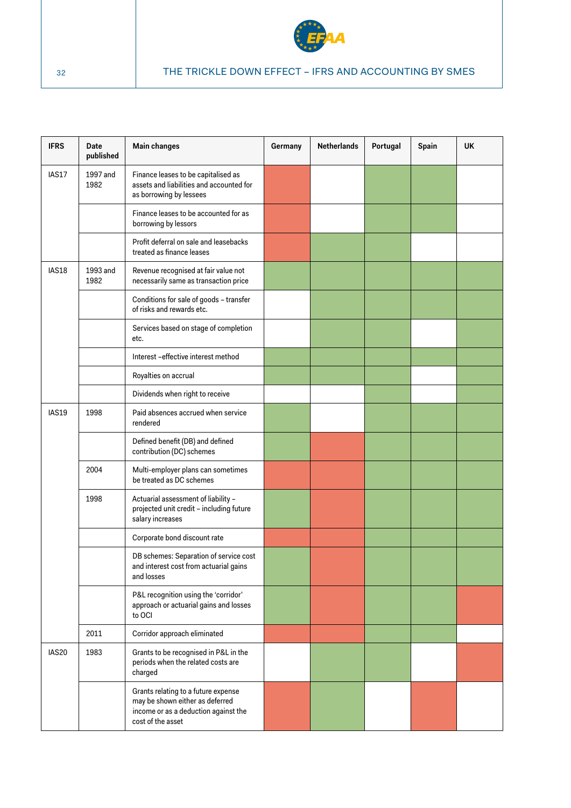

| <b>IFRS</b> | <b>Date</b><br>published | <b>Main changes</b>                                                                                                                 | Germany | <b>Netherlands</b> | Portugal | Spain | UK |
|-------------|--------------------------|-------------------------------------------------------------------------------------------------------------------------------------|---------|--------------------|----------|-------|----|
| IAS17       | 1997 and<br>1982         | Finance leases to be capitalised as<br>assets and liabilities and accounted for<br>as borrowing by lessees                          |         |                    |          |       |    |
|             |                          | Finance leases to be accounted for as<br>borrowing by lessors                                                                       |         |                    |          |       |    |
|             |                          | Profit deferral on sale and leasebacks<br>treated as finance leases                                                                 |         |                    |          |       |    |
| IAS18       | 1993 and<br>1982         | Revenue recognised at fair value not<br>necessarily same as transaction price                                                       |         |                    |          |       |    |
|             |                          | Conditions for sale of goods - transfer<br>of risks and rewards etc.                                                                |         |                    |          |       |    |
|             |                          | Services based on stage of completion<br>etc.                                                                                       |         |                    |          |       |    |
|             |                          | Interest-effective interest method                                                                                                  |         |                    |          |       |    |
|             |                          | Royalties on accrual                                                                                                                |         |                    |          |       |    |
|             |                          | Dividends when right to receive                                                                                                     |         |                    |          |       |    |
| IAS19       | 1998                     | Paid absences accrued when service<br>rendered                                                                                      |         |                    |          |       |    |
|             |                          | Defined benefit (DB) and defined<br>contribution (DC) schemes                                                                       |         |                    |          |       |    |
|             | 2004                     | Multi-employer plans can sometimes<br>be treated as DC schemes                                                                      |         |                    |          |       |    |
|             | 1998                     | Actuarial assessment of liability -<br>projected unit credit - including future<br>salary increases                                 |         |                    |          |       |    |
|             |                          | Corporate bond discount rate                                                                                                        |         |                    |          |       |    |
|             |                          | DB schemes: Separation of service cost<br>and interest cost from actuarial gains<br>and losses                                      |         |                    |          |       |    |
|             |                          | P&L recognition using the 'corridor'<br>approach or actuarial gains and losses<br>to OCI                                            |         |                    |          |       |    |
|             | 2011                     | Corridor approach eliminated                                                                                                        |         |                    |          |       |    |
| IAS20       | 1983                     | Grants to be recognised in P&L in the<br>periods when the related costs are<br>charged                                              |         |                    |          |       |    |
|             |                          | Grants relating to a future expense<br>may be shown either as deferred<br>income or as a deduction against the<br>cost of the asset |         |                    |          |       |    |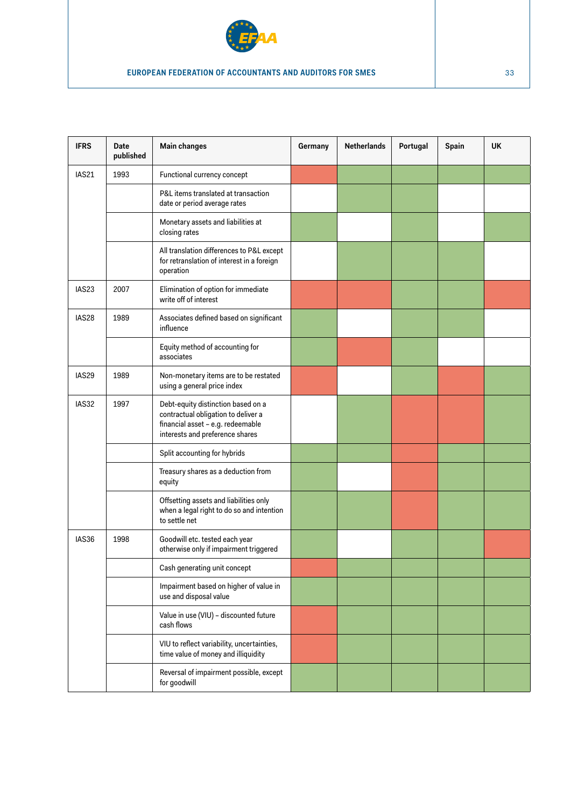

| <b>IFRS</b> | Date<br>published | <b>Main changes</b>                                                                                                                               | Germany | <b>Netherlands</b> | Portugal | Spain | UK |
|-------------|-------------------|---------------------------------------------------------------------------------------------------------------------------------------------------|---------|--------------------|----------|-------|----|
| IAS21       | 1993              | Functional currency concept                                                                                                                       |         |                    |          |       |    |
|             |                   | P&L items translated at transaction<br>date or period average rates                                                                               |         |                    |          |       |    |
|             |                   | Monetary assets and liabilities at<br>closing rates                                                                                               |         |                    |          |       |    |
|             |                   | All translation differences to P&L except<br>for retranslation of interest in a foreign<br>operation                                              |         |                    |          |       |    |
| IAS23       | 2007              | Elimination of option for immediate<br>write off of interest                                                                                      |         |                    |          |       |    |
| IAS28       | 1989              | Associates defined based on significant<br>influence                                                                                              |         |                    |          |       |    |
|             |                   | Equity method of accounting for<br>associates                                                                                                     |         |                    |          |       |    |
| IAS29       | 1989              | Non-monetary items are to be restated<br>using a general price index                                                                              |         |                    |          |       |    |
| IAS32       | 1997              | Debt-equity distinction based on a<br>contractual obligation to deliver a<br>financial asset - e.g. redeemable<br>interests and preference shares |         |                    |          |       |    |
|             |                   | Split accounting for hybrids                                                                                                                      |         |                    |          |       |    |
|             |                   | Treasury shares as a deduction from<br>equity                                                                                                     |         |                    |          |       |    |
|             |                   | Offsetting assets and liabilities only<br>when a legal right to do so and intention<br>to settle net                                              |         |                    |          |       |    |
| IAS36       | 1998              | Goodwill etc. tested each year<br>otherwise only if impairment triggered                                                                          |         |                    |          |       |    |
|             |                   | Cash generating unit concept                                                                                                                      |         |                    |          |       |    |
|             |                   | Impairment based on higher of value in<br>use and disposal value                                                                                  |         |                    |          |       |    |
|             |                   | Value in use (VIU) - discounted future<br>cash flows                                                                                              |         |                    |          |       |    |
|             |                   | VIU to reflect variability, uncertainties,<br>time value of money and illiquidity                                                                 |         |                    |          |       |    |
|             |                   | Reversal of impairment possible, except<br>for goodwill                                                                                           |         |                    |          |       |    |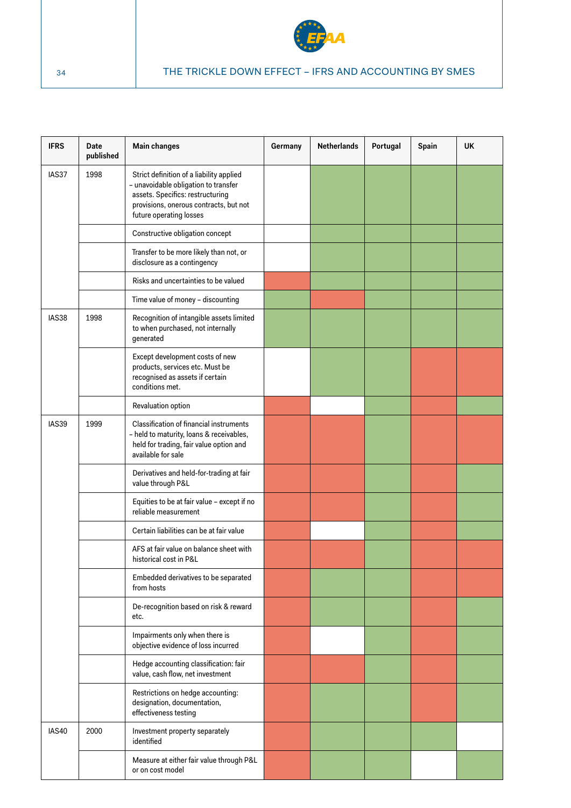

| <b>IFRS</b> | Date<br>published | Main changes                                                                                                                                                                              | Germany | <b>Netherlands</b> | Portugal | Spain | UK |
|-------------|-------------------|-------------------------------------------------------------------------------------------------------------------------------------------------------------------------------------------|---------|--------------------|----------|-------|----|
| IAS37       | 1998              | Strict definition of a liability applied<br>- unavoidable obligation to transfer<br>assets. Specifics: restructuring<br>provisions, onerous contracts, but not<br>future operating losses |         |                    |          |       |    |
|             |                   | Constructive obligation concept                                                                                                                                                           |         |                    |          |       |    |
|             |                   | Transfer to be more likely than not, or<br>disclosure as a contingency                                                                                                                    |         |                    |          |       |    |
|             |                   | Risks and uncertainties to be valued                                                                                                                                                      |         |                    |          |       |    |
|             |                   | Time value of money - discounting                                                                                                                                                         |         |                    |          |       |    |
| IAS38       | 1998              | Recognition of intangible assets limited<br>to when purchased, not internally<br>generated                                                                                                |         |                    |          |       |    |
|             |                   | Except development costs of new<br>products, services etc. Must be<br>recognised as assets if certain<br>conditions met.                                                                  |         |                    |          |       |    |
|             |                   | Revaluation option                                                                                                                                                                        |         |                    |          |       |    |
| IAS39       | 1999              | Classification of financial instruments<br>- held to maturity, loans & receivables,<br>held for trading, fair value option and<br>available for sale                                      |         |                    |          |       |    |
|             |                   | Derivatives and held-for-trading at fair<br>value through P&L                                                                                                                             |         |                    |          |       |    |
|             |                   | Equities to be at fair value - except if no<br>reliable measurement                                                                                                                       |         |                    |          |       |    |
|             |                   | Certain liabilities can be at fair value                                                                                                                                                  |         |                    |          |       |    |
|             |                   | AFS at fair value on balance sheet with<br>historical cost in P&L                                                                                                                         |         |                    |          |       |    |
|             |                   | Embedded derivatives to be separated<br>from hosts                                                                                                                                        |         |                    |          |       |    |
|             |                   | De-recognition based on risk & reward<br>etc.                                                                                                                                             |         |                    |          |       |    |
|             |                   | Impairments only when there is<br>objective evidence of loss incurred                                                                                                                     |         |                    |          |       |    |
|             |                   | Hedge accounting classification: fair<br>value, cash flow, net investment                                                                                                                 |         |                    |          |       |    |
|             |                   | Restrictions on hedge accounting:<br>designation, documentation,<br>effectiveness testing                                                                                                 |         |                    |          |       |    |
| IAS40       | 2000              | Investment property separately<br>identified                                                                                                                                              |         |                    |          |       |    |
|             |                   | Measure at either fair value through P&L<br>or on cost model                                                                                                                              |         |                    |          |       |    |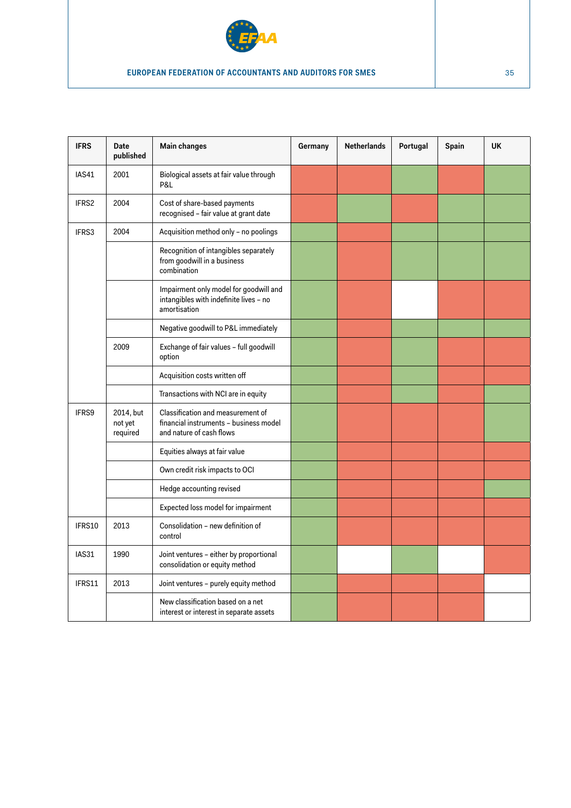

| <b>IFRS</b> | <b>Date</b><br>published         | <b>Main changes</b>                                                                                     | Germany | <b>Netherlands</b> | Portugal | Spain | UK |
|-------------|----------------------------------|---------------------------------------------------------------------------------------------------------|---------|--------------------|----------|-------|----|
| IAS41       | 2001                             | Biological assets at fair value through<br>P&L                                                          |         |                    |          |       |    |
| IFRS2       | 2004                             | Cost of share-based payments<br>recognised - fair value at grant date                                   |         |                    |          |       |    |
| IFRS3       | 2004                             | Acquisition method only - no poolings                                                                   |         |                    |          |       |    |
|             |                                  | Recognition of intangibles separately<br>from goodwill in a business<br>combination                     |         |                    |          |       |    |
|             |                                  | Impairment only model for goodwill and<br>intangibles with indefinite lives - no<br>amortisation        |         |                    |          |       |    |
|             |                                  | Negative goodwill to P&L immediately                                                                    |         |                    |          |       |    |
|             | 2009                             | Exchange of fair values - full goodwill<br>option                                                       |         |                    |          |       |    |
|             |                                  | Acquisition costs written off                                                                           |         |                    |          |       |    |
|             |                                  | Transactions with NCI are in equity                                                                     |         |                    |          |       |    |
| IFRS9       | 2014, but<br>not yet<br>required | Classification and measurement of<br>financial instruments - business model<br>and nature of cash flows |         |                    |          |       |    |
|             |                                  | Equities always at fair value                                                                           |         |                    |          |       |    |
|             |                                  | Own credit risk impacts to OCI                                                                          |         |                    |          |       |    |
|             |                                  | Hedge accounting revised                                                                                |         |                    |          |       |    |
|             |                                  | Expected loss model for impairment                                                                      |         |                    |          |       |    |
| IFRS10      | 2013                             | Consolidation - new definition of<br>control                                                            |         |                    |          |       |    |
| IAS31       | 1990                             | Joint ventures - either by proportional<br>consolidation or equity method                               |         |                    |          |       |    |
| IFRS11      | 2013                             | Joint ventures - purely equity method                                                                   |         |                    |          |       |    |
|             |                                  | New classification based on a net<br>interest or interest in separate assets                            |         |                    |          |       |    |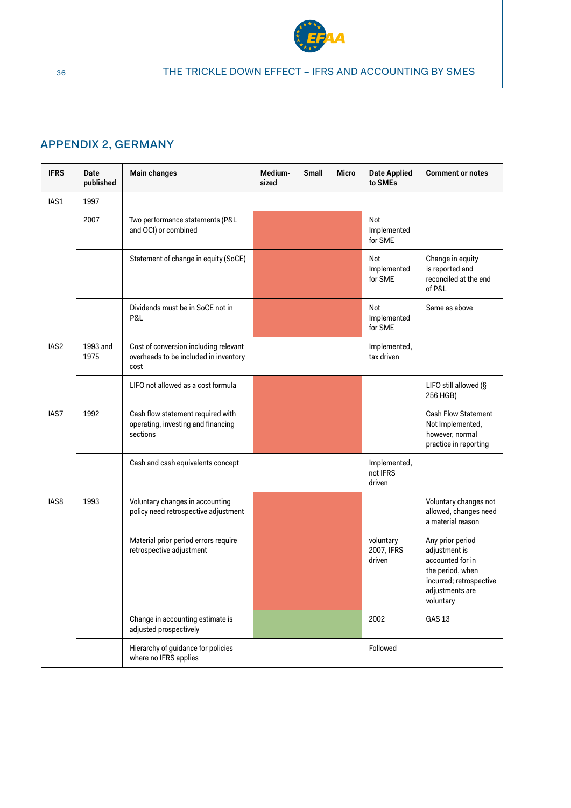

# <span id="page-35-0"></span>APPENDIX 2, GERMANY

| <b>IFRS</b>      | Date<br>published | Main changes                                                                           | Medium-<br>sized | Small | <b>Micro</b> | <b>Date Applied</b><br>to SMEs     | <b>Comment or notes</b>                                                                                                              |
|------------------|-------------------|----------------------------------------------------------------------------------------|------------------|-------|--------------|------------------------------------|--------------------------------------------------------------------------------------------------------------------------------------|
| IAS1             | 1997              |                                                                                        |                  |       |              |                                    |                                                                                                                                      |
|                  | 2007              | Two performance statements (P&L<br>and OCI) or combined                                |                  |       |              | Not<br>Implemented<br>for SME      |                                                                                                                                      |
|                  |                   | Statement of change in equity (SoCE)                                                   |                  |       |              | Not<br>Implemented<br>for SME      | Change in equity<br>is reported and<br>reconciled at the end<br>of P&L                                                               |
|                  |                   | Dividends must be in SoCE not in<br>P&L                                                |                  |       |              | Not<br>Implemented<br>for SME      | Same as above                                                                                                                        |
| IAS <sub>2</sub> | 1993 and<br>1975  | Cost of conversion including relevant<br>overheads to be included in inventory<br>cost |                  |       |              | Implemented,<br>tax driven         |                                                                                                                                      |
|                  |                   | LIFO not allowed as a cost formula                                                     |                  |       |              |                                    | LIFO still allowed (§<br>256 HGB)                                                                                                    |
| IAS7             | 1992              | Cash flow statement required with<br>operating, investing and financing<br>sections    |                  |       |              |                                    | <b>Cash Flow Statement</b><br>Not Implemented,<br>however, normal<br>practice in reporting                                           |
|                  |                   | Cash and cash equivalents concept                                                      |                  |       |              | Implemented,<br>not IFRS<br>driven |                                                                                                                                      |
| IAS8             | 1993              | Voluntary changes in accounting<br>policy need retrospective adjustment                |                  |       |              |                                    | Voluntary changes not<br>allowed, changes need<br>a material reason                                                                  |
|                  |                   | Material prior period errors require<br>retrospective adjustment                       |                  |       |              | voluntary<br>2007, IFRS<br>driven  | Any prior period<br>adjustment is<br>accounted for in<br>the period, when<br>incurred; retrospective<br>adjustments are<br>voluntary |
|                  |                   | Change in accounting estimate is<br>adjusted prospectively                             |                  |       |              | 2002                               | <b>GAS 13</b>                                                                                                                        |
|                  |                   | Hierarchy of guidance for policies<br>where no IFRS applies                            |                  |       |              | Followed                           |                                                                                                                                      |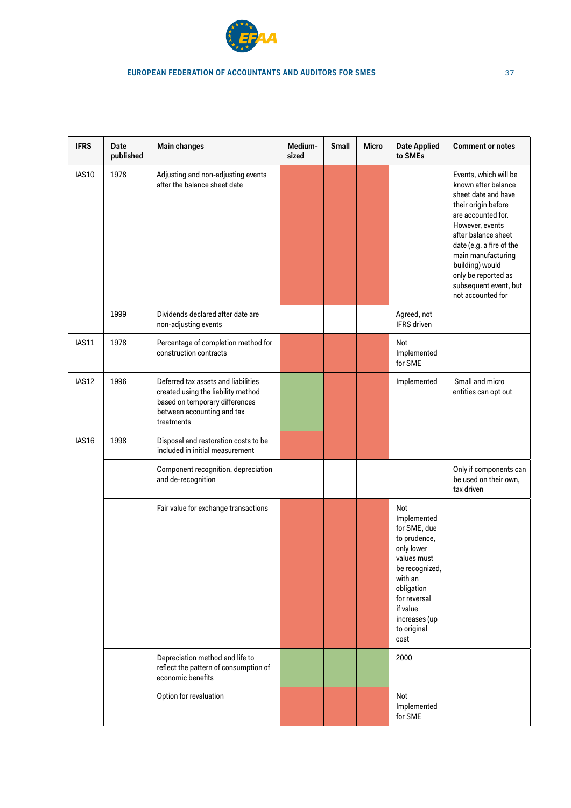

| <b>IFRS</b> | Date<br>published | <b>Main changes</b>                                                                                                                                     | Medium-<br>sized | Small | Micro | <b>Date Applied</b><br>to SMEs                                                                                                                                                                         | <b>Comment or notes</b>                                                                                                                                                                                                                                                                              |
|-------------|-------------------|---------------------------------------------------------------------------------------------------------------------------------------------------------|------------------|-------|-------|--------------------------------------------------------------------------------------------------------------------------------------------------------------------------------------------------------|------------------------------------------------------------------------------------------------------------------------------------------------------------------------------------------------------------------------------------------------------------------------------------------------------|
| IAS10       | 1978              | Adjusting and non-adjusting events<br>after the balance sheet date                                                                                      |                  |       |       |                                                                                                                                                                                                        | Events, which will be<br>known after balance<br>sheet date and have<br>their origin before<br>are accounted for.<br>However, events<br>after balance sheet<br>date (e.g. a fire of the<br>main manufacturing<br>building) would<br>only be reported as<br>subsequent event, but<br>not accounted for |
|             | 1999              | Dividends declared after date are<br>non-adjusting events                                                                                               |                  |       |       | Agreed, not<br><b>IFRS</b> driven                                                                                                                                                                      |                                                                                                                                                                                                                                                                                                      |
| IAS11       | 1978              | Percentage of completion method for<br>construction contracts                                                                                           |                  |       |       | Not<br>Implemented<br>for SME                                                                                                                                                                          |                                                                                                                                                                                                                                                                                                      |
| IAS12       | 1996              | Deferred tax assets and liabilities<br>created using the liability method<br>based on temporary differences<br>between accounting and tax<br>treatments |                  |       |       | Implemented                                                                                                                                                                                            | Small and micro<br>entities can opt out                                                                                                                                                                                                                                                              |
| IAS16       | 1998              | Disposal and restoration costs to be<br>included in initial measurement                                                                                 |                  |       |       |                                                                                                                                                                                                        |                                                                                                                                                                                                                                                                                                      |
|             |                   | Component recognition, depreciation<br>and de-recognition                                                                                               |                  |       |       |                                                                                                                                                                                                        | Only if components can<br>be used on their own,<br>tax driven                                                                                                                                                                                                                                        |
|             |                   | Fair value for exchange transactions<br>Depreciation method and life to                                                                                 |                  |       |       | Not<br>Implemented<br>for SME, due<br>to prudence,<br>only lower<br>values must<br>be recognized,<br>with an<br>obligation<br>for reversal<br>if value<br>increases (up<br>to original<br>cost<br>2000 |                                                                                                                                                                                                                                                                                                      |
|             |                   | reflect the pattern of consumption of<br>economic benefits                                                                                              |                  |       |       |                                                                                                                                                                                                        |                                                                                                                                                                                                                                                                                                      |
|             |                   | Option for revaluation                                                                                                                                  |                  |       |       | Not<br>Implemented<br>for SME                                                                                                                                                                          |                                                                                                                                                                                                                                                                                                      |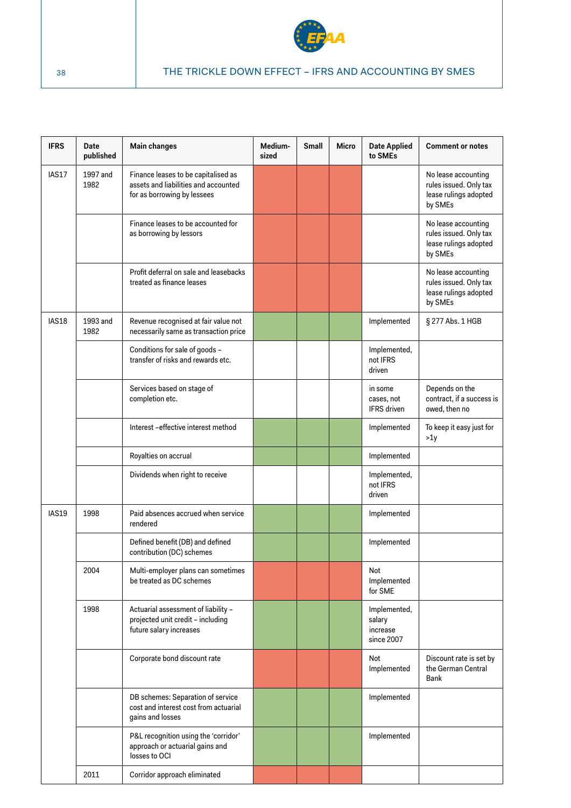

| <b>IFRS</b>  | Date<br>published | Main changes                                                                                               | Medium-<br>sized | <b>Small</b> | <b>Micro</b> | <b>Date Applied</b><br>to SMEs                   | <b>Comment or notes</b>                                                           |
|--------------|-------------------|------------------------------------------------------------------------------------------------------------|------------------|--------------|--------------|--------------------------------------------------|-----------------------------------------------------------------------------------|
| IAS17        | 1997 and<br>1982  | Finance leases to be capitalised as<br>assets and liabilities and accounted<br>for as borrowing by lessees |                  |              |              |                                                  | No lease accounting<br>rules issued. Only tax<br>lease rulings adopted<br>by SMEs |
|              |                   | Finance leases to be accounted for<br>as borrowing by lessors                                              |                  |              |              |                                                  | No lease accounting<br>rules issued. Only tax<br>lease rulings adopted<br>by SMEs |
|              |                   | Profit deferral on sale and leasebacks<br>treated as finance leases                                        |                  |              |              |                                                  | No lease accounting<br>rules issued. Only tax<br>lease rulings adopted<br>by SMEs |
| IAS18        | 1993 and<br>1982  | Revenue recognised at fair value not<br>necessarily same as transaction price                              |                  |              |              | Implemented                                      | § 277 Abs. 1 HGB                                                                  |
|              |                   | Conditions for sale of goods -<br>transfer of risks and rewards etc.                                       |                  |              |              | Implemented,<br>not IFRS<br>driven               |                                                                                   |
|              |                   | Services based on stage of<br>completion etc.                                                              |                  |              |              | in some<br>cases, not<br><b>IFRS</b> driven      | Depends on the<br>contract, if a success is<br>owed, then no                      |
|              |                   | Interest-effective interest method                                                                         |                  |              |              | Implemented                                      | To keep it easy just for<br>>1y                                                   |
|              |                   | Royalties on accrual                                                                                       |                  |              |              | Implemented                                      |                                                                                   |
|              |                   | Dividends when right to receive                                                                            |                  |              |              | Implemented,<br>not IFRS<br>driven               |                                                                                   |
| <b>IAS19</b> | 1998              | Paid absences accrued when service<br>rendered                                                             |                  |              |              | Implemented                                      |                                                                                   |
|              |                   | Defined benefit (DB) and defined<br>contribution (DC) schemes                                              |                  |              |              | Implemented                                      |                                                                                   |
|              | 2004              | Multi-employer plans can sometimes<br>be treated as DC schemes                                             |                  |              |              | Not<br>Implemented<br>for SME                    |                                                                                   |
|              | 1998              | Actuarial assessment of liability -<br>projected unit credit - including<br>future salary increases        |                  |              |              | Implemented,<br>salary<br>increase<br>since 2007 |                                                                                   |
|              |                   | Corporate bond discount rate                                                                               |                  |              |              | Not<br>Implemented                               | Discount rate is set by<br>the German Central<br>Bank                             |
|              |                   | DB schemes: Separation of service<br>cost and interest cost from actuarial<br>gains and losses             |                  |              |              | Implemented                                      |                                                                                   |
|              |                   | P&L recognition using the 'corridor'<br>approach or actuarial gains and<br>losses to OCI                   |                  |              |              | Implemented                                      |                                                                                   |
|              | 2011              | Corridor approach eliminated                                                                               |                  |              |              |                                                  |                                                                                   |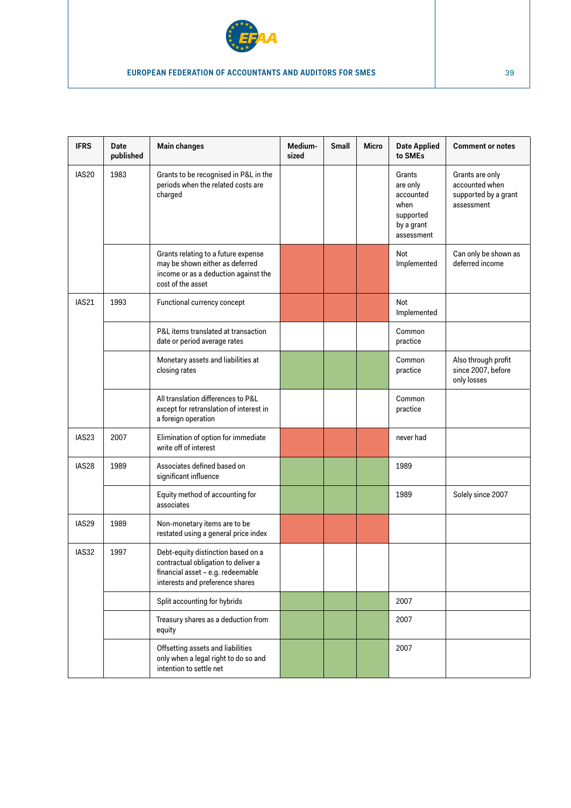

| <b>IFRS</b> | Date<br>published | <b>Main changes</b>                                                                                                                               | Medium-<br>sized | <b>Small</b> | <b>Micro</b> | <b>Date Applied</b><br>to SMEs                                                   | <b>Comment or notes</b>                                                 |
|-------------|-------------------|---------------------------------------------------------------------------------------------------------------------------------------------------|------------------|--------------|--------------|----------------------------------------------------------------------------------|-------------------------------------------------------------------------|
| IAS20       | 1983              | Grants to be recognised in P&L in the<br>periods when the related costs are<br>charged                                                            |                  |              |              | Grants<br>are only<br>accounted<br>when<br>supported<br>by a grant<br>assessment | Grants are only<br>accounted when<br>supported by a grant<br>assessment |
|             |                   | Grants relating to a future expense<br>may be shown either as deferred<br>income or as a deduction against the<br>cost of the asset               |                  |              |              | Not<br>Implemented                                                               | Can only be shown as<br>deferred income                                 |
| IAS21       | 1993              | Functional currency concept                                                                                                                       |                  |              |              | Not<br>Implemented                                                               |                                                                         |
|             |                   | P&L items translated at transaction<br>date or period average rates                                                                               |                  |              |              | Common<br>practice                                                               |                                                                         |
|             |                   | Monetary assets and liabilities at<br>closing rates                                                                                               |                  |              |              | Common<br>practice                                                               | Also through profit<br>since 2007, before<br>only losses                |
|             |                   | All translation differences to P&L<br>except for retranslation of interest in<br>a foreign operation                                              |                  |              |              | Common<br>practice                                                               |                                                                         |
| IAS23       | 2007              | Elimination of option for immediate<br>write off of interest                                                                                      |                  |              |              | never had                                                                        |                                                                         |
| IAS28       | 1989              | Associates defined based on<br>significant influence                                                                                              |                  |              |              | 1989                                                                             |                                                                         |
|             |                   | Equity method of accounting for<br>associates                                                                                                     |                  |              |              | 1989                                                                             | Solely since 2007                                                       |
| IAS29       | 1989              | Non-monetary items are to be<br>restated using a general price index                                                                              |                  |              |              |                                                                                  |                                                                         |
| IAS32       | 1997              | Debt-equity distinction based on a<br>contractual obligation to deliver a<br>financial asset - e.g. redeemable<br>interests and preference shares |                  |              |              |                                                                                  |                                                                         |
|             |                   | Split accounting for hybrids                                                                                                                      |                  |              |              | 2007                                                                             |                                                                         |
|             |                   | Treasury shares as a deduction from<br>equity                                                                                                     |                  |              |              | 2007                                                                             |                                                                         |
|             |                   | Offsetting assets and liabilities<br>only when a legal right to do so and<br>intention to settle net                                              |                  |              |              | 2007                                                                             |                                                                         |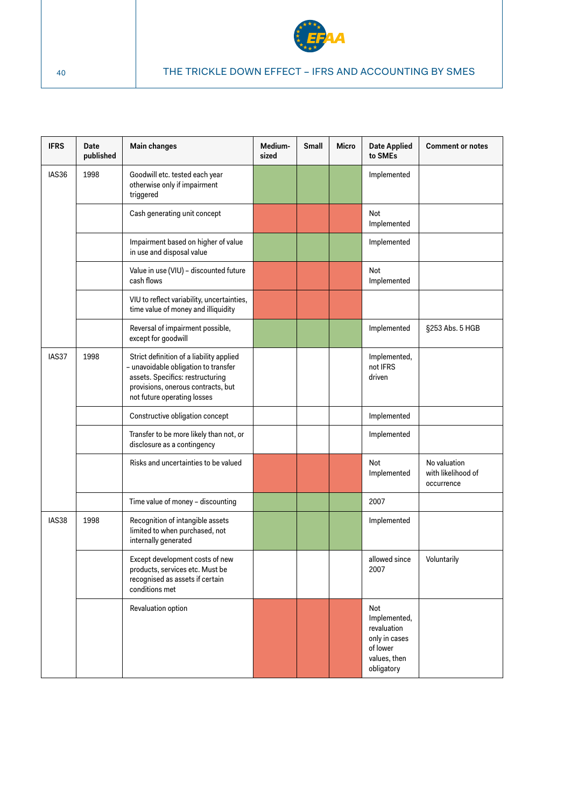

| <b>IFRS</b> | Date<br>published | <b>Main changes</b>                                                                                                                                                                       | Medium-<br>sized | <b>Small</b> | <b>Micro</b> | <b>Date Applied</b><br>to SMEs                                                                | <b>Comment or notes</b>                          |
|-------------|-------------------|-------------------------------------------------------------------------------------------------------------------------------------------------------------------------------------------|------------------|--------------|--------------|-----------------------------------------------------------------------------------------------|--------------------------------------------------|
| IAS36       | 1998              | Goodwill etc. tested each year<br>otherwise only if impairment<br>triggered                                                                                                               |                  |              |              | Implemented                                                                                   |                                                  |
|             |                   | Cash generating unit concept                                                                                                                                                              |                  |              |              | Not<br>Implemented                                                                            |                                                  |
|             |                   | Impairment based on higher of value<br>in use and disposal value                                                                                                                          |                  |              |              | Implemented                                                                                   |                                                  |
|             |                   | Value in use (VIU) - discounted future<br>cash flows                                                                                                                                      |                  |              |              | Not<br>Implemented                                                                            |                                                  |
|             |                   | VIU to reflect variability, uncertainties,<br>time value of money and illiquidity                                                                                                         |                  |              |              |                                                                                               |                                                  |
|             |                   | Reversal of impairment possible,<br>except for goodwill                                                                                                                                   |                  |              |              | Implemented                                                                                   | §253 Abs. 5 HGB                                  |
| IAS37       | 1998              | Strict definition of a liability applied<br>- unavoidable obligation to transfer<br>assets. Specifics: restructuring<br>provisions, onerous contracts, but<br>not future operating losses |                  |              |              | Implemented,<br>not IFRS<br>driven                                                            |                                                  |
|             |                   | Constructive obligation concept                                                                                                                                                           |                  |              |              | Implemented                                                                                   |                                                  |
|             |                   | Transfer to be more likely than not, or<br>disclosure as a contingency                                                                                                                    |                  |              |              | Implemented                                                                                   |                                                  |
|             |                   | Risks and uncertainties to be valued                                                                                                                                                      |                  |              |              | Not<br>Implemented                                                                            | No valuation<br>with likelihood of<br>occurrence |
|             |                   | Time value of money - discounting                                                                                                                                                         |                  |              |              | 2007                                                                                          |                                                  |
| IAS38       | 1998              | Recognition of intangible assets<br>limited to when purchased, not<br>internally generated                                                                                                |                  |              |              | Implemented                                                                                   |                                                  |
|             |                   | Except development costs of new<br>products, services etc. Must be<br>recognised as assets if certain<br>conditions met                                                                   |                  |              |              | allowed since<br>2007                                                                         | Voluntarily                                      |
|             |                   | Revaluation option                                                                                                                                                                        |                  |              |              | Not<br>Implemented,<br>revaluation<br>only in cases<br>of lower<br>values, then<br>obligatory |                                                  |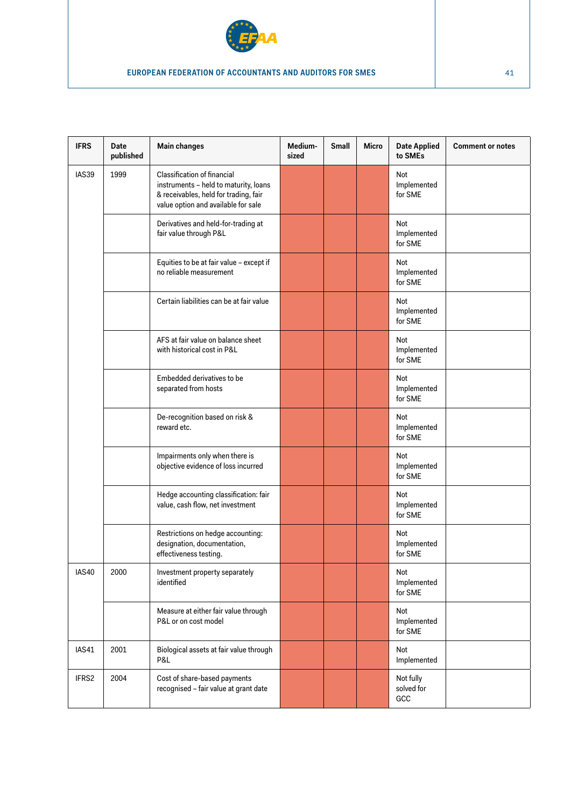

| <b>IFRS</b> | Date<br>published | <b>Main changes</b>                                                                                                                                         | Medium-<br>sized | <b>Small</b> | <b>Micro</b> | <b>Date Applied</b><br>to SMEs | <b>Comment or notes</b> |
|-------------|-------------------|-------------------------------------------------------------------------------------------------------------------------------------------------------------|------------------|--------------|--------------|--------------------------------|-------------------------|
| IAS39       | 1999              | <b>Classification of financial</b><br>instruments - held to maturity, loans<br>& receivables, held for trading, fair<br>value option and available for sale |                  |              |              | Not<br>Implemented<br>for SME  |                         |
|             |                   | Derivatives and held-for-trading at<br>fair value through P&L                                                                                               |                  |              |              | Not<br>Implemented<br>for SME  |                         |
|             |                   | Equities to be at fair value - except if<br>no reliable measurement                                                                                         |                  |              |              | Not<br>Implemented<br>for SME  |                         |
|             |                   | Certain liabilities can be at fair value                                                                                                                    |                  |              |              | Not<br>Implemented<br>for SME  |                         |
|             |                   | AFS at fair value on balance sheet<br>with historical cost in P&L                                                                                           |                  |              |              | Not<br>Implemented<br>for SME  |                         |
|             |                   | Embedded derivatives to be<br>separated from hosts                                                                                                          |                  |              |              | Not<br>Implemented<br>for SME  |                         |
|             |                   | De-recognition based on risk &<br>reward etc.                                                                                                               |                  |              |              | Not<br>Implemented<br>for SME  |                         |
|             |                   | Impairments only when there is<br>objective evidence of loss incurred                                                                                       |                  |              |              | Not<br>Implemented<br>for SME  |                         |
|             |                   | Hedge accounting classification: fair<br>value, cash flow, net investment                                                                                   |                  |              |              | Not<br>Implemented<br>for SME  |                         |
|             |                   | Restrictions on hedge accounting:<br>designation, documentation,<br>effectiveness testing.                                                                  |                  |              |              | Not<br>Implemented<br>for SME  |                         |
| IAS40       | 2000              | Investment property separately<br>identified                                                                                                                |                  |              |              | Not<br>Implemented<br>for SME  |                         |
|             |                   | Measure at either fair value through<br>P&L or on cost model                                                                                                |                  |              |              | Not<br>Implemented<br>for SME  |                         |
| IAS41       | 2001              | Biological assets at fair value through<br>P&L                                                                                                              |                  |              |              | Not<br>Implemented             |                         |
| IFRS2       | 2004              | Cost of share-based payments<br>recognised - fair value at grant date                                                                                       |                  |              |              | Not fully<br>solved for<br>GCC |                         |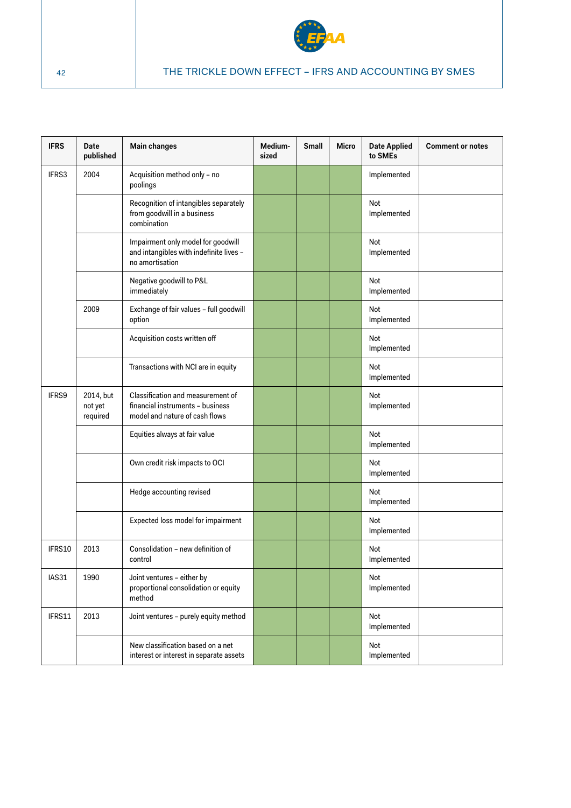

| <b>IFRS</b> | <b>Date</b><br>published         | <b>Main changes</b>                                                                                     | Medium-<br>sized | <b>Small</b> | <b>Micro</b> | <b>Date Applied</b><br>to SMEs | <b>Comment or notes</b> |
|-------------|----------------------------------|---------------------------------------------------------------------------------------------------------|------------------|--------------|--------------|--------------------------------|-------------------------|
| IFRS3       | 2004                             | Acquisition method only - no<br>poolings                                                                |                  |              |              | Implemented                    |                         |
|             |                                  | Recognition of intangibles separately<br>from goodwill in a business<br>combination                     |                  |              |              | Not<br>Implemented             |                         |
|             |                                  | Impairment only model for goodwill<br>and intangibles with indefinite lives -<br>no amortisation        |                  |              |              | Not<br>Implemented             |                         |
|             |                                  | Negative goodwill to P&L<br>immediately                                                                 |                  |              |              | Not<br>Implemented             |                         |
|             | 2009                             | Exchange of fair values - full goodwill<br>option                                                       |                  |              |              | Not<br>Implemented             |                         |
|             |                                  | Acquisition costs written off                                                                           |                  |              |              | Not<br>Implemented             |                         |
|             |                                  | Transactions with NCI are in equity                                                                     |                  |              |              | Not<br>Implemented             |                         |
| IFRS9       | 2014, but<br>not yet<br>required | Classification and measurement of<br>financial instruments - business<br>model and nature of cash flows |                  |              |              | Not<br>Implemented             |                         |
|             |                                  | Equities always at fair value                                                                           |                  |              |              | Not<br>Implemented             |                         |
|             |                                  | Own credit risk impacts to OCI                                                                          |                  |              |              | Not<br>Implemented             |                         |
|             |                                  | Hedge accounting revised                                                                                |                  |              |              | Not<br>Implemented             |                         |
|             |                                  | Expected loss model for impairment                                                                      |                  |              |              | Not<br>Implemented             |                         |
| IFRS10      | 2013                             | Consolidation - new definition of<br>control                                                            |                  |              |              | Not<br>Implemented             |                         |
| IAS31       | 1990                             | Joint ventures - either by<br>proportional consolidation or equity<br>method                            |                  |              |              | Not<br>Implemented             |                         |
| IFRS11      | 2013                             | Joint ventures - purely equity method                                                                   |                  |              |              | Not<br>Implemented             |                         |
|             |                                  | New classification based on a net<br>interest or interest in separate assets                            |                  |              |              | Not<br>Implemented             |                         |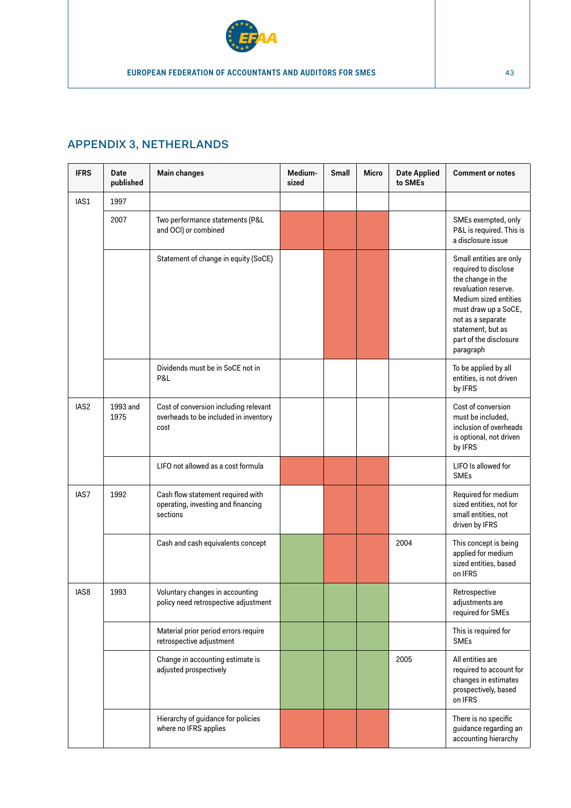

# APPENDIX 3, NETHERLANDS

| <b>IFRS</b>      | Date<br>published | Main changes                                                                           | Medium-<br>sized | Small | <b>Micro</b> | <b>Date Applied</b><br>to SMEs | <b>Comment or notes</b>                                                                                                                                                                                                        |
|------------------|-------------------|----------------------------------------------------------------------------------------|------------------|-------|--------------|--------------------------------|--------------------------------------------------------------------------------------------------------------------------------------------------------------------------------------------------------------------------------|
| IAS1             | 1997              |                                                                                        |                  |       |              |                                |                                                                                                                                                                                                                                |
|                  | 2007              | Two performance statements (P&L<br>and OCI) or combined                                |                  |       |              |                                | SMEs exempted, only<br>P&L is required. This is<br>a disclosure issue                                                                                                                                                          |
|                  |                   | Statement of change in equity (SoCE)                                                   |                  |       |              |                                | Small entities are only<br>required to disclose<br>the change in the<br>revaluation reserve.<br>Medium sized entities<br>must draw up a SoCE,<br>not as a separate<br>statement, but as<br>part of the disclosure<br>paragraph |
|                  |                   | Dividends must be in SoCE not in<br>P&L                                                |                  |       |              |                                | To be applied by all<br>entities, is not driven<br>by IFRS                                                                                                                                                                     |
| IAS <sub>2</sub> | 1993 and<br>1975  | Cost of conversion including relevant<br>overheads to be included in inventory<br>cost |                  |       |              |                                | Cost of conversion<br>must be included,<br>inclusion of overheads<br>is optional, not driven<br>by IFRS                                                                                                                        |
|                  |                   | LIFO not allowed as a cost formula                                                     |                  |       |              |                                | LIFO Is allowed for<br><b>SMEs</b>                                                                                                                                                                                             |
| IAS7             | 1992              | Cash flow statement required with<br>operating, investing and financing<br>sections    |                  |       |              |                                | Required for medium<br>sized entities, not for<br>small entities, not<br>driven by IFRS                                                                                                                                        |
|                  |                   | Cash and cash equivalents concept                                                      |                  |       |              | 2004                           | This concept is being<br>applied for medium<br>sized entities, based<br>on IFRS                                                                                                                                                |
| IAS8             | 1993              | Voluntary changes in accounting<br>policy need retrospective adjustment                |                  |       |              |                                | Retrospective<br>adjustments are<br>required for SMEs                                                                                                                                                                          |
|                  |                   | Material prior period errors require<br>retrospective adjustment                       |                  |       |              |                                | This is required for<br><b>SMEs</b>                                                                                                                                                                                            |
|                  |                   | Change in accounting estimate is<br>adjusted prospectively                             |                  |       |              | 2005                           | All entities are<br>required to account for<br>changes in estimates<br>prospectively, based<br>on IFRS                                                                                                                         |
|                  |                   | Hierarchy of guidance for policies<br>where no IFRS applies                            |                  |       |              |                                | There is no specific<br>guidance regarding an<br>accounting hierarchy                                                                                                                                                          |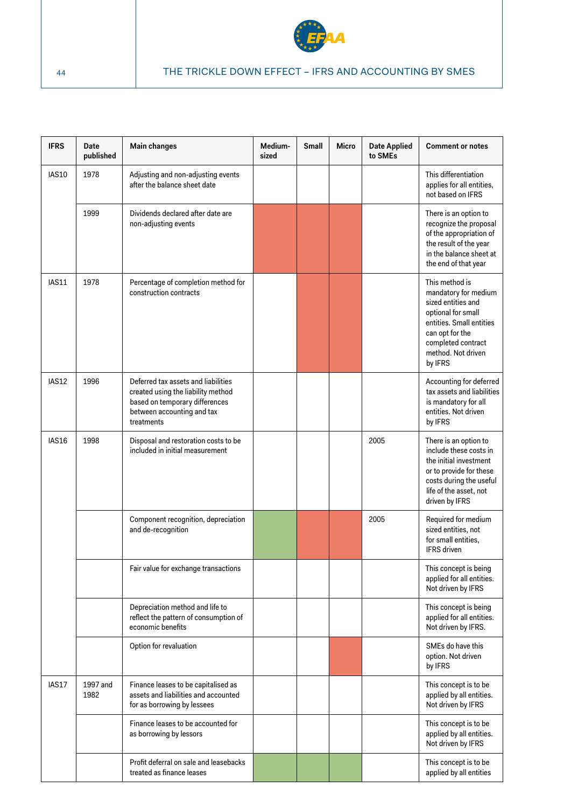

| <b>IFRS</b>  | Date<br>published | <b>Main changes</b>                                                                                                                                     | Medium-<br>sized | Small | <b>Micro</b> | <b>Date Applied</b><br>to SMEs | <b>Comment or notes</b>                                                                                                                                                                  |
|--------------|-------------------|---------------------------------------------------------------------------------------------------------------------------------------------------------|------------------|-------|--------------|--------------------------------|------------------------------------------------------------------------------------------------------------------------------------------------------------------------------------------|
| <b>IAS10</b> | 1978              | Adjusting and non-adjusting events<br>after the balance sheet date                                                                                      |                  |       |              |                                | This differentiation<br>applies for all entities,<br>not based on IFRS                                                                                                                   |
|              | 1999              | Dividends declared after date are<br>non-adjusting events                                                                                               |                  |       |              |                                | There is an option to<br>recognize the proposal<br>of the appropriation of<br>the result of the year<br>in the balance sheet at<br>the end of that year                                  |
| IAS11        | 1978              | Percentage of completion method for<br>construction contracts                                                                                           |                  |       |              |                                | This method is<br>mandatory for medium<br>sized entities and<br>optional for small<br>entities. Small entities<br>can opt for the<br>completed contract<br>method. Not driven<br>by IFRS |
| IAS12        | 1996              | Deferred tax assets and liabilities<br>created using the liability method<br>based on temporary differences<br>between accounting and tax<br>treatments |                  |       |              |                                | Accounting for deferred<br>tax assets and liabilities<br>is mandatory for all<br>entities. Not driven<br>by IFRS                                                                         |
| IAS16        | 1998              | Disposal and restoration costs to be<br>included in initial measurement                                                                                 |                  |       |              | 2005                           | There is an option to<br>include these costs in<br>the initial investment<br>or to provide for these<br>costs during the useful<br>life of the asset, not<br>driven by IFRS              |
|              |                   | Component recognition, depreciation<br>and de-recognition                                                                                               |                  |       |              | 2005                           | Required for medium<br>sized entities, not<br>for small entities,<br><b>IFRS</b> driven                                                                                                  |
|              |                   | Fair value for exchange transactions                                                                                                                    |                  |       |              |                                | This concept is being<br>applied for all entities.<br>Not driven by IFRS                                                                                                                 |
|              |                   | Depreciation method and life to<br>reflect the pattern of consumption of<br>economic benefits                                                           |                  |       |              |                                | This concept is being<br>applied for all entities.<br>Not driven by IFRS.                                                                                                                |
|              |                   | Option for revaluation                                                                                                                                  |                  |       |              |                                | SMEs do have this<br>option. Not driven<br>by IFRS                                                                                                                                       |
| IAS17        | 1997 and<br>1982  | Finance leases to be capitalised as<br>assets and liabilities and accounted<br>for as borrowing by lessees                                              |                  |       |              |                                | This concept is to be<br>applied by all entities.<br>Not driven by IFRS                                                                                                                  |
|              |                   | Finance leases to be accounted for<br>as borrowing by lessors                                                                                           |                  |       |              |                                | This concept is to be<br>applied by all entities.<br>Not driven by IFRS                                                                                                                  |
|              |                   | Profit deferral on sale and leasebacks<br>treated as finance leases                                                                                     |                  |       |              |                                | This concept is to be<br>applied by all entities                                                                                                                                         |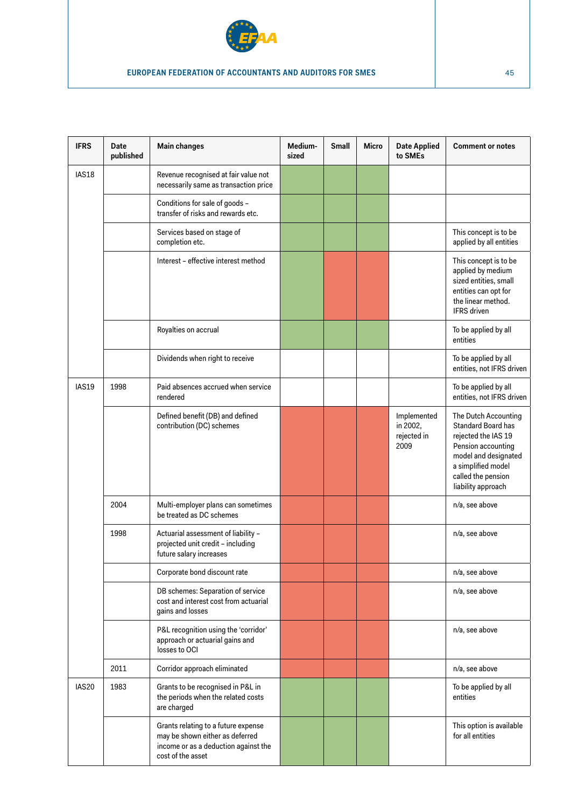

| <b>IFRS</b>  | Date<br>published | <b>Main changes</b>                                                                                                                 | Medium-<br>sized | <b>Small</b> | <b>Micro</b> | <b>Date Applied</b><br>to SMEs                 | <b>Comment or notes</b>                                                                                                                                                           |
|--------------|-------------------|-------------------------------------------------------------------------------------------------------------------------------------|------------------|--------------|--------------|------------------------------------------------|-----------------------------------------------------------------------------------------------------------------------------------------------------------------------------------|
| IAS18        |                   | Revenue recognised at fair value not<br>necessarily same as transaction price                                                       |                  |              |              |                                                |                                                                                                                                                                                   |
|              |                   | Conditions for sale of goods -<br>transfer of risks and rewards etc.                                                                |                  |              |              |                                                |                                                                                                                                                                                   |
|              |                   | Services based on stage of<br>completion etc.                                                                                       |                  |              |              |                                                | This concept is to be<br>applied by all entities                                                                                                                                  |
|              |                   | Interest - effective interest method                                                                                                |                  |              |              |                                                | This concept is to be<br>applied by medium<br>sized entities, small<br>entities can opt for<br>the linear method.<br><b>IFRS</b> driven                                           |
|              |                   | Royalties on accrual                                                                                                                |                  |              |              |                                                | To be applied by all<br>entities                                                                                                                                                  |
|              |                   | Dividends when right to receive                                                                                                     |                  |              |              |                                                | To be applied by all<br>entities, not IFRS driven                                                                                                                                 |
| <b>IAS19</b> | 1998              | Paid absences accrued when service<br>rendered                                                                                      |                  |              |              |                                                | To be applied by all<br>entities, not IFRS driven                                                                                                                                 |
|              |                   | Defined benefit (DB) and defined<br>contribution (DC) schemes                                                                       |                  |              |              | Implemented<br>in 2002,<br>rejected in<br>2009 | The Dutch Accounting<br>Standard Board has<br>rejected the IAS 19<br>Pension accounting<br>model and designated<br>a simplified model<br>called the pension<br>liability approach |
|              | 2004              | Multi-employer plans can sometimes<br>be treated as DC schemes                                                                      |                  |              |              |                                                | n/a, see above                                                                                                                                                                    |
|              | 1998              | Actuarial assessment of liability -<br>projected unit credit - including<br>future salary increases                                 |                  |              |              |                                                | n/a, see above                                                                                                                                                                    |
|              |                   | Corporate bond discount rate                                                                                                        |                  |              |              |                                                | n/a, see above                                                                                                                                                                    |
|              |                   | DB schemes: Separation of service<br>cost and interest cost from actuarial<br>gains and losses                                      |                  |              |              |                                                | n/a, see above                                                                                                                                                                    |
|              |                   | P&L recognition using the 'corridor'<br>approach or actuarial gains and<br>losses to OCI                                            |                  |              |              |                                                | n/a, see above                                                                                                                                                                    |
|              | 2011              | Corridor approach eliminated                                                                                                        |                  |              |              |                                                | n/a, see above                                                                                                                                                                    |
| IAS20        | 1983              | Grants to be recognised in P&L in<br>the periods when the related costs<br>are charged                                              |                  |              |              |                                                | To be applied by all<br>entities                                                                                                                                                  |
|              |                   | Grants relating to a future expense<br>may be shown either as deferred<br>income or as a deduction against the<br>cost of the asset |                  |              |              |                                                | This option is available<br>for all entities                                                                                                                                      |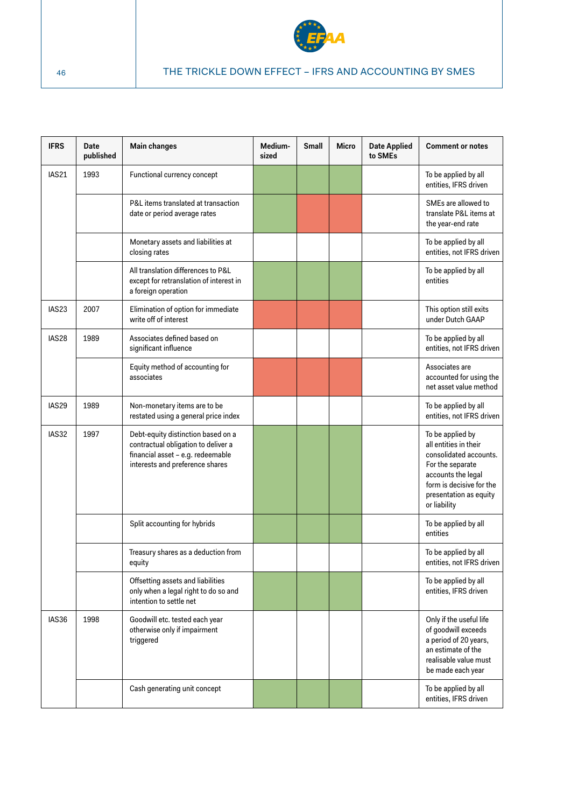

| <b>IFRS</b> | Date<br>published | Main changes                                                                                                                                      | Medium-<br>sized | Small | <b>Micro</b> | <b>Date Applied</b><br>to SMEs | <b>Comment or notes</b>                                                                                                                                                             |
|-------------|-------------------|---------------------------------------------------------------------------------------------------------------------------------------------------|------------------|-------|--------------|--------------------------------|-------------------------------------------------------------------------------------------------------------------------------------------------------------------------------------|
| IAS21       | 1993              | Functional currency concept                                                                                                                       |                  |       |              |                                | To be applied by all<br>entities, IFRS driven                                                                                                                                       |
|             |                   | P&L items translated at transaction<br>date or period average rates                                                                               |                  |       |              |                                | SMEs are allowed to<br>translate P&L items at<br>the year-end rate                                                                                                                  |
|             |                   | Monetary assets and liabilities at<br>closing rates                                                                                               |                  |       |              |                                | To be applied by all<br>entities, not IFRS driven                                                                                                                                   |
|             |                   | All translation differences to P&L<br>except for retranslation of interest in<br>a foreign operation                                              |                  |       |              |                                | To be applied by all<br>entities                                                                                                                                                    |
| IAS23       | 2007              | Elimination of option for immediate<br>write off of interest                                                                                      |                  |       |              |                                | This option still exits<br>under Dutch GAAP                                                                                                                                         |
| IAS28       | 1989              | Associates defined based on<br>significant influence                                                                                              |                  |       |              |                                | To be applied by all<br>entities, not IFRS driven                                                                                                                                   |
|             |                   | Equity method of accounting for<br>associates                                                                                                     |                  |       |              |                                | Associates are<br>accounted for using the<br>net asset value method                                                                                                                 |
| IAS29       | 1989              | Non-monetary items are to be<br>restated using a general price index                                                                              |                  |       |              |                                | To be applied by all<br>entities, not IFRS driven                                                                                                                                   |
| IAS32       | 1997              | Debt-equity distinction based on a<br>contractual obligation to deliver a<br>financial asset - e.g. redeemable<br>interests and preference shares |                  |       |              |                                | To be applied by<br>all entities in their<br>consolidated accounts.<br>For the separate<br>accounts the legal<br>form is decisive for the<br>presentation as equity<br>or liability |
|             |                   | Split accounting for hybrids                                                                                                                      |                  |       |              |                                | To be applied by all<br>entities                                                                                                                                                    |
|             |                   | Treasury shares as a deduction from<br>equity                                                                                                     |                  |       |              |                                | To be applied by all<br>entities, not IFRS driven                                                                                                                                   |
|             |                   | Offsetting assets and liabilities<br>only when a legal right to do so and<br>intention to settle net                                              |                  |       |              |                                | To be applied by all<br>entities, IFRS driven                                                                                                                                       |
| IAS36       | 1998              | Goodwill etc. tested each year<br>otherwise only if impairment<br>triggered                                                                       |                  |       |              |                                | Only if the useful life<br>of goodwill exceeds<br>a period of 20 years,<br>an estimate of the<br>realisable value must<br>be made each year                                         |
|             |                   | Cash generating unit concept                                                                                                                      |                  |       |              |                                | To be applied by all<br>entities, IFRS driven                                                                                                                                       |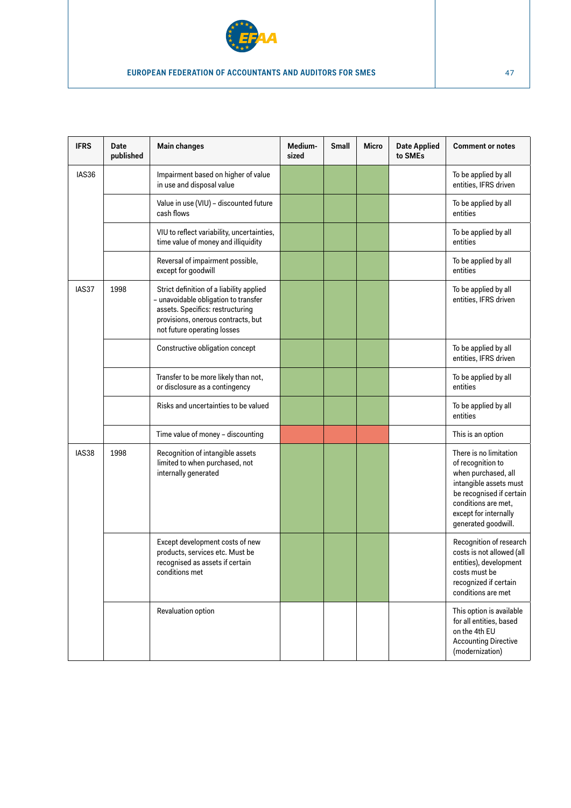

| <b>IFRS</b> | Date<br>published | <b>Main changes</b>                                                                                                                                                                       | Medium-<br>sized | <b>Small</b> | <b>Micro</b> | <b>Date Applied</b><br>to SMEs | <b>Comment or notes</b>                                                                                                                                                                         |
|-------------|-------------------|-------------------------------------------------------------------------------------------------------------------------------------------------------------------------------------------|------------------|--------------|--------------|--------------------------------|-------------------------------------------------------------------------------------------------------------------------------------------------------------------------------------------------|
| IAS36       |                   | Impairment based on higher of value<br>in use and disposal value                                                                                                                          |                  |              |              |                                | To be applied by all<br>entities, IFRS driven                                                                                                                                                   |
|             |                   | Value in use (VIU) - discounted future<br>cash flows                                                                                                                                      |                  |              |              |                                | To be applied by all<br>entities                                                                                                                                                                |
|             |                   | VIU to reflect variability, uncertainties,<br>time value of money and illiquidity                                                                                                         |                  |              |              |                                | To be applied by all<br>entities                                                                                                                                                                |
|             |                   | Reversal of impairment possible,<br>except for goodwill                                                                                                                                   |                  |              |              |                                | To be applied by all<br>entities                                                                                                                                                                |
| IAS37       | 1998              | Strict definition of a liability applied<br>- unavoidable obligation to transfer<br>assets. Specifics: restructuring<br>provisions, onerous contracts, but<br>not future operating losses |                  |              |              |                                | To be applied by all<br>entities, IFRS driven                                                                                                                                                   |
|             |                   | Constructive obligation concept                                                                                                                                                           |                  |              |              |                                | To be applied by all<br>entities, IFRS driven                                                                                                                                                   |
|             |                   | Transfer to be more likely than not,<br>or disclosure as a contingency                                                                                                                    |                  |              |              |                                | To be applied by all<br>entities                                                                                                                                                                |
|             |                   | Risks and uncertainties to be valued                                                                                                                                                      |                  |              |              |                                | To be applied by all<br>entities                                                                                                                                                                |
|             |                   | Time value of money - discounting                                                                                                                                                         |                  |              |              |                                | This is an option                                                                                                                                                                               |
| IAS38       | 1998              | Recognition of intangible assets<br>limited to when purchased, not<br>internally generated                                                                                                |                  |              |              |                                | There is no limitation<br>of recognition to<br>when purchased, all<br>intangible assets must<br>be recognised if certain<br>conditions are met,<br>except for internally<br>generated goodwill. |
|             |                   | Except development costs of new<br>products, services etc. Must be<br>recognised as assets if certain<br>conditions met                                                                   |                  |              |              |                                | Recognition of research<br>costs is not allowed (all<br>entities), development<br>costs must be<br>recognized if certain<br>conditions are met                                                  |
|             |                   | Revaluation option                                                                                                                                                                        |                  |              |              |                                | This option is available<br>for all entities, based<br>on the 4th EU<br><b>Accounting Directive</b><br>(modernization)                                                                          |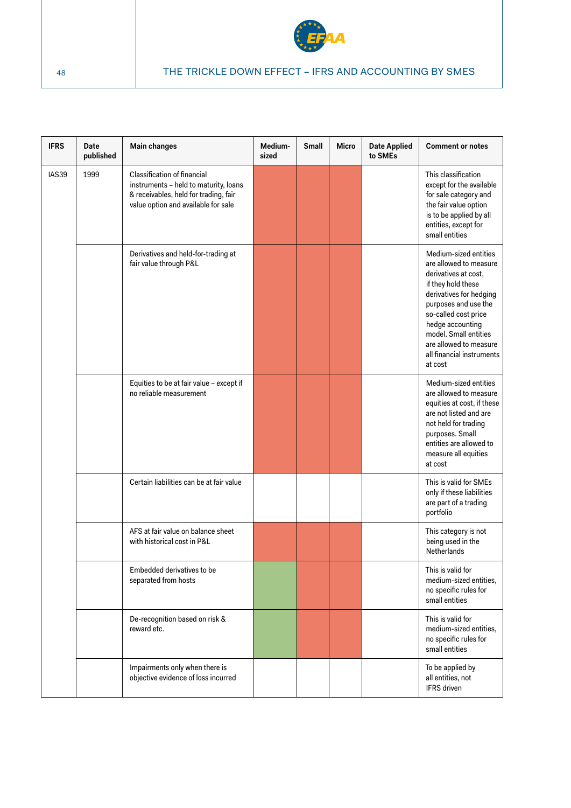

| <b>IFRS</b> | Date<br>published | Main changes                                                                                                                                                | Medium-<br>sized | <b>Small</b> | <b>Micro</b> | <b>Date Applied</b><br>to SMEs | <b>Comment or notes</b>                                                                                                                                                                                                                                                                 |
|-------------|-------------------|-------------------------------------------------------------------------------------------------------------------------------------------------------------|------------------|--------------|--------------|--------------------------------|-----------------------------------------------------------------------------------------------------------------------------------------------------------------------------------------------------------------------------------------------------------------------------------------|
| IAS39       | 1999              | <b>Classification of financial</b><br>instruments - held to maturity, loans<br>& receivables, held for trading, fair<br>value option and available for sale |                  |              |              |                                | This classification<br>except for the available<br>for sale category and<br>the fair value option<br>is to be applied by all<br>entities, except for<br>small entities                                                                                                                  |
|             |                   | Derivatives and held-for-trading at<br>fair value through P&L                                                                                               |                  |              |              |                                | Medium-sized entities<br>are allowed to measure<br>derivatives at cost,<br>if they hold these<br>derivatives for hedging<br>purposes and use the<br>so-called cost price<br>hedge accounting<br>model. Small entities<br>are allowed to measure<br>all financial instruments<br>at cost |
|             |                   | Equities to be at fair value - except if<br>no reliable measurement                                                                                         |                  |              |              |                                | Medium-sized entities<br>are allowed to measure<br>equities at cost, if these<br>are not listed and are<br>not held for trading<br>purposes. Small<br>entities are allowed to<br>measure all equities<br>at cost                                                                        |
|             |                   | Certain liabilities can be at fair value                                                                                                                    |                  |              |              |                                | This is valid for SMEs<br>only if these liabilities<br>are part of a trading<br>portfolio                                                                                                                                                                                               |
|             |                   | AFS at fair value on balance sheet<br>with historical cost in P&L                                                                                           |                  |              |              |                                | This category is not<br>being used in the<br>Netherlands                                                                                                                                                                                                                                |
|             |                   | Embedded derivatives to be<br>separated from hosts                                                                                                          |                  |              |              |                                | This is valid for<br>medium-sized entities,<br>no specific rules for<br>small entities                                                                                                                                                                                                  |
|             |                   | De-recognition based on risk &<br>reward etc.                                                                                                               |                  |              |              |                                | This is valid for<br>medium-sized entities,<br>no specific rules for<br>small entities                                                                                                                                                                                                  |
|             |                   | Impairments only when there is<br>objective evidence of loss incurred                                                                                       |                  |              |              |                                | To be applied by<br>all entities, not<br><b>IFRS</b> driven                                                                                                                                                                                                                             |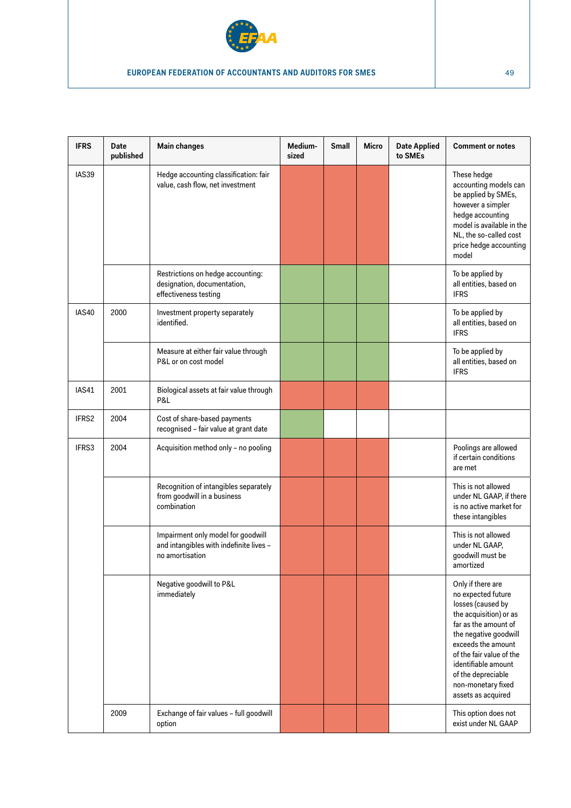

| <b>IFRS</b>       | Date<br>published | <b>Main changes</b>                                                                              | Medium-<br>sized | <b>Small</b> | <b>Micro</b> | <b>Date Applied</b><br>to SMEs | <b>Comment or notes</b>                                                                                                                                                                                                                                                            |
|-------------------|-------------------|--------------------------------------------------------------------------------------------------|------------------|--------------|--------------|--------------------------------|------------------------------------------------------------------------------------------------------------------------------------------------------------------------------------------------------------------------------------------------------------------------------------|
| IAS39             |                   | Hedge accounting classification: fair<br>value, cash flow, net investment                        |                  |              |              |                                | These hedge<br>accounting models can<br>be applied by SMEs,<br>however a simpler<br>hedge accounting<br>model is available in the<br>NL, the so-called cost<br>price hedge accounting<br>model                                                                                     |
|                   |                   | Restrictions on hedge accounting:<br>designation, documentation,<br>effectiveness testing        |                  |              |              |                                | To be applied by<br>all entities, based on<br><b>IFRS</b>                                                                                                                                                                                                                          |
| IAS40             | 2000              | Investment property separately<br>identified.                                                    |                  |              |              |                                | To be applied by<br>all entities, based on<br><b>IFRS</b>                                                                                                                                                                                                                          |
|                   |                   | Measure at either fair value through<br>P&L or on cost model                                     |                  |              |              |                                | To be applied by<br>all entities, based on<br><b>IFRS</b>                                                                                                                                                                                                                          |
| IAS41             | 2001              | Biological assets at fair value through<br>P&L                                                   |                  |              |              |                                |                                                                                                                                                                                                                                                                                    |
| IFRS <sub>2</sub> | 2004              | Cost of share-based payments<br>recognised - fair value at grant date                            |                  |              |              |                                |                                                                                                                                                                                                                                                                                    |
| IFRS3             | 2004              | Acquisition method only - no pooling                                                             |                  |              |              |                                | Poolings are allowed<br>if certain conditions<br>are met                                                                                                                                                                                                                           |
|                   |                   | Recognition of intangibles separately<br>from goodwill in a business<br>combination              |                  |              |              |                                | This is not allowed<br>under NL GAAP, if there<br>is no active market for<br>these intangibles                                                                                                                                                                                     |
|                   |                   | Impairment only model for goodwill<br>and intangibles with indefinite lives -<br>no amortisation |                  |              |              |                                | This is not allowed<br>under NL GAAP,<br>goodwill must be<br>amortized                                                                                                                                                                                                             |
|                   |                   | Negative goodwill to P&L<br>immediately                                                          |                  |              |              |                                | Only if there are<br>no expected future<br>losses (caused by<br>the acquisition) or as<br>far as the amount of<br>the negative goodwill<br>exceeds the amount<br>of the fair value of the<br>identifiable amount<br>of the depreciable<br>non-monetary fixed<br>assets as acquired |
|                   | 2009              | Exchange of fair values - full goodwill<br>option                                                |                  |              |              |                                | This option does not<br>exist under NL GAAP                                                                                                                                                                                                                                        |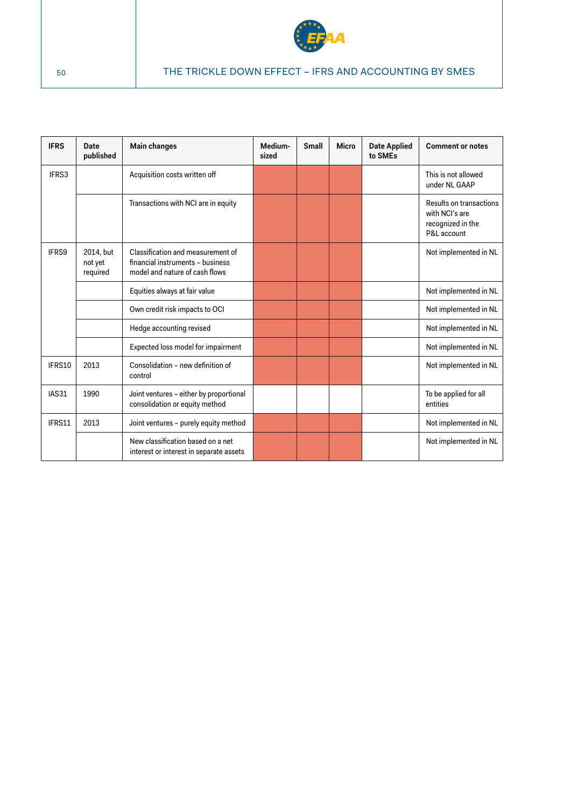

| <b>IFRS</b> | Date<br>published                | Main changes                                                                                            | Medium-<br>sized | Small | <b>Micro</b> | <b>Date Applied</b><br>to SMEs | <b>Comment or notes</b>                                                       |
|-------------|----------------------------------|---------------------------------------------------------------------------------------------------------|------------------|-------|--------------|--------------------------------|-------------------------------------------------------------------------------|
| IFRS3       |                                  | Acquisition costs written off                                                                           |                  |       |              |                                | This is not allowed<br>under NL GAAP                                          |
|             |                                  | Transactions with NCI are in equity                                                                     |                  |       |              |                                | Results on transactions<br>with NCI's are<br>recognized in the<br>P&L account |
| IFRS9       | 2014, but<br>not yet<br>required | Classification and measurement of<br>financial instruments - business<br>model and nature of cash flows |                  |       |              |                                | Not implemented in NL                                                         |
|             |                                  | Equities always at fair value                                                                           |                  |       |              |                                | Not implemented in NL                                                         |
|             |                                  | Own credit risk impacts to OCI                                                                          |                  |       |              |                                | Not implemented in NL                                                         |
|             |                                  | Hedge accounting revised                                                                                |                  |       |              |                                | Not implemented in NL                                                         |
|             |                                  | Expected loss model for impairment                                                                      |                  |       |              |                                | Not implemented in NL                                                         |
| IFRS10      | 2013                             | Consolidation - new definition of<br>control                                                            |                  |       |              |                                | Not implemented in NL                                                         |
| IAS31       | 1990                             | Joint ventures - either by proportional<br>consolidation or equity method                               |                  |       |              |                                | To be applied for all<br>entities                                             |
| IFRS11      | 2013                             | Joint ventures - purely equity method                                                                   |                  |       |              |                                | Not implemented in NL                                                         |
|             |                                  | New classification based on a net<br>interest or interest in separate assets                            |                  |       |              |                                | Not implemented in NL                                                         |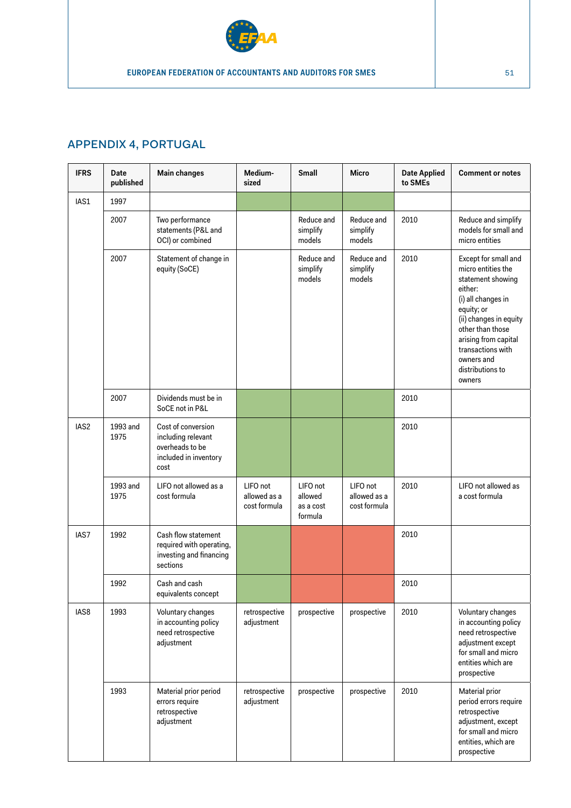

# APPENDIX 4, PORTUGAL

| <b>IFRS</b> | <b>Date</b><br>published | <b>Main changes</b>                                                                          | Medium-<br>sized                         | <b>Small</b>                                | Micro                                    | <b>Date Applied</b><br>to SMEs | <b>Comment or notes</b>                                                                                                                                                                                                                               |
|-------------|--------------------------|----------------------------------------------------------------------------------------------|------------------------------------------|---------------------------------------------|------------------------------------------|--------------------------------|-------------------------------------------------------------------------------------------------------------------------------------------------------------------------------------------------------------------------------------------------------|
| IAS1        | 1997                     |                                                                                              |                                          |                                             |                                          |                                |                                                                                                                                                                                                                                                       |
|             | 2007                     | Two performance<br>statements (P&L and<br>OCI) or combined                                   |                                          | Reduce and<br>simplify<br>models            | Reduce and<br>simplify<br>models         | 2010                           | Reduce and simplify<br>models for small and<br>micro entities                                                                                                                                                                                         |
|             | 2007                     | Statement of change in<br>equity (SoCE)                                                      |                                          | Reduce and<br>simplify<br>models            | Reduce and<br>simplify<br>models         | 2010                           | Except for small and<br>micro entities the<br>statement showing<br>either:<br>(i) all changes in<br>equity; or<br>(ii) changes in equity<br>other than those<br>arising from capital<br>transactions with<br>owners and<br>distributions to<br>owners |
|             | 2007                     | Dividends must be in<br>SoCE not in P&L                                                      |                                          |                                             |                                          | 2010                           |                                                                                                                                                                                                                                                       |
| IAS2        | 1993 and<br>1975         | Cost of conversion<br>including relevant<br>overheads to be<br>included in inventory<br>cost |                                          |                                             |                                          | 2010                           |                                                                                                                                                                                                                                                       |
|             | 1993 and<br>1975         | LIFO not allowed as a<br>cost formula                                                        | LIFO not<br>allowed as a<br>cost formula | LIFO not<br>allowed<br>as a cost<br>formula | LIFO not<br>allowed as a<br>cost formula | 2010                           | LIFO not allowed as<br>a cost formula                                                                                                                                                                                                                 |
| IAS7        | 1992                     | Cash flow statement<br>required with operating,<br>investing and financing<br>sections       |                                          |                                             |                                          | 2010                           |                                                                                                                                                                                                                                                       |
|             | 1992                     | Cash and cash<br>equivalents concept                                                         |                                          |                                             |                                          | 2010                           |                                                                                                                                                                                                                                                       |
| IAS8        | 1993                     | Voluntary changes<br>in accounting policy<br>need retrospective<br>adjustment                | retrospective<br>adjustment              | prospective                                 | prospective                              | 2010                           | Voluntary changes<br>in accounting policy<br>need retrospective<br>adjustment except<br>for small and micro<br>entities which are<br>prospective                                                                                                      |
|             | 1993                     | Material prior period<br>errors require<br>retrospective<br>adjustment                       | retrospective<br>adjustment              | prospective                                 | prospective                              | 2010                           | Material prior<br>period errors require<br>retrospective<br>adjustment, except<br>for small and micro<br>entities, which are<br>prospective                                                                                                           |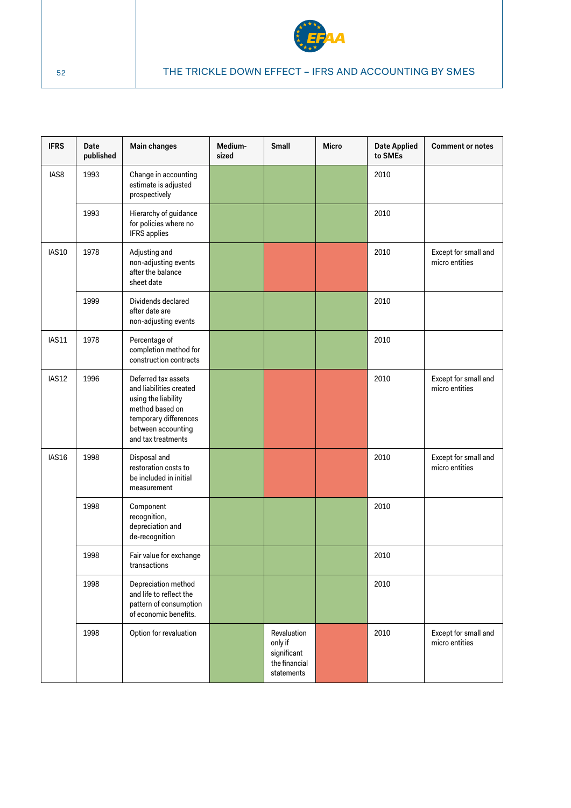

| <b>IFRS</b>  | Date<br>published | Main changes                                                                                                                                                  | Medium-<br>sized | Small                                                                | Micro | <b>Date Applied</b><br>to SMEs | <b>Comment or notes</b>                |
|--------------|-------------------|---------------------------------------------------------------------------------------------------------------------------------------------------------------|------------------|----------------------------------------------------------------------|-------|--------------------------------|----------------------------------------|
| IAS8         | 1993              | Change in accounting<br>estimate is adjusted<br>prospectively                                                                                                 |                  |                                                                      |       | 2010                           |                                        |
|              | 1993              | Hierarchy of guidance<br>for policies where no<br><b>IFRS</b> applies                                                                                         |                  |                                                                      |       | 2010                           |                                        |
| <b>IAS10</b> | 1978              | Adjusting and<br>non-adjusting events<br>after the balance<br>sheet date                                                                                      |                  |                                                                      |       | 2010                           | Except for small and<br>micro entities |
|              | 1999              | Dividends declared<br>after date are<br>non-adjusting events                                                                                                  |                  |                                                                      |       | 2010                           |                                        |
| IAS11        | 1978              | Percentage of<br>completion method for<br>construction contracts                                                                                              |                  |                                                                      |       | 2010                           |                                        |
| IAS12        | 1996              | Deferred tax assets<br>and liabilities created<br>using the liability<br>method based on<br>temporary differences<br>between accounting<br>and tax treatments |                  |                                                                      |       | 2010                           | Except for small and<br>micro entities |
| IAS16        | 1998              | Disposal and<br>restoration costs to<br>be included in initial<br>measurement                                                                                 |                  |                                                                      |       | 2010                           | Except for small and<br>micro entities |
|              | 1998              | Component<br>recognition,<br>depreciation and<br>de-recognition                                                                                               |                  |                                                                      |       | 2010                           |                                        |
|              | 1998              | Fair value for exchange<br>transactions                                                                                                                       |                  |                                                                      |       | 2010                           |                                        |
|              | 1998              | Depreciation method<br>and life to reflect the<br>pattern of consumption<br>of economic benefits.                                                             |                  |                                                                      |       | 2010                           |                                        |
|              | 1998              | Option for revaluation                                                                                                                                        |                  | Revaluation<br>only if<br>significant<br>the financial<br>statements |       | 2010                           | Except for small and<br>micro entities |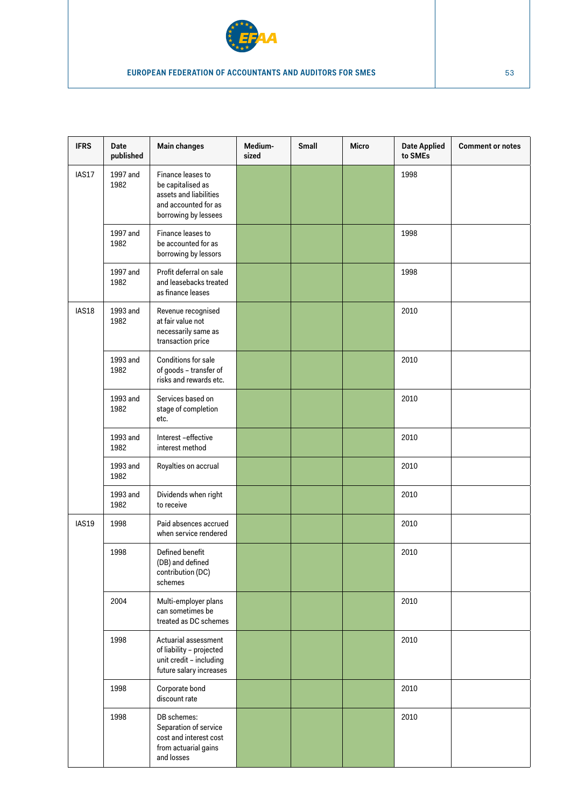

| <b>IFRS</b> | Date<br>published | <b>Main changes</b>                                                                                              | Medium-<br>sized | Small | <b>Micro</b> | <b>Date Applied</b><br>to SMEs | <b>Comment or notes</b> |
|-------------|-------------------|------------------------------------------------------------------------------------------------------------------|------------------|-------|--------------|--------------------------------|-------------------------|
| IAS17       | 1997 and<br>1982  | Finance leases to<br>be capitalised as<br>assets and liabilities<br>and accounted for as<br>borrowing by lessees |                  |       |              | 1998                           |                         |
|             | 1997 and<br>1982  | Finance leases to<br>be accounted for as<br>borrowing by lessors                                                 |                  |       |              | 1998                           |                         |
|             | 1997 and<br>1982  | Profit deferral on sale<br>and leasebacks treated<br>as finance leases                                           |                  |       |              | 1998                           |                         |
| IAS18       | 1993 and<br>1982  | Revenue recognised<br>at fair value not<br>necessarily same as<br>transaction price                              |                  |       |              | 2010                           |                         |
|             | 1993 and<br>1982  | Conditions for sale<br>of goods - transfer of<br>risks and rewards etc.                                          |                  |       |              | 2010                           |                         |
|             | 1993 and<br>1982  | Services based on<br>stage of completion<br>etc.                                                                 |                  |       |              | 2010                           |                         |
|             | 1993 and<br>1982  | Interest-effective<br>interest method                                                                            |                  |       |              | 2010                           |                         |
|             | 1993 and<br>1982  | Royalties on accrual                                                                                             |                  |       |              | 2010                           |                         |
|             | 1993 and<br>1982  | Dividends when right<br>to receive                                                                               |                  |       |              | 2010                           |                         |
| IAS19       | 1998              | Paid absences accrued<br>when service rendered                                                                   |                  |       |              | 2010                           |                         |
|             | 1998              | Defined benefit<br>(DB) and defined<br>contribution (DC)<br>schemes                                              |                  |       |              | 2010                           |                         |
|             | 2004              | Multi-employer plans<br>can sometimes be<br>treated as DC schemes                                                |                  |       |              | 2010                           |                         |
|             | 1998              | Actuarial assessment<br>of liability - projected<br>unit credit - including<br>future salary increases           |                  |       |              | 2010                           |                         |
|             | 1998              | Corporate bond<br>discount rate                                                                                  |                  |       |              | 2010                           |                         |
|             | 1998              | DB schemes:<br>Separation of service<br>cost and interest cost<br>from actuarial gains<br>and losses             |                  |       |              | 2010                           |                         |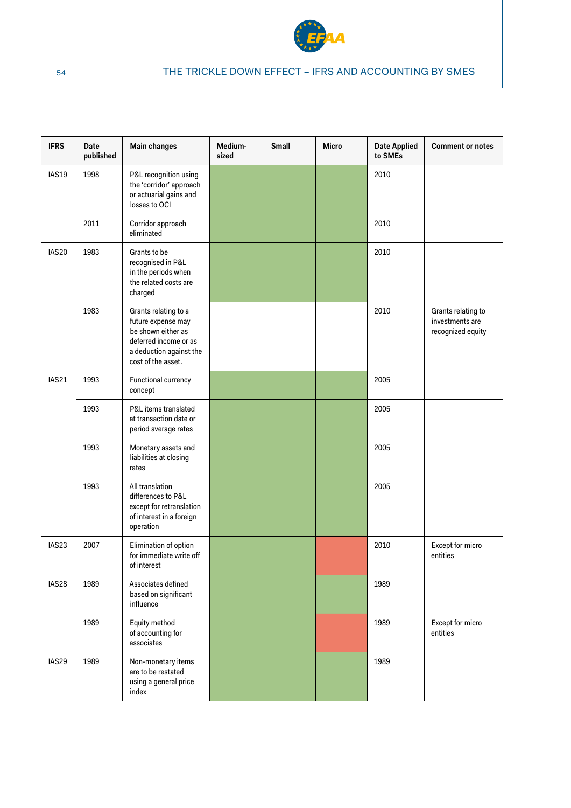

| <b>IFRS</b>       | Date<br>published | <b>Main changes</b>                                                                                                                        | Medium-<br>sized | Small | Micro | <b>Date Applied</b><br>to SMEs | <b>Comment or notes</b>                                    |
|-------------------|-------------------|--------------------------------------------------------------------------------------------------------------------------------------------|------------------|-------|-------|--------------------------------|------------------------------------------------------------|
| IAS19             | 1998              | P&L recognition using<br>the 'corridor' approach<br>or actuarial gains and<br>losses to OCI                                                |                  |       |       | 2010                           |                                                            |
|                   | 2011              | Corridor approach<br>eliminated                                                                                                            |                  |       |       | 2010                           |                                                            |
| IAS20             | 1983              | Grants to be<br>recognised in P&L<br>in the periods when<br>the related costs are<br>charged                                               |                  |       |       | 2010                           |                                                            |
|                   | 1983              | Grants relating to a<br>future expense may<br>be shown either as<br>deferred income or as<br>a deduction against the<br>cost of the asset. |                  |       |       | 2010                           | Grants relating to<br>investments are<br>recognized equity |
| IAS21             | 1993              | Functional currency<br>concept                                                                                                             |                  |       |       | 2005                           |                                                            |
|                   | 1993              | P&L items translated<br>at transaction date or<br>period average rates                                                                     |                  |       |       | 2005                           |                                                            |
|                   | 1993              | Monetary assets and<br>liabilities at closing<br>rates                                                                                     |                  |       |       | 2005                           |                                                            |
|                   | 1993              | All translation<br>differences to P&L<br>except for retranslation<br>of interest in a foreign<br>operation                                 |                  |       |       | 2005                           |                                                            |
| IAS <sub>23</sub> | 2007              | Elimination of option<br>for immediate write off<br>of interest                                                                            |                  |       |       | 2010                           | Except for micro<br>entities                               |
| IAS28             | 1989              | Associates defined<br>based on significant<br>influence                                                                                    |                  |       |       | 1989                           |                                                            |
|                   | 1989              | Equity method<br>of accounting for<br>associates                                                                                           |                  |       |       | 1989                           | Except for micro<br>entities                               |
| IAS29             | 1989              | Non-monetary items<br>are to be restated<br>using a general price<br>index                                                                 |                  |       |       | 1989                           |                                                            |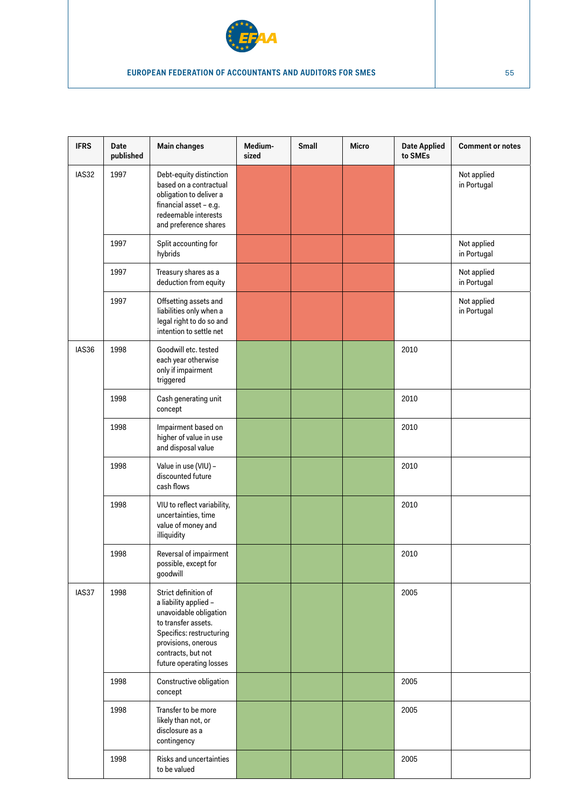

| <b>IFRS</b> | <b>Date</b><br>published | <b>Main changes</b>                                                                                                                                                                                | Medium-<br>sized | Small | <b>Micro</b> | <b>Date Applied</b><br>to SMEs | <b>Comment or notes</b>    |
|-------------|--------------------------|----------------------------------------------------------------------------------------------------------------------------------------------------------------------------------------------------|------------------|-------|--------------|--------------------------------|----------------------------|
| IAS32       | 1997                     | Debt-equity distinction<br>based on a contractual<br>obligation to deliver a<br>financial asset - e.g.<br>redeemable interests<br>and preference shares                                            |                  |       |              |                                | Not applied<br>in Portugal |
|             | 1997                     | Split accounting for<br>hybrids                                                                                                                                                                    |                  |       |              |                                | Not applied<br>in Portugal |
|             | 1997                     | Treasury shares as a<br>deduction from equity                                                                                                                                                      |                  |       |              |                                | Not applied<br>in Portugal |
|             | 1997                     | Offsetting assets and<br>liabilities only when a<br>legal right to do so and<br>intention to settle net                                                                                            |                  |       |              |                                | Not applied<br>in Portugal |
| IAS36       | 1998                     | Goodwill etc. tested<br>each year otherwise<br>only if impairment<br>triggered                                                                                                                     |                  |       |              | 2010                           |                            |
|             | 1998                     | Cash generating unit<br>concept                                                                                                                                                                    |                  |       |              | 2010                           |                            |
|             | 1998                     | Impairment based on<br>higher of value in use<br>and disposal value                                                                                                                                |                  |       |              | 2010                           |                            |
|             | 1998                     | Value in use (VIU) -<br>discounted future<br>cash flows                                                                                                                                            |                  |       |              | 2010                           |                            |
|             | 1998                     | VIU to reflect variability,<br>uncertainties, time<br>value of money and<br>illiquidity                                                                                                            |                  |       |              | 2010                           |                            |
|             | 1998                     | Reversal of impairment<br>possible, except for<br>goodwill                                                                                                                                         |                  |       |              | 2010                           |                            |
| IAS37       | 1998                     | Strict definition of<br>a liability applied -<br>unavoidable obligation<br>to transfer assets.<br>Specifics: restructuring<br>provisions, onerous<br>contracts, but not<br>future operating losses |                  |       |              | 2005                           |                            |
|             | 1998                     | Constructive obligation<br>concept                                                                                                                                                                 |                  |       |              | 2005                           |                            |
|             | 1998                     | Transfer to be more<br>likely than not, or<br>disclosure as a<br>contingency                                                                                                                       |                  |       |              | 2005                           |                            |
|             | 1998                     | Risks and uncertainties<br>to be valued                                                                                                                                                            |                  |       |              | 2005                           |                            |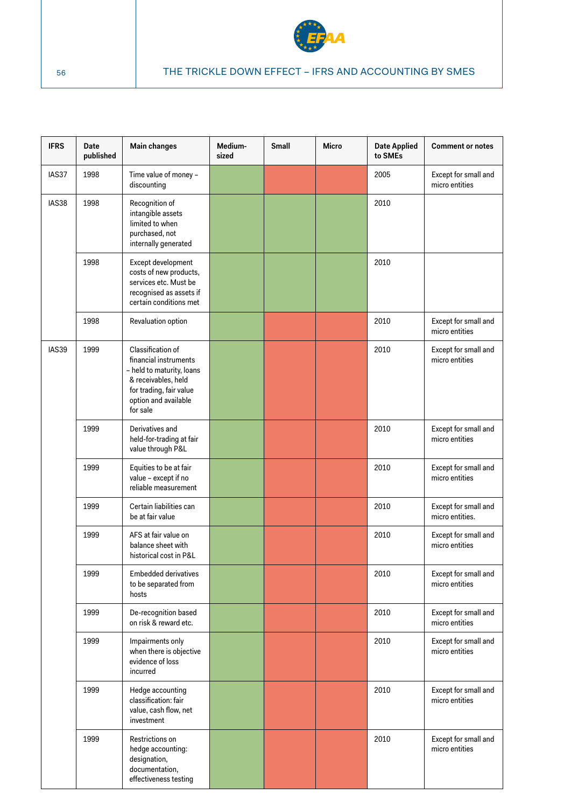

| <b>IFRS</b> | Date<br>published | <b>Main changes</b>                                                                                                                                           | Medium-<br>sized | <b>Small</b> | <b>Micro</b> | <b>Date Applied</b><br>to SMEs | <b>Comment or notes</b>                 |
|-------------|-------------------|---------------------------------------------------------------------------------------------------------------------------------------------------------------|------------------|--------------|--------------|--------------------------------|-----------------------------------------|
| IAS37       | 1998              | Time value of money -<br>discounting                                                                                                                          |                  |              |              | 2005                           | Except for small and<br>micro entities  |
| IAS38       | 1998              | Recognition of<br>intangible assets<br>limited to when<br>purchased, not<br>internally generated                                                              |                  |              |              | 2010                           |                                         |
|             | 1998              | Except development<br>costs of new products,<br>services etc. Must be<br>recognised as assets if<br>certain conditions met                                    |                  |              |              | 2010                           |                                         |
|             | 1998              | Revaluation option                                                                                                                                            |                  |              |              | 2010                           | Except for small and<br>micro entities  |
| IAS39       | 1999              | Classification of<br>financial instruments<br>- held to maturity, loans<br>& receivables, held<br>for trading, fair value<br>option and available<br>for sale |                  |              |              | 2010                           | Except for small and<br>micro entities  |
|             | 1999              | Derivatives and<br>held-for-trading at fair<br>value through P&L                                                                                              |                  |              |              | 2010                           | Except for small and<br>micro entities  |
|             | 1999              | Equities to be at fair<br>value - except if no<br>reliable measurement                                                                                        |                  |              |              | 2010                           | Except for small and<br>micro entities  |
|             | 1999              | Certain liabilities can<br>be at fair value                                                                                                                   |                  |              |              | 2010                           | Except for small and<br>micro entities. |
|             | 1999              | AFS at fair value on<br>balance sheet with<br>historical cost in P&L                                                                                          |                  |              |              | 2010                           | Except for small and<br>micro entities  |
|             | 1999              | <b>Embedded derivatives</b><br>to be separated from<br>hosts                                                                                                  |                  |              |              | 2010                           | Except for small and<br>micro entities  |
|             | 1999              | De-recognition based<br>on risk & reward etc.                                                                                                                 |                  |              |              | 2010                           | Except for small and<br>micro entities  |
|             | 1999              | Impairments only<br>when there is objective<br>evidence of loss<br>incurred                                                                                   |                  |              |              | 2010                           | Except for small and<br>micro entities  |
|             | 1999              | Hedge accounting<br>classification: fair<br>value, cash flow, net<br>investment                                                                               |                  |              |              | 2010                           | Except for small and<br>micro entities  |
|             | 1999              | Restrictions on<br>hedge accounting:<br>designation,<br>documentation,<br>effectiveness testing                                                               |                  |              |              | 2010                           | Except for small and<br>micro entities  |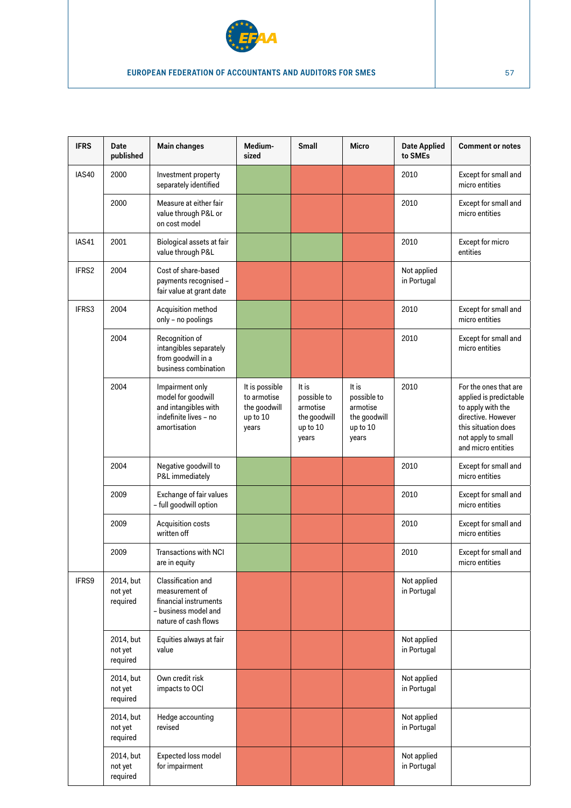

| <b>IFRS</b> | Date<br>published                | Main changes                                                                                                  | Medium-<br>sized                                                   | Small                                                                 | <b>Micro</b>                                                          | <b>Date Applied</b><br>to SMEs | <b>Comment or notes</b>                                                                                                                                       |
|-------------|----------------------------------|---------------------------------------------------------------------------------------------------------------|--------------------------------------------------------------------|-----------------------------------------------------------------------|-----------------------------------------------------------------------|--------------------------------|---------------------------------------------------------------------------------------------------------------------------------------------------------------|
| IAS40       | 2000                             | Investment property<br>separately identified                                                                  |                                                                    |                                                                       |                                                                       | 2010                           | Except for small and<br>micro entities                                                                                                                        |
|             | 2000                             | Measure at either fair<br>value through P&L or<br>on cost model                                               |                                                                    |                                                                       |                                                                       | 2010                           | Except for small and<br>micro entities                                                                                                                        |
| IAS41       | 2001                             | Biological assets at fair<br>value through P&L                                                                |                                                                    |                                                                       |                                                                       | 2010                           | Except for micro<br>entities                                                                                                                                  |
| IFRS2       | 2004                             | Cost of share-based<br>payments recognised -<br>fair value at grant date                                      |                                                                    |                                                                       |                                                                       | Not applied<br>in Portugal     |                                                                                                                                                               |
| IFRS3       | 2004                             | Acquisition method<br>only - no poolings                                                                      |                                                                    |                                                                       |                                                                       | 2010                           | Except for small and<br>micro entities                                                                                                                        |
|             | 2004                             | Recognition of<br>intangibles separately<br>from goodwill in a<br>business combination                        |                                                                    |                                                                       |                                                                       | 2010                           | Except for small and<br>micro entities                                                                                                                        |
|             | 2004                             | Impairment only<br>model for goodwill<br>and intangibles with<br>indefinite lives - no<br>amortisation        | It is possible<br>to armotise<br>the goodwill<br>up to 10<br>years | It is<br>possible to<br>armotise<br>the goodwill<br>up to 10<br>years | It is<br>possible to<br>armotise<br>the goodwill<br>up to 10<br>years | 2010                           | For the ones that are<br>applied is predictable<br>to apply with the<br>directive. However<br>this situation does<br>not apply to small<br>and micro entities |
|             | 2004                             | Negative goodwill to<br>P&L immediately                                                                       |                                                                    |                                                                       |                                                                       | 2010                           | Except for small and<br>micro entities                                                                                                                        |
|             | 2009                             | Exchange of fair values<br>- full goodwill option                                                             |                                                                    |                                                                       |                                                                       | 2010                           | Except for small and<br>micro entities                                                                                                                        |
|             | 2009                             | Acquisition costs<br>written off                                                                              |                                                                    |                                                                       |                                                                       | 2010                           | Except for small and<br>micro entities                                                                                                                        |
|             | 2009                             | <b>Transactions with NCI</b><br>are in equity                                                                 |                                                                    |                                                                       |                                                                       | 2010                           | Except for small and<br>micro entities                                                                                                                        |
| IFRS9       | 2014, but<br>not yet<br>required | Classification and<br>measurement of<br>financial instruments<br>- business model and<br>nature of cash flows |                                                                    |                                                                       |                                                                       | Not applied<br>in Portugal     |                                                                                                                                                               |
|             | 2014, but<br>not yet<br>required | Equities always at fair<br>value                                                                              |                                                                    |                                                                       |                                                                       | Not applied<br>in Portugal     |                                                                                                                                                               |
|             | 2014, but<br>not yet<br>required | Own credit risk<br>impacts to OCI                                                                             |                                                                    |                                                                       |                                                                       | Not applied<br>in Portugal     |                                                                                                                                                               |
|             | 2014, but<br>not yet<br>required | Hedge accounting<br>revised                                                                                   |                                                                    |                                                                       |                                                                       | Not applied<br>in Portugal     |                                                                                                                                                               |
|             | 2014, but<br>not yet<br>required | Expected loss model<br>for impairment                                                                         |                                                                    |                                                                       |                                                                       | Not applied<br>in Portugal     |                                                                                                                                                               |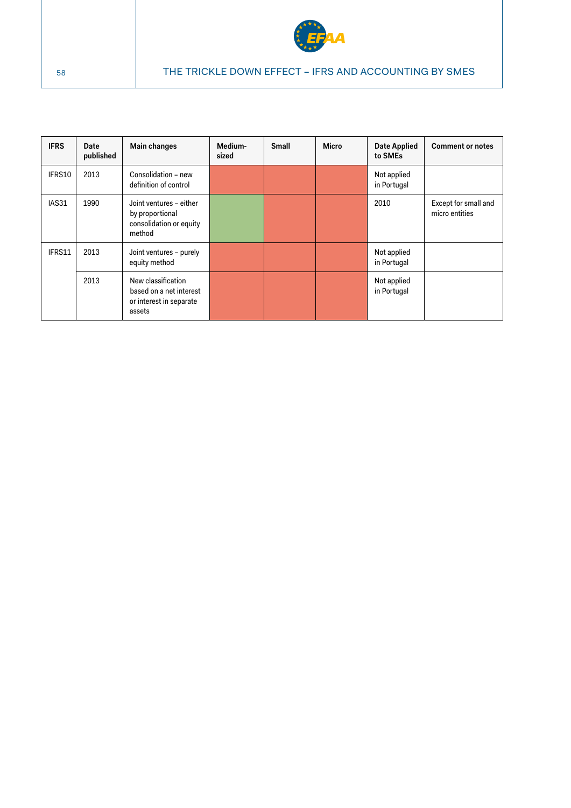

| <b>IFRS</b> | Date<br>published | Main changes                                                                       | Medium-<br>sized | <b>Small</b> | <b>Micro</b> | <b>Date Applied</b><br>to SMEs | <b>Comment or notes</b>                |
|-------------|-------------------|------------------------------------------------------------------------------------|------------------|--------------|--------------|--------------------------------|----------------------------------------|
| IFRS10      | 2013              | Consolidation - new<br>definition of control                                       |                  |              |              | Not applied<br>in Portugal     |                                        |
| IAS31       | 1990              | Joint ventures - either<br>by proportional<br>consolidation or equity<br>method    |                  |              |              | 2010                           | Except for small and<br>micro entities |
| IFRS11      | 2013              | Joint ventures - purely<br>equity method                                           |                  |              |              | Not applied<br>in Portugal     |                                        |
|             | 2013              | New classification<br>based on a net interest<br>or interest in separate<br>assets |                  |              |              | Not applied<br>in Portugal     |                                        |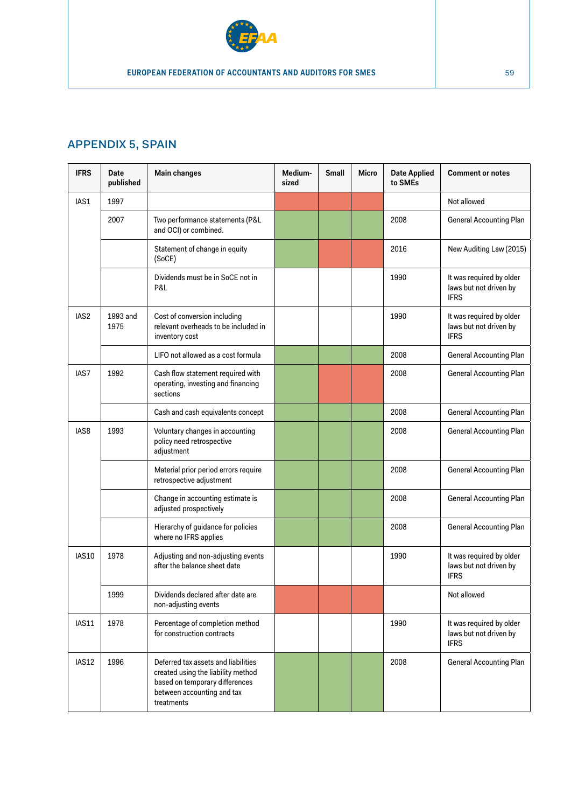

# APPENDIX 5, SPAIN

| <b>IFRS</b>  | Date<br>published | Main changes                                                                                                                                            | Medium-<br>sized | Small | Micro | <b>Date Applied</b><br>to SMEs | <b>Comment or notes</b>                                           |
|--------------|-------------------|---------------------------------------------------------------------------------------------------------------------------------------------------------|------------------|-------|-------|--------------------------------|-------------------------------------------------------------------|
| IAS1         | 1997              |                                                                                                                                                         |                  |       |       |                                | Not allowed                                                       |
|              | 2007              | Two performance statements (P&L<br>and OCI) or combined.                                                                                                |                  |       |       | 2008                           | General Accounting Plan                                           |
|              |                   | Statement of change in equity<br>(SoCE)                                                                                                                 |                  |       |       | 2016                           | New Auditing Law (2015)                                           |
|              |                   | Dividends must be in SoCE not in<br>P&L                                                                                                                 |                  |       |       | 1990                           | It was required by older<br>laws but not driven by<br><b>IFRS</b> |
| IAS2         | 1993 and<br>1975  | Cost of conversion including<br>relevant overheads to be included in<br>inventory cost                                                                  |                  |       |       | 1990                           | It was required by older<br>laws but not driven by<br><b>IFRS</b> |
|              |                   | LIFO not allowed as a cost formula                                                                                                                      |                  |       |       | 2008                           | <b>General Accounting Plan</b>                                    |
| IAS7         | 1992              | Cash flow statement required with<br>operating, investing and financing<br>sections                                                                     |                  |       |       | 2008                           | <b>General Accounting Plan</b>                                    |
|              |                   | Cash and cash equivalents concept                                                                                                                       |                  |       |       | 2008                           | <b>General Accounting Plan</b>                                    |
| IAS8         | 1993              | Voluntary changes in accounting<br>policy need retrospective<br>adjustment                                                                              |                  |       |       | 2008                           | <b>General Accounting Plan</b>                                    |
|              |                   | Material prior period errors require<br>retrospective adjustment                                                                                        |                  |       |       | 2008                           | <b>General Accounting Plan</b>                                    |
|              |                   | Change in accounting estimate is<br>adjusted prospectively                                                                                              |                  |       |       | 2008                           | General Accounting Plan                                           |
|              |                   | Hierarchy of guidance for policies<br>where no IFRS applies                                                                                             |                  |       |       | 2008                           | <b>General Accounting Plan</b>                                    |
| <b>IAS10</b> | 1978              | Adjusting and non-adjusting events<br>after the balance sheet date                                                                                      |                  |       |       | 1990                           | It was required by older<br>laws but not driven by<br><b>IFRS</b> |
|              | 1999              | Dividends declared after date are<br>non-adjusting events                                                                                               |                  |       |       |                                | Not allowed                                                       |
| IAS11        | 1978              | Percentage of completion method<br>for construction contracts                                                                                           |                  |       |       | 1990                           | It was required by older<br>laws but not driven by<br><b>IFRS</b> |
| IAS12        | 1996              | Deferred tax assets and liabilities<br>created using the liability method<br>based on temporary differences<br>between accounting and tax<br>treatments |                  |       |       | 2008                           | General Accounting Plan                                           |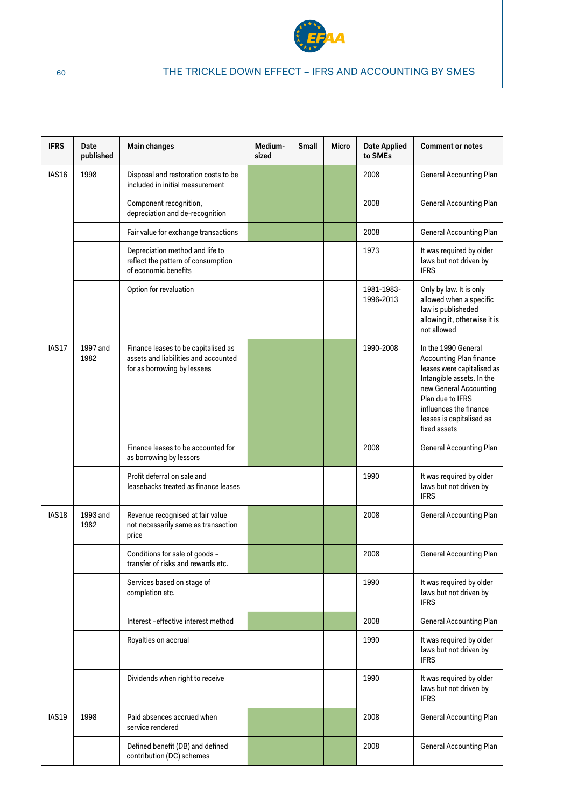

| <b>IFRS</b>  | Date<br>published | Main changes                                                                                               | Medium-<br>sized | Small | <b>Micro</b> | <b>Date Applied</b><br>to SMEs | <b>Comment or notes</b>                                                                                                                                                                                                              |
|--------------|-------------------|------------------------------------------------------------------------------------------------------------|------------------|-------|--------------|--------------------------------|--------------------------------------------------------------------------------------------------------------------------------------------------------------------------------------------------------------------------------------|
| <b>IAS16</b> | 1998              | Disposal and restoration costs to be<br>included in initial measurement                                    |                  |       |              | 2008                           | <b>General Accounting Plan</b>                                                                                                                                                                                                       |
|              |                   | Component recognition,<br>depreciation and de-recognition                                                  |                  |       |              | 2008                           | <b>General Accounting Plan</b>                                                                                                                                                                                                       |
|              |                   | Fair value for exchange transactions                                                                       |                  |       |              | 2008                           | General Accounting Plan                                                                                                                                                                                                              |
|              |                   | Depreciation method and life to<br>reflect the pattern of consumption<br>of economic benefits              |                  |       |              | 1973                           | It was required by older<br>laws but not driven by<br><b>IFRS</b>                                                                                                                                                                    |
|              |                   | Option for revaluation                                                                                     |                  |       |              | 1981-1983-<br>1996-2013        | Only by law. It is only<br>allowed when a specific<br>law is publisheded<br>allowing it, otherwise it is<br>not allowed                                                                                                              |
| IAS17        | 1997 and<br>1982  | Finance leases to be capitalised as<br>assets and liabilities and accounted<br>for as borrowing by lessees |                  |       |              | 1990-2008                      | In the 1990 General<br><b>Accounting Plan finance</b><br>leases were capitalised as<br>Intangible assets. In the<br>new General Accounting<br>Plan due to IFRS<br>influences the finance<br>leases is capitalised as<br>fixed assets |
|              |                   | Finance leases to be accounted for<br>as borrowing by lessors                                              |                  |       |              | 2008                           | General Accounting Plan                                                                                                                                                                                                              |
|              |                   | Profit deferral on sale and<br>leasebacks treated as finance leases                                        |                  |       |              | 1990                           | It was required by older<br>laws but not driven by<br><b>IFRS</b>                                                                                                                                                                    |
| IAS18        | 1993 and<br>1982  | Revenue recognised at fair value<br>not necessarily same as transaction<br>price                           |                  |       |              | 2008                           | <b>General Accounting Plan</b>                                                                                                                                                                                                       |
|              |                   | Conditions for sale of goods -<br>transfer of risks and rewards etc.                                       |                  |       |              | 2008                           | <b>General Accounting Plan</b>                                                                                                                                                                                                       |
|              |                   | Services based on stage of<br>completion etc.                                                              |                  |       |              | 1990                           | It was required by older<br>laws but not driven by<br><b>IFRS</b>                                                                                                                                                                    |
|              |                   | Interest-effective interest method                                                                         |                  |       |              | 2008                           | General Accounting Plan                                                                                                                                                                                                              |
|              |                   | Royalties on accrual                                                                                       |                  |       |              | 1990                           | It was required by older<br>laws but not driven by<br><b>IFRS</b>                                                                                                                                                                    |
|              |                   | Dividends when right to receive                                                                            |                  |       |              | 1990                           | It was required by older<br>laws but not driven by<br><b>IFRS</b>                                                                                                                                                                    |
| IAS19        | 1998              | Paid absences accrued when<br>service rendered                                                             |                  |       |              | 2008                           | General Accounting Plan                                                                                                                                                                                                              |
|              |                   | Defined benefit (DB) and defined<br>contribution (DC) schemes                                              |                  |       |              | 2008                           | <b>General Accounting Plan</b>                                                                                                                                                                                                       |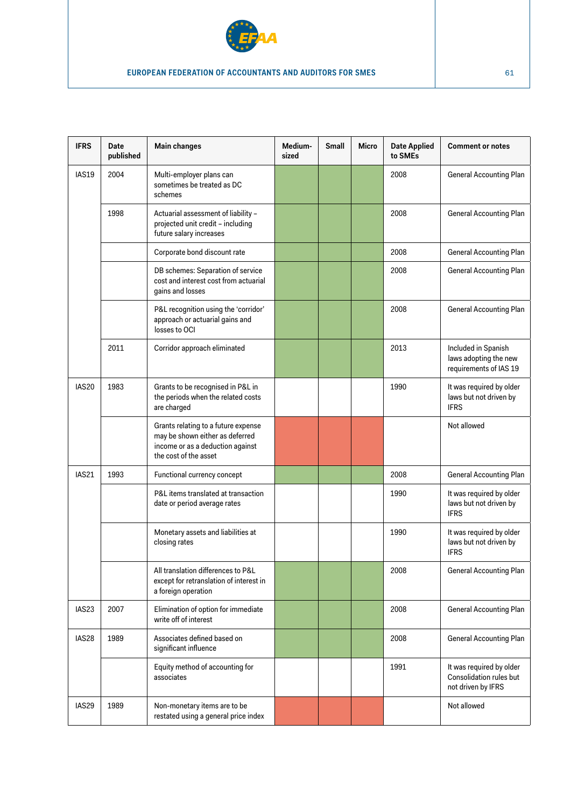

| <b>IFRS</b> | Date<br>published                                                                              | Main changes                                                                                                                        | Medium-<br>sized | <b>Small</b> | <b>Micro</b> | <b>Date Applied</b><br>to SMEs | <b>Comment or notes</b>                                                          |
|-------------|------------------------------------------------------------------------------------------------|-------------------------------------------------------------------------------------------------------------------------------------|------------------|--------------|--------------|--------------------------------|----------------------------------------------------------------------------------|
| IAS19       | 2004                                                                                           | Multi-employer plans can<br>sometimes be treated as DC<br>schemes                                                                   |                  |              |              | 2008                           | <b>General Accounting Plan</b>                                                   |
|             | 1998                                                                                           | Actuarial assessment of liability -<br>projected unit credit - including<br>future salary increases                                 |                  |              |              | 2008                           | <b>General Accounting Plan</b>                                                   |
|             |                                                                                                | Corporate bond discount rate                                                                                                        |                  |              |              | 2008                           | <b>General Accounting Plan</b>                                                   |
|             | DB schemes: Separation of service<br>cost and interest cost from actuarial<br>gains and losses |                                                                                                                                     |                  |              | 2008         | <b>General Accounting Plan</b> |                                                                                  |
|             |                                                                                                | P&L recognition using the 'corridor'<br>approach or actuarial gains and<br>losses to OCI                                            |                  |              | 2008         | <b>General Accounting Plan</b> |                                                                                  |
|             | 2011                                                                                           | Corridor approach eliminated                                                                                                        |                  |              |              | 2013                           | Included in Spanish<br>laws adopting the new<br>requirements of IAS 19           |
| IAS20       | 1983                                                                                           | Grants to be recognised in P&L in<br>the periods when the related costs<br>are charged                                              |                  |              |              | 1990                           | It was required by older<br>laws but not driven by<br><b>IFRS</b>                |
|             |                                                                                                | Grants relating to a future expense<br>may be shown either as deferred<br>income or as a deduction against<br>the cost of the asset |                  |              |              |                                | Not allowed                                                                      |
| IAS21       | 1993                                                                                           | Functional currency concept                                                                                                         |                  |              |              | 2008                           | <b>General Accounting Plan</b>                                                   |
|             |                                                                                                | P&L items translated at transaction<br>date or period average rates                                                                 |                  |              |              | 1990                           | It was required by older<br>laws but not driven by<br><b>IFRS</b>                |
|             |                                                                                                | Monetary assets and liabilities at<br>closing rates                                                                                 |                  |              |              | 1990                           | It was required by older<br>laws but not driven by<br><b>IFRS</b>                |
|             |                                                                                                | All translation differences to P&L<br>except for retranslation of interest in<br>a foreign operation                                |                  |              |              | 2008                           | <b>General Accounting Plan</b>                                                   |
| IAS23       | 2007                                                                                           | Elimination of option for immediate<br>write off of interest                                                                        |                  |              |              | 2008                           | General Accounting Plan                                                          |
| IAS28       | 1989                                                                                           | Associates defined based on<br>significant influence                                                                                |                  |              |              | 2008                           | <b>General Accounting Plan</b>                                                   |
|             |                                                                                                | Equity method of accounting for<br>associates                                                                                       |                  |              |              | 1991                           | It was required by older<br><b>Consolidation rules but</b><br>not driven by IFRS |
| IAS29       | 1989                                                                                           | Non-monetary items are to be<br>restated using a general price index                                                                |                  |              |              |                                | Not allowed                                                                      |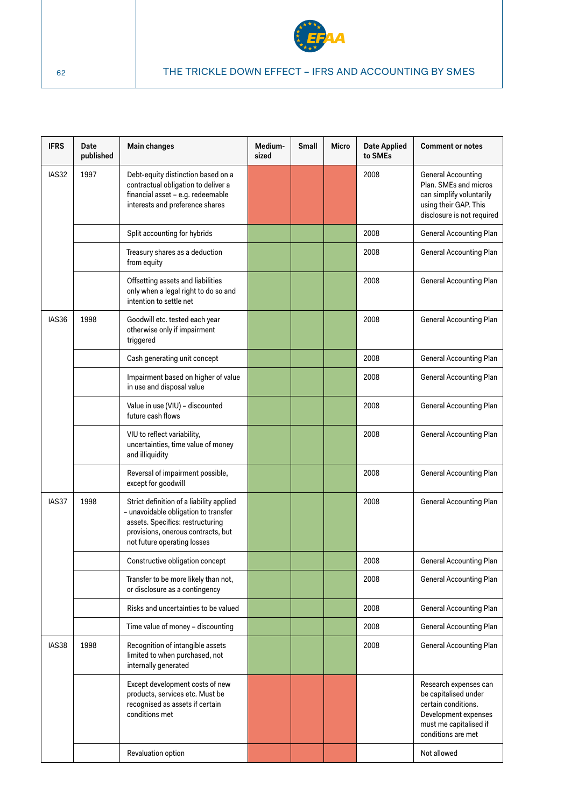

| <b>IFRS</b> | Date<br>published            | <b>Main changes</b>                                                                                                                                                                       | Medium-<br>sized | Small | <b>Micro</b> | <b>Date Applied</b><br>to SMEs | <b>Comment or notes</b>                                                                                                                      |
|-------------|------------------------------|-------------------------------------------------------------------------------------------------------------------------------------------------------------------------------------------|------------------|-------|--------------|--------------------------------|----------------------------------------------------------------------------------------------------------------------------------------------|
| IAS32       | 1997                         | Debt-equity distinction based on a<br>contractual obligation to deliver a<br>financial asset - e.g. redeemable<br>interests and preference shares                                         |                  |       |              | 2008                           | <b>General Accounting</b><br>Plan. SMEs and micros<br>can simplify voluntarily<br>using their GAP. This<br>disclosure is not required        |
|             | Split accounting for hybrids |                                                                                                                                                                                           |                  |       |              | 2008                           | <b>General Accounting Plan</b>                                                                                                               |
|             |                              | Treasury shares as a deduction<br>from equity                                                                                                                                             |                  |       |              | 2008                           | <b>General Accounting Plan</b>                                                                                                               |
|             |                              | Offsetting assets and liabilities<br>only when a legal right to do so and<br>intention to settle net                                                                                      |                  |       |              | 2008                           | <b>General Accounting Plan</b>                                                                                                               |
| IAS36       | 1998                         | Goodwill etc. tested each year<br>otherwise only if impairment<br>triggered                                                                                                               |                  |       |              | 2008                           | <b>General Accounting Plan</b>                                                                                                               |
|             |                              | Cash generating unit concept                                                                                                                                                              |                  |       |              | 2008                           | <b>General Accounting Plan</b>                                                                                                               |
|             |                              | Impairment based on higher of value<br>in use and disposal value                                                                                                                          |                  |       |              | 2008                           | <b>General Accounting Plan</b>                                                                                                               |
|             |                              | Value in use (VIU) - discounted<br>future cash flows                                                                                                                                      |                  |       |              | 2008                           | <b>General Accounting Plan</b>                                                                                                               |
|             |                              | VIU to reflect variability,<br>uncertainties, time value of money<br>and illiquidity                                                                                                      |                  |       |              | 2008                           | <b>General Accounting Plan</b>                                                                                                               |
|             |                              | Reversal of impairment possible,<br>except for goodwill                                                                                                                                   |                  |       |              | 2008                           | <b>General Accounting Plan</b>                                                                                                               |
| IAS37       | 1998                         | Strict definition of a liability applied<br>- unavoidable obligation to transfer<br>assets. Specifics: restructuring<br>provisions, onerous contracts, but<br>not future operating losses |                  |       |              | 2008                           | <b>General Accounting Plan</b>                                                                                                               |
|             |                              | Constructive obligation concept                                                                                                                                                           |                  |       |              | 2008                           | General Accounting Plan                                                                                                                      |
|             |                              | Transfer to be more likely than not,<br>or disclosure as a contingency                                                                                                                    |                  |       |              | 2008                           | <b>General Accounting Plan</b>                                                                                                               |
|             |                              | Risks and uncertainties to be valued                                                                                                                                                      |                  |       |              | 2008                           | <b>General Accounting Plan</b>                                                                                                               |
|             |                              | Time value of money - discounting                                                                                                                                                         |                  |       |              | 2008                           | <b>General Accounting Plan</b>                                                                                                               |
| IAS38       | 1998                         | Recognition of intangible assets<br>limited to when purchased, not<br>internally generated                                                                                                |                  |       |              | 2008                           | <b>General Accounting Plan</b>                                                                                                               |
|             |                              | Except development costs of new<br>products, services etc. Must be<br>recognised as assets if certain<br>conditions met                                                                   |                  |       |              |                                | Research expenses can<br>be capitalised under<br>certain conditions.<br>Development expenses<br>must me capitalised if<br>conditions are met |
|             |                              | Revaluation option                                                                                                                                                                        |                  |       |              |                                | Not allowed                                                                                                                                  |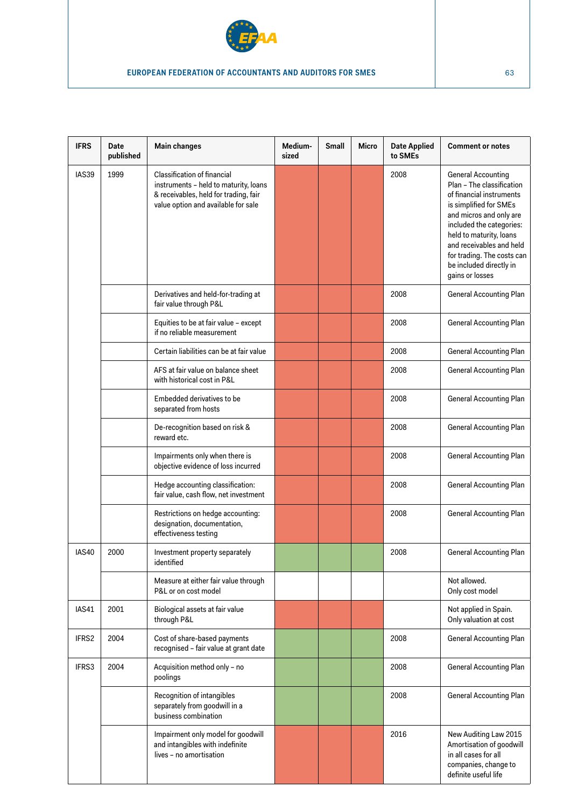

| <b>IFRS</b> | Date<br>published                                             | <b>Main changes</b>                                                                                                                                         | Medium-<br>sized | <b>Small</b> | Micro | <b>Date Applied</b><br>to SMEs | <b>Comment or notes</b>                                                                                                                                                                                                                                                                         |
|-------------|---------------------------------------------------------------|-------------------------------------------------------------------------------------------------------------------------------------------------------------|------------------|--------------|-------|--------------------------------|-------------------------------------------------------------------------------------------------------------------------------------------------------------------------------------------------------------------------------------------------------------------------------------------------|
| IAS39       | 1999                                                          | <b>Classification of financial</b><br>instruments - held to maturity, loans<br>& receivables, held for trading, fair<br>value option and available for sale |                  |              |       | 2008                           | General Accounting<br>Plan - The classification<br>of financial instruments<br>is simplified for SMEs<br>and micros and only are<br>included the categories:<br>held to maturity, loans<br>and receivables and held<br>for trading. The costs can<br>be included directly in<br>gains or losses |
|             | Derivatives and held-for-trading at<br>fair value through P&L |                                                                                                                                                             |                  |              |       | 2008                           | <b>General Accounting Plan</b>                                                                                                                                                                                                                                                                  |
|             |                                                               | Equities to be at fair value - except<br>if no reliable measurement                                                                                         |                  |              |       | 2008                           | General Accounting Plan                                                                                                                                                                                                                                                                         |
|             |                                                               | Certain liabilities can be at fair value                                                                                                                    |                  |              |       | 2008                           | General Accounting Plan                                                                                                                                                                                                                                                                         |
|             |                                                               | AFS at fair value on balance sheet<br>with historical cost in P&L                                                                                           |                  |              |       | 2008                           | General Accounting Plan                                                                                                                                                                                                                                                                         |
|             |                                                               | Embedded derivatives to be<br>separated from hosts                                                                                                          |                  |              |       | 2008                           | General Accounting Plan                                                                                                                                                                                                                                                                         |
|             |                                                               | De-recognition based on risk &<br>reward etc.                                                                                                               |                  |              |       | 2008                           | General Accounting Plan                                                                                                                                                                                                                                                                         |
|             |                                                               | Impairments only when there is<br>objective evidence of loss incurred                                                                                       |                  |              |       | 2008                           | General Accounting Plan                                                                                                                                                                                                                                                                         |
|             |                                                               | Hedge accounting classification:<br>fair value, cash flow, net investment                                                                                   |                  |              |       | 2008                           | General Accounting Plan                                                                                                                                                                                                                                                                         |
|             |                                                               | Restrictions on hedge accounting:<br>designation, documentation,<br>effectiveness testing                                                                   |                  |              |       | 2008                           | General Accounting Plan                                                                                                                                                                                                                                                                         |
| IAS40       | 2000                                                          | Investment property separately<br>identified                                                                                                                |                  |              |       | 2008                           | General Accounting Plan                                                                                                                                                                                                                                                                         |
|             |                                                               | Measure at either fair value through<br>P&L or on cost model                                                                                                |                  |              |       |                                | Not allowed.<br>Only cost model                                                                                                                                                                                                                                                                 |
| IAS41       | 2001                                                          | Biological assets at fair value<br>through P&L                                                                                                              |                  |              |       |                                | Not applied in Spain.<br>Only valuation at cost                                                                                                                                                                                                                                                 |
| IFRS2       | 2004                                                          | Cost of share-based payments<br>recognised - fair value at grant date                                                                                       |                  |              |       | 2008                           | <b>General Accounting Plan</b>                                                                                                                                                                                                                                                                  |
| IFRS3       | 2004                                                          | Acquisition method only - no<br>poolings                                                                                                                    |                  |              |       | 2008                           | <b>General Accounting Plan</b>                                                                                                                                                                                                                                                                  |
|             |                                                               | Recognition of intangibles<br>separately from goodwill in a<br>business combination                                                                         |                  |              |       | 2008                           | General Accounting Plan                                                                                                                                                                                                                                                                         |
|             |                                                               | Impairment only model for goodwill<br>and intangibles with indefinite<br>lives - no amortisation                                                            |                  |              |       | 2016                           | New Auditing Law 2015<br>Amortisation of goodwill<br>in all cases for all<br>companies, change to<br>definite useful life                                                                                                                                                                       |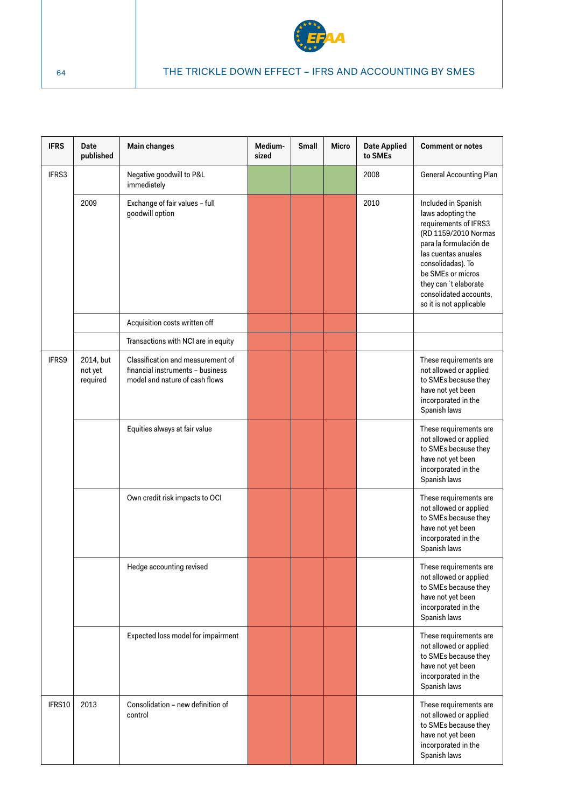

| <b>IFRS</b> | Date<br>published                | Main changes                                                                                            | Medium-<br>sized | Small | <b>Micro</b> | <b>Date Applied</b><br>to SMEs | <b>Comment or notes</b>                                                                                                                                                                                                                                           |
|-------------|----------------------------------|---------------------------------------------------------------------------------------------------------|------------------|-------|--------------|--------------------------------|-------------------------------------------------------------------------------------------------------------------------------------------------------------------------------------------------------------------------------------------------------------------|
| IFRS3       |                                  | Negative goodwill to P&L<br>immediately                                                                 |                  |       |              | 2008                           | General Accounting Plan                                                                                                                                                                                                                                           |
|             | 2009                             | Exchange of fair values - full<br>goodwill option                                                       |                  |       |              | 2010                           | Included in Spanish<br>laws adopting the<br>requirements of IFRS3<br>(RD 1159/2010 Normas<br>para la formulación de<br>las cuentas anuales<br>consolidadas). To<br>be SMEs or micros<br>they can't elaborate<br>consolidated accounts,<br>so it is not applicable |
|             |                                  | Acquisition costs written off                                                                           |                  |       |              |                                |                                                                                                                                                                                                                                                                   |
|             |                                  | Transactions with NCI are in equity                                                                     |                  |       |              |                                |                                                                                                                                                                                                                                                                   |
| IFRS9       | 2014, but<br>not yet<br>required | Classification and measurement of<br>financial instruments - business<br>model and nature of cash flows |                  |       |              |                                | These requirements are<br>not allowed or applied<br>to SMEs because they<br>have not yet been<br>incorporated in the<br>Spanish laws                                                                                                                              |
|             |                                  | Equities always at fair value                                                                           |                  |       |              |                                | These requirements are<br>not allowed or applied<br>to SMEs because they<br>have not yet been<br>incorporated in the<br>Spanish laws                                                                                                                              |
|             |                                  | Own credit risk impacts to OCI                                                                          |                  |       |              |                                | These requirements are<br>not allowed or applied<br>to SMEs because they<br>have not yet been<br>incorporated in the<br>Spanish laws                                                                                                                              |
|             |                                  | Hedge accounting revised                                                                                |                  |       |              |                                | These requirements are<br>not allowed or applied<br>to SMEs because they<br>have not yet been<br>incorporated in the<br>Spanish laws                                                                                                                              |
|             |                                  | Expected loss model for impairment                                                                      |                  |       |              |                                | These requirements are<br>not allowed or applied<br>to SMEs because they<br>have not yet been<br>incorporated in the<br>Spanish laws                                                                                                                              |
| IFRS10      | 2013                             | Consolidation - new definition of<br>control                                                            |                  |       |              |                                | These requirements are<br>not allowed or applied<br>to SMEs because they<br>have not yet been<br>incorporated in the<br>Spanish laws                                                                                                                              |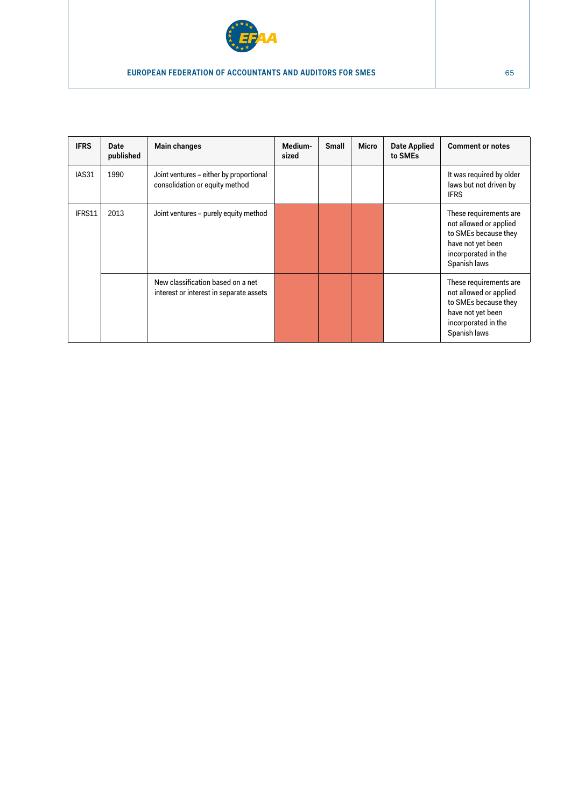

| <b>IFRS</b> | Date<br>published | Main changes                                                                 | Medium-<br>sized | <b>Small</b> | <b>Micro</b> | <b>Date Applied</b><br>to SMEs | <b>Comment or notes</b>                                                                                                              |
|-------------|-------------------|------------------------------------------------------------------------------|------------------|--------------|--------------|--------------------------------|--------------------------------------------------------------------------------------------------------------------------------------|
| IAS31       | 1990              | Joint ventures - either by proportional<br>consolidation or equity method    |                  |              |              |                                | It was required by older<br>laws but not driven by<br><b>IFRS</b>                                                                    |
| IFRS11      | 2013              | Joint ventures - purely equity method                                        |                  |              |              |                                | These requirements are<br>not allowed or applied<br>to SMEs because they<br>have not yet been<br>incorporated in the<br>Spanish laws |
|             |                   | New classification based on a net<br>interest or interest in separate assets |                  |              |              |                                | These requirements are<br>not allowed or applied<br>to SMEs because they<br>have not yet been<br>incorporated in the<br>Spanish laws |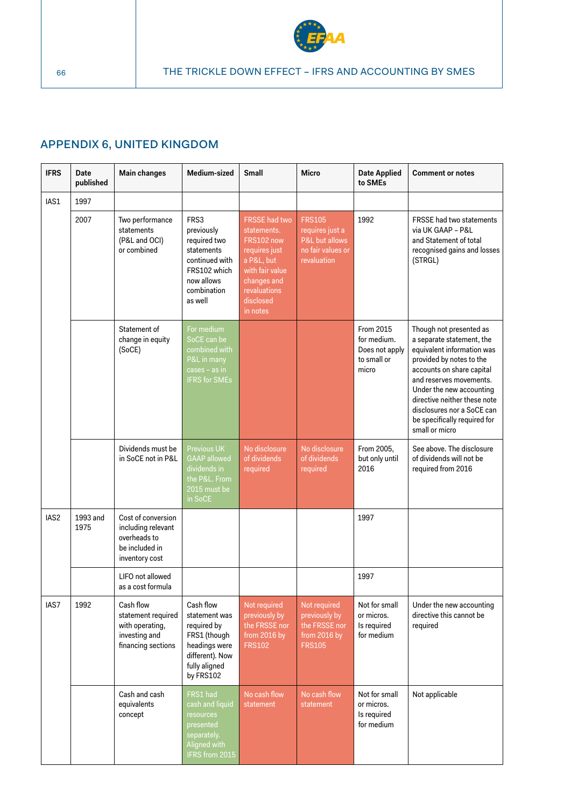

# APPENDIX 6, UNITED KINGDOM

| <b>IFRS</b>      | <b>Date</b><br>published | Main changes                                                                                 | Medium-sized                                                                                                                | Small                                                                                                                                                       | <b>Micro</b>                                                                           | <b>Date Applied</b><br>to SMEs                                     | <b>Comment or notes</b>                                                                                                                                                                                                                                                                                            |
|------------------|--------------------------|----------------------------------------------------------------------------------------------|-----------------------------------------------------------------------------------------------------------------------------|-------------------------------------------------------------------------------------------------------------------------------------------------------------|----------------------------------------------------------------------------------------|--------------------------------------------------------------------|--------------------------------------------------------------------------------------------------------------------------------------------------------------------------------------------------------------------------------------------------------------------------------------------------------------------|
| IAS1             | 1997                     |                                                                                              |                                                                                                                             |                                                                                                                                                             |                                                                                        |                                                                    |                                                                                                                                                                                                                                                                                                                    |
|                  | 2007                     | Two performance<br>statements<br>(P&L and OCI)<br>or combined                                | FRS3<br>previously<br>required two<br>statements<br>continued with<br>FRS102 which<br>now allows<br>combination<br>as well  | <b>FRSSE had two</b><br>statements.<br>FRS102 now<br>requires just<br>a P&L, but<br>with fair value<br>changes and<br>revaluations<br>disclosed<br>in notes | <b>FRS105</b><br>requires just a<br>P&L but allows<br>no fair values or<br>revaluation | 1992                                                               | <b>FRSSE</b> had two statements<br>via UK GAAP - P&L<br>and Statement of total<br>recognised gains and losses<br>(STRGL)                                                                                                                                                                                           |
|                  |                          | Statement of<br>change in equity<br>(SoCE)                                                   | For medium<br>SoCE can be<br>combined with<br>P&L in many<br>cases – as in<br><b>IFRS for SMEs</b>                          |                                                                                                                                                             |                                                                                        | From 2015<br>for medium.<br>Does not apply<br>to small or<br>micro | Though not presented as<br>a separate statement, the<br>equivalent information was<br>provided by notes to the<br>accounts on share capital<br>and reserves movements.<br>Under the new accounting<br>directive neither these note<br>disclosures nor a SoCE can<br>be specifically required for<br>small or micro |
|                  |                          | Dividends must be<br>in SoCE not in P&L                                                      | <b>Previous UK</b><br><b>GAAP allowed</b><br>dividends in<br>the P&L. From<br>2015 must be<br>in SoCE                       | No disclosure<br>of dividends<br>required                                                                                                                   | No disclosure<br>of dividends<br>required                                              | From 2005,<br>but only until<br>2016                               | See above. The disclosure<br>of dividends will not be<br>required from 2016                                                                                                                                                                                                                                        |
| IAS <sub>2</sub> | 1993 and<br>1975         | Cost of conversion<br>including relevant<br>overheads to<br>be included in<br>inventory cost |                                                                                                                             |                                                                                                                                                             |                                                                                        | 1997                                                               |                                                                                                                                                                                                                                                                                                                    |
|                  |                          | LIFO not allowed<br>as a cost formula                                                        |                                                                                                                             |                                                                                                                                                             |                                                                                        | 1997                                                               |                                                                                                                                                                                                                                                                                                                    |
| IAS7             | 1992                     | Cash flow<br>statement required<br>with operating,<br>investing and<br>financing sections    | Cash flow<br>statement was<br>required by<br>FRS1 (though<br>headings were<br>different). Now<br>fully aligned<br>by FRS102 | Not required<br>previously by<br>the FRSSE nor<br>from 2016 by<br><b>FRS102</b>                                                                             | Not required<br>previously by<br>the FRSSE nor<br>from 2016 by<br><b>FRS105</b>        | Not for small<br>or micros.<br>Is required<br>for medium           | Under the new accounting<br>directive this cannot be<br>required                                                                                                                                                                                                                                                   |
|                  |                          | Cash and cash<br>equivalents<br>concept                                                      | FRS1 had<br>cash and liquid<br>resources<br>presented<br>separately.<br>Aligned with<br>IFRS from 2015                      | No cash flow<br>statement                                                                                                                                   | No cash flow<br>statement                                                              | Not for small<br>or micros.<br>Is required<br>for medium           | Not applicable                                                                                                                                                                                                                                                                                                     |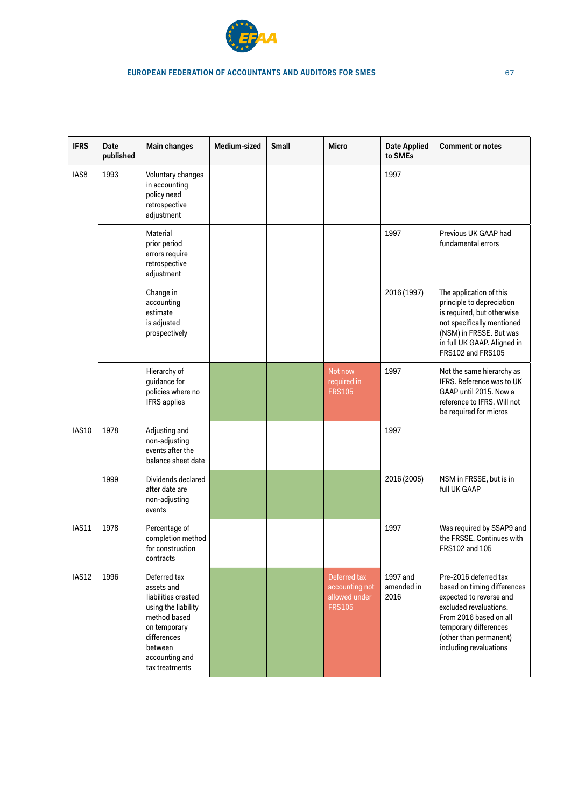

| <b>IFRS</b>  | Date<br>published | <b>Main changes</b>                                                                                                                                                    | Medium-sized | <b>Small</b> | <b>Micro</b>                                                     | <b>Date Applied</b><br>to SMEs | <b>Comment or notes</b>                                                                                                                                                                                          |
|--------------|-------------------|------------------------------------------------------------------------------------------------------------------------------------------------------------------------|--------------|--------------|------------------------------------------------------------------|--------------------------------|------------------------------------------------------------------------------------------------------------------------------------------------------------------------------------------------------------------|
| IAS8         | 1993              | Voluntary changes<br>in accounting<br>policy need<br>retrospective<br>adjustment                                                                                       |              |              |                                                                  | 1997                           |                                                                                                                                                                                                                  |
|              |                   | Material<br>prior period<br>errors require<br>retrospective<br>adjustment                                                                                              |              |              |                                                                  | 1997                           | Previous UK GAAP had<br>fundamental errors                                                                                                                                                                       |
|              |                   | Change in<br>accounting<br>estimate<br>is adjusted<br>prospectively                                                                                                    |              |              |                                                                  | 2016 (1997)                    | The application of this<br>principle to depreciation<br>is required, but otherwise<br>not specifically mentioned<br>(NSM) in FRSSE. But was<br>in full UK GAAP. Aligned in<br>FRS102 and FRS105                  |
|              |                   | Hierarchy of<br>guidance for<br>policies where no<br><b>IFRS</b> applies                                                                                               |              |              | Not now<br>required in<br><b>FRS105</b>                          | 1997                           | Not the same hierarchy as<br>IFRS. Reference was to UK<br>GAAP until 2015. Now a<br>reference to IFRS. Will not<br>be required for micros                                                                        |
| <b>IAS10</b> | 1978              | Adjusting and<br>non-adjusting<br>events after the<br>balance sheet date                                                                                               |              |              |                                                                  | 1997                           |                                                                                                                                                                                                                  |
|              | 1999              | Dividends declared<br>after date are<br>non-adjusting<br>events                                                                                                        |              |              |                                                                  | 2016 (2005)                    | NSM in FRSSE, but is in<br>full UK GAAP                                                                                                                                                                          |
| <b>IAS11</b> | 1978              | Percentage of<br>completion method<br>for construction<br>contracts                                                                                                    |              |              |                                                                  | 1997                           | Was required by SSAP9 and<br>the FRSSE. Continues with<br>FRS102 and 105                                                                                                                                         |
| IAS12        | 1996              | Deferred tax<br>assets and<br>liabilities created<br>using the liability<br>method based<br>on temporary<br>differences<br>between<br>accounting and<br>tax treatments |              |              | Deferred tax<br>accounting not<br>allowed under<br><b>FRS105</b> | 1997 and<br>amended in<br>2016 | Pre-2016 deferred tax<br>based on timing differences<br>expected to reverse and<br>excluded revaluations.<br>From 2016 based on all<br>temporary differences<br>(other than permanent)<br>including revaluations |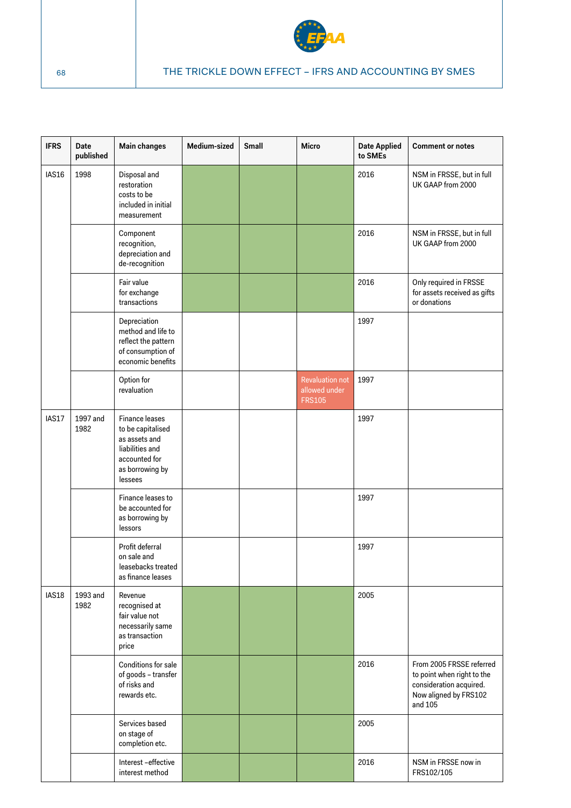

| <b>IFRS</b> | Date<br>published | Main changes                                                                                                           | Medium-sized | Small | Micro                                                    | <b>Date Applied</b><br>to SMEs | <b>Comment or notes</b>                                                                                               |
|-------------|-------------------|------------------------------------------------------------------------------------------------------------------------|--------------|-------|----------------------------------------------------------|--------------------------------|-----------------------------------------------------------------------------------------------------------------------|
| IAS16       | 1998              | Disposal and<br>restoration<br>costs to be<br>included in initial<br>measurement                                       |              |       |                                                          | 2016                           | NSM in FRSSE, but in full<br>UK GAAP from 2000                                                                        |
|             |                   | Component<br>recognition,<br>depreciation and<br>de-recognition                                                        |              |       |                                                          | 2016                           | NSM in FRSSE, but in full<br>UK GAAP from 2000                                                                        |
|             |                   | Fair value<br>for exchange<br>transactions                                                                             |              |       |                                                          | 2016                           | Only required in FRSSE<br>for assets received as gifts<br>or donations                                                |
|             |                   | Depreciation<br>method and life to<br>reflect the pattern<br>of consumption of<br>economic benefits                    |              |       |                                                          | 1997                           |                                                                                                                       |
|             |                   | Option for<br>revaluation                                                                                              |              |       | <b>Revaluation not</b><br>allowed under<br><b>FRS105</b> | 1997                           |                                                                                                                       |
| IAS17       | 1997 and<br>1982  | Finance leases<br>to be capitalised<br>as assets and<br>liabilities and<br>accounted for<br>as borrowing by<br>lessees |              |       |                                                          | 1997                           |                                                                                                                       |
|             |                   | Finance leases to<br>be accounted for<br>as borrowing by<br>lessors                                                    |              |       |                                                          | 1997                           |                                                                                                                       |
|             |                   | Profit deferral<br>on sale and<br>leasebacks treated<br>as finance leases                                              |              |       |                                                          | 1997                           |                                                                                                                       |
| IAS18       | 1993 and<br>1982  | Revenue<br>recognised at<br>fair value not<br>necessarily same<br>as transaction<br>price                              |              |       |                                                          | 2005                           |                                                                                                                       |
|             |                   | Conditions for sale<br>of goods - transfer<br>of risks and<br>rewards etc.                                             |              |       |                                                          | 2016                           | From 2005 FRSSE referred<br>to point when right to the<br>consideration acquired.<br>Now aligned by FRS102<br>and 105 |
|             |                   | Services based<br>on stage of<br>completion etc.                                                                       |              |       |                                                          | 2005                           |                                                                                                                       |
|             |                   | Interest-effective<br>interest method                                                                                  |              |       |                                                          | 2016                           | NSM in FRSSE now in<br>FRS102/105                                                                                     |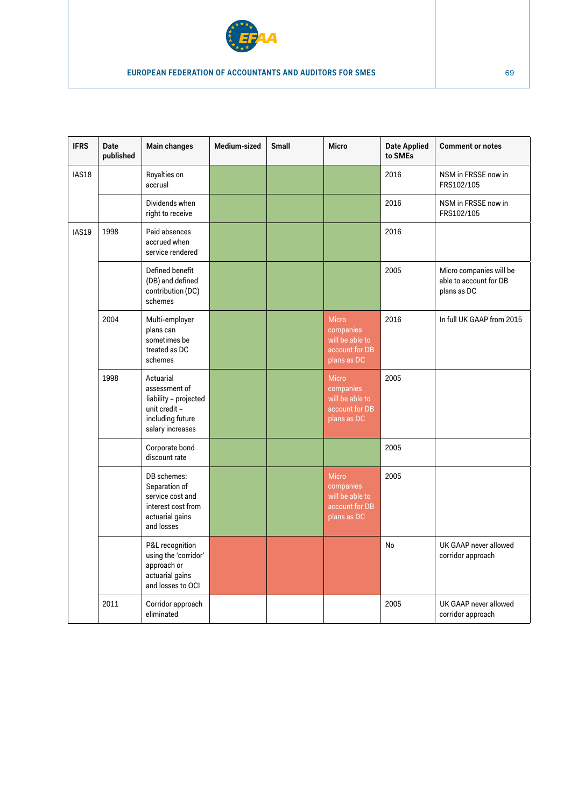

| <b>IFRS</b> | Date<br>published | Main changes                                                                                                 | Medium-sized | <b>Small</b> | <b>Micro</b>                                                                  | <b>Date Applied</b><br>to SMEs | <b>Comment or notes</b>                                          |
|-------------|-------------------|--------------------------------------------------------------------------------------------------------------|--------------|--------------|-------------------------------------------------------------------------------|--------------------------------|------------------------------------------------------------------|
| IAS18       |                   | Royalties on<br>accrual                                                                                      |              |              |                                                                               | 2016                           | NSM in FRSSE now in<br>FRS102/105                                |
|             |                   | Dividends when<br>right to receive                                                                           |              |              |                                                                               | 2016                           | NSM in FRSSE now in<br>FRS102/105                                |
| IAS19       | 1998              | Paid absences<br>accrued when<br>service rendered                                                            |              |              |                                                                               | 2016                           |                                                                  |
|             |                   | Defined benefit<br>(DB) and defined<br>contribution (DC)<br>schemes                                          |              |              |                                                                               | 2005                           | Micro companies will be<br>able to account for DB<br>plans as DC |
|             | 2004              | Multi-employer<br>plans can<br>sometimes be<br>treated as DC<br>schemes                                      |              |              | Micro<br>companies<br>will be able to<br>account for DB<br>plans as DC        | 2016                           | In full UK GAAP from 2015                                        |
|             | 1998              | Actuarial<br>assessment of<br>liability - projected<br>unit credit -<br>including future<br>salary increases |              |              | <b>Micro</b><br>companies<br>will be able to<br>account for DB<br>plans as DC | 2005                           |                                                                  |
|             |                   | Corporate bond<br>discount rate                                                                              |              |              |                                                                               | 2005                           |                                                                  |
|             |                   | DB schemes:<br>Separation of<br>service cost and<br>interest cost from<br>actuarial gains<br>and losses      |              |              | Micro<br>companies<br>will be able to<br>account for DB<br>plans as DC        | 2005                           |                                                                  |
|             |                   | P&L recognition<br>using the 'corridor'<br>approach or<br>actuarial gains<br>and losses to OCI               |              |              |                                                                               | No                             | UK GAAP never allowed<br>corridor approach                       |
|             | 2011              | Corridor approach<br>eliminated                                                                              |              |              |                                                                               | 2005                           | UK GAAP never allowed<br>corridor approach                       |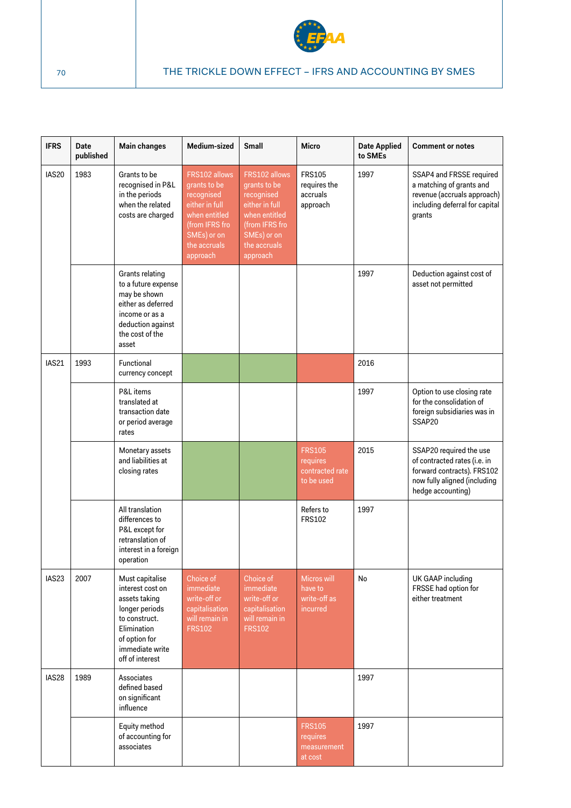

| <b>IFRS</b> | Date<br>published | <b>Main changes</b>                                                                                                                                           | Medium-sized                                                                                                                                | <b>Small</b>                                                                                                                                | Micro                                                      | <b>Date Applied</b><br>to SMEs | <b>Comment or notes</b>                                                                                                                    |
|-------------|-------------------|---------------------------------------------------------------------------------------------------------------------------------------------------------------|---------------------------------------------------------------------------------------------------------------------------------------------|---------------------------------------------------------------------------------------------------------------------------------------------|------------------------------------------------------------|--------------------------------|--------------------------------------------------------------------------------------------------------------------------------------------|
| IAS20       | 1983              | Grants to be<br>recognised in P&L<br>in the periods<br>when the related<br>costs are charged                                                                  | FRS102 allows<br>grants to be<br>recognised<br>either in full<br>when entitled<br>(from IFRS fro<br>SMEs) or on<br>the accruals<br>approach | FRS102 allows<br>grants to be<br>recognised<br>either in full<br>when entitled<br>(from IFRS fro<br>SMEs) or on<br>the accruals<br>approach | <b>FRS105</b><br>requires the<br>accruals<br>approach      | 1997                           | SSAP4 and FRSSE required<br>a matching of grants and<br>revenue (accruals approach)<br>including deferral for capital<br>grants            |
|             |                   | Grants relating<br>to a future expense<br>may be shown<br>either as deferred<br>income or as a<br>deduction against<br>the cost of the<br>asset               |                                                                                                                                             |                                                                                                                                             |                                                            | 1997                           | Deduction against cost of<br>asset not permitted                                                                                           |
| IAS21       | 1993              | Functional<br>currency concept                                                                                                                                |                                                                                                                                             |                                                                                                                                             |                                                            | 2016                           |                                                                                                                                            |
|             |                   | P&L items<br>translated at<br>transaction date<br>or period average<br>rates                                                                                  |                                                                                                                                             |                                                                                                                                             |                                                            | 1997                           | Option to use closing rate<br>for the consolidation of<br>foreign subsidiaries was in<br>SSAP20                                            |
|             |                   | Monetary assets<br>and liabilities at<br>closing rates                                                                                                        |                                                                                                                                             |                                                                                                                                             | <b>FRS105</b><br>requires<br>contracted rate<br>to be used | 2015                           | SSAP20 required the use<br>of contracted rates (i.e. in<br>forward contracts). FRS102<br>now fully aligned (including<br>hedge accounting) |
|             |                   | All translation<br>differences to<br>P&L except for<br>retranslation of<br>interest in a foreign<br>operation                                                 |                                                                                                                                             |                                                                                                                                             | Refers to<br><b>FRS102</b>                                 | 1997                           |                                                                                                                                            |
| IAS23       | 2007              | Must capitalise<br>interest cost on<br>assets taking<br>longer periods<br>to construct.<br>Elimination<br>of option for<br>immediate write<br>off of interest | Choice of<br>immediate<br>write-off or<br>capitalisation<br>will remain in<br><b>FRS102</b>                                                 | Choice of<br>immediate<br>write-off or<br>capitalisation<br>will remain in<br><b>FRS102</b>                                                 | Micros will<br>have to<br>write-off as<br>incurred         | No                             | UK GAAP including<br>FRSSE had option for<br>either treatment                                                                              |
| IAS28       | 1989              | Associates<br>defined based<br>on significant<br>influence                                                                                                    |                                                                                                                                             |                                                                                                                                             |                                                            | 1997                           |                                                                                                                                            |
|             |                   | Equity method<br>of accounting for<br>associates                                                                                                              |                                                                                                                                             |                                                                                                                                             | <b>FRS105</b><br>requires<br>measurement<br>at cost        | 1997                           |                                                                                                                                            |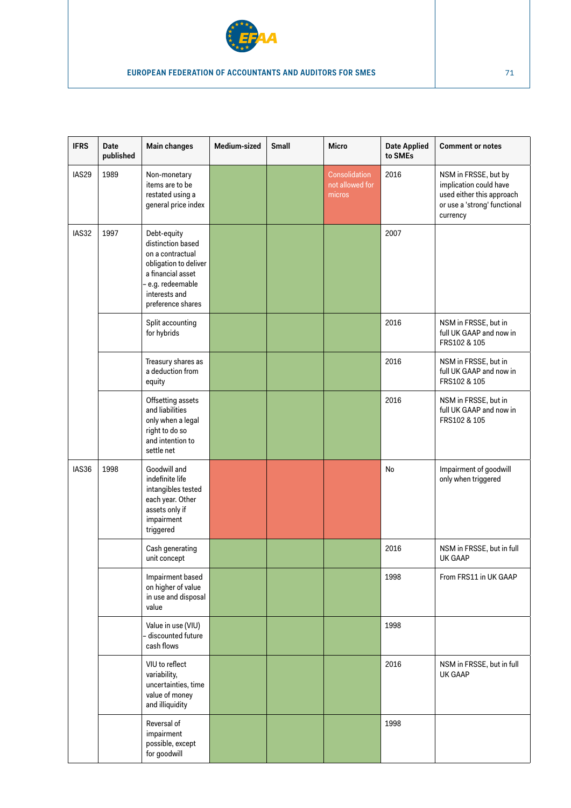

| <b>IFRS</b> | Date<br>published | <b>Main changes</b>                                                                                                                                         | Medium-sized | <b>Small</b> | <b>Micro</b>                               | <b>Date Applied</b><br>to SMEs | <b>Comment or notes</b>                                                                                                 |
|-------------|-------------------|-------------------------------------------------------------------------------------------------------------------------------------------------------------|--------------|--------------|--------------------------------------------|--------------------------------|-------------------------------------------------------------------------------------------------------------------------|
| IAS29       | 1989              | Non-monetary<br>items are to be<br>restated using a<br>general price index                                                                                  |              |              | Consolidation<br>not allowed for<br>micros | 2016                           | NSM in FRSSE, but by<br>implication could have<br>used either this approach<br>or use a 'strong' functional<br>currency |
| IAS32       | 1997              | Debt-equity<br>distinction based<br>on a contractual<br>obligation to deliver<br>a financial asset<br>e.g. redeemable<br>interests and<br>preference shares |              |              |                                            | 2007                           |                                                                                                                         |
|             |                   | Split accounting<br>for hybrids                                                                                                                             |              |              |                                            | 2016                           | NSM in FRSSE, but in<br>full UK GAAP and now in<br>FRS102 & 105                                                         |
|             |                   | Treasury shares as<br>a deduction from<br>equity                                                                                                            |              |              |                                            | 2016                           | NSM in FRSSE, but in<br>full UK GAAP and now in<br>FRS102 & 105                                                         |
|             |                   | Offsetting assets<br>and liabilities<br>only when a legal<br>right to do so<br>and intention to<br>settle net                                               |              |              |                                            | 2016                           | NSM in FRSSE, but in<br>full UK GAAP and now in<br>FRS102 & 105                                                         |
| IAS36       | 1998              | Goodwill and<br>indefinite life<br>intangibles tested<br>each year. Other<br>assets only if<br>impairment<br>triggered                                      |              |              |                                            | No                             | Impairment of goodwill<br>only when triggered                                                                           |
|             |                   | Cash generating<br>unit concept                                                                                                                             |              |              |                                            | 2016                           | NSM in FRSSE, but in full<br><b>UK GAAP</b>                                                                             |
|             |                   | Impairment based<br>on higher of value<br>in use and disposal<br>value                                                                                      |              |              |                                            | 1998                           | From FRS11 in UK GAAP                                                                                                   |
|             |                   | Value in use (VIU)<br>discounted future<br>cash flows                                                                                                       |              |              |                                            | 1998                           |                                                                                                                         |
|             |                   | VIU to reflect<br>variability,<br>uncertainties, time<br>value of money<br>and illiquidity                                                                  |              |              |                                            | 2016                           | NSM in FRSSE, but in full<br><b>UK GAAP</b>                                                                             |
|             |                   | Reversal of<br>impairment<br>possible, except<br>for goodwill                                                                                               |              |              |                                            | 1998                           |                                                                                                                         |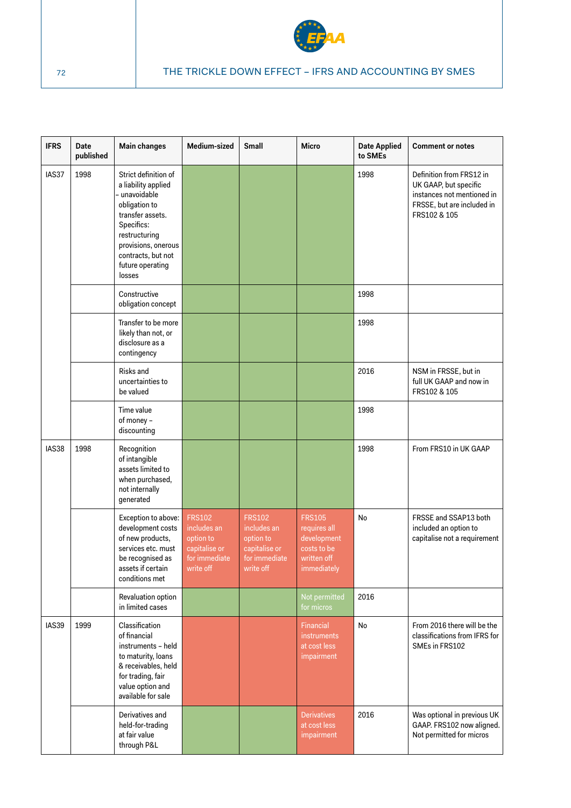

| <b>IFRS</b>  | <b>Date</b><br>published | <b>Main changes</b>                                                                                                                                                                                       | Medium-sized                                                                             | Small                                                                                    | <b>Micro</b>                                                                              | <b>Date Applied</b><br>to SMEs | <b>Comment or notes</b>                                                                                                       |
|--------------|--------------------------|-----------------------------------------------------------------------------------------------------------------------------------------------------------------------------------------------------------|------------------------------------------------------------------------------------------|------------------------------------------------------------------------------------------|-------------------------------------------------------------------------------------------|--------------------------------|-------------------------------------------------------------------------------------------------------------------------------|
| IAS37        | 1998                     | Strict definition of<br>a liability applied<br>unavoidable<br>obligation to<br>transfer assets.<br>Specifics:<br>restructuring<br>provisions, onerous<br>contracts, but not<br>future operating<br>losses |                                                                                          |                                                                                          |                                                                                           | 1998                           | Definition from FRS12 in<br>UK GAAP, but specific<br>instances not mentioned in<br>FRSSE, but are included in<br>FRS102 & 105 |
|              |                          | Constructive<br>obligation concept                                                                                                                                                                        |                                                                                          |                                                                                          |                                                                                           | 1998                           |                                                                                                                               |
|              |                          | Transfer to be more<br>likely than not, or<br>disclosure as a<br>contingency                                                                                                                              |                                                                                          |                                                                                          |                                                                                           | 1998                           |                                                                                                                               |
|              |                          | Risks and<br>uncertainties to<br>be valued                                                                                                                                                                |                                                                                          |                                                                                          |                                                                                           | 2016                           | NSM in FRSSE, but in<br>full UK GAAP and now in<br>FRS102 & 105                                                               |
|              |                          | Time value<br>of money -<br>discounting                                                                                                                                                                   |                                                                                          |                                                                                          |                                                                                           | 1998                           |                                                                                                                               |
| <b>IAS38</b> | 1998                     | Recognition<br>of intangible<br>assets limited to<br>when purchased,<br>not internally<br>generated                                                                                                       |                                                                                          |                                                                                          |                                                                                           | 1998                           | From FRS10 in UK GAAP                                                                                                         |
|              |                          | Exception to above:<br>development costs<br>of new products,<br>services etc. must<br>be recognised as<br>assets if certain<br>conditions met                                                             | <b>FRS102</b><br>includes an<br>option to<br>capitalise or<br>for immediate<br>write off | <b>FRS102</b><br>includes an<br>option to<br>capitalise or<br>for immediate<br>write off | <b>FRS105</b><br>requires all<br>development<br>costs to be<br>written off<br>immediately | No                             | FRSSE and SSAP13 both<br>included an option to<br>capitalise not a requirement                                                |
|              |                          | Revaluation option<br>in limited cases                                                                                                                                                                    |                                                                                          |                                                                                          | Not permitted<br>for micros                                                               | 2016                           |                                                                                                                               |
| IAS39        | 1999                     | Classification<br>of financial<br>instruments - held<br>to maturity, loans<br>& receivables, held<br>for trading, fair<br>value option and<br>available for sale                                          |                                                                                          |                                                                                          | Financial<br>instruments<br>at cost less<br>impairment                                    | No                             | From 2016 there will be the<br>classifications from IFRS for<br>SMEs in FRS102                                                |
|              |                          | Derivatives and<br>held-for-trading<br>at fair value<br>through P&L                                                                                                                                       |                                                                                          |                                                                                          | <b>Derivatives</b><br>at cost less<br>impairment                                          | 2016                           | Was optional in previous UK<br>GAAP. FRS102 now aligned.<br>Not permitted for micros                                          |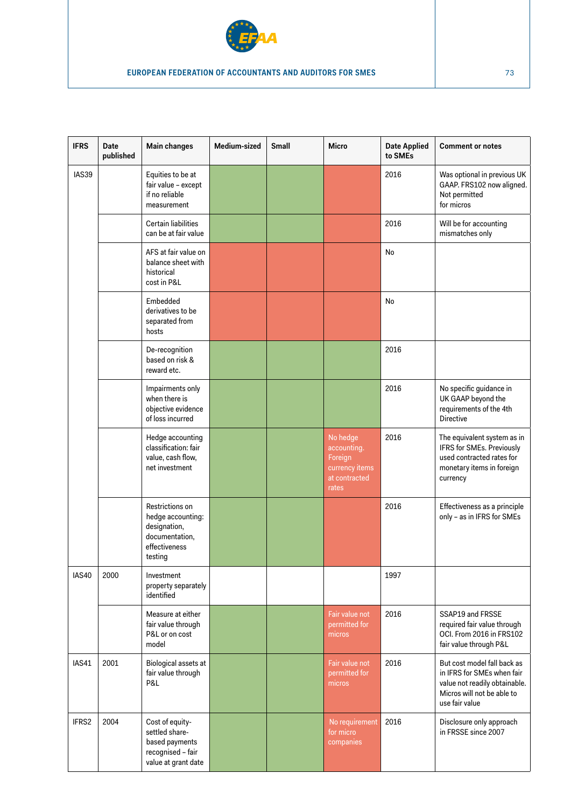

## **EUROPEAN FEDERATION OF ACCOUNTANTS AND AUDITORS FOR SMES 73**

| <b>IFRS</b> | Date<br>published | Main changes                                                                                       | Medium-sized | <b>Small</b> | <b>Micro</b>                                                                   | <b>Date Applied</b><br>to SMEs | <b>Comment or notes</b>                                                                                                                    |
|-------------|-------------------|----------------------------------------------------------------------------------------------------|--------------|--------------|--------------------------------------------------------------------------------|--------------------------------|--------------------------------------------------------------------------------------------------------------------------------------------|
| IAS39       |                   | Equities to be at<br>fair value - except<br>if no reliable<br>measurement                          |              |              |                                                                                | 2016                           | Was optional in previous UK<br>GAAP. FRS102 now aligned.<br>Not permitted<br>for micros                                                    |
|             |                   | <b>Certain liabilities</b><br>can be at fair value                                                 |              |              |                                                                                | 2016                           | Will be for accounting<br>mismatches only                                                                                                  |
|             |                   | AFS at fair value on<br>balance sheet with<br>historical<br>cost in P&L                            |              |              |                                                                                | No                             |                                                                                                                                            |
|             |                   | Embedded<br>derivatives to be<br>separated from<br>hosts                                           |              |              |                                                                                | No                             |                                                                                                                                            |
|             |                   | De-recognition<br>based on risk &<br>reward etc.                                                   |              |              |                                                                                | 2016                           |                                                                                                                                            |
|             |                   | Impairments only<br>when there is<br>objective evidence<br>of loss incurred                        |              |              |                                                                                | 2016                           | No specific guidance in<br>UK GAAP beyond the<br>requirements of the 4th<br><b>Directive</b>                                               |
|             |                   | Hedge accounting<br>classification: fair<br>value, cash flow,<br>net investment                    |              |              | No hedge<br>accounting.<br>Foreign<br>currency items<br>at contracted<br>rates | 2016                           | The equivalent system as in<br>IFRS for SMEs. Previously<br>used contracted rates for<br>monetary items in foreign<br>currency             |
|             |                   | Restrictions on<br>hedge accounting:<br>designation,<br>documentation,<br>effectiveness<br>testing |              |              |                                                                                | 2016                           | Effectiveness as a principle<br>only - as in IFRS for SMEs                                                                                 |
| IAS40       | 2000              | Investment<br>property separately<br>identified                                                    |              |              |                                                                                | 1997                           |                                                                                                                                            |
|             |                   | Measure at either<br>fair value through<br>P&L or on cost<br>model                                 |              |              | Fair value not<br>permitted for<br>micros                                      | 2016                           | SSAP19 and FRSSE<br>required fair value through<br>OCI. From 2016 in FRS102<br>fair value through P&L                                      |
| IAS41       | 2001              | Biological assets at<br>fair value through<br>P&L                                                  |              |              | Fair value not<br>permitted for<br>micros                                      | 2016                           | But cost model fall back as<br>in IFRS for SMEs when fair<br>value not readily obtainable.<br>Micros will not be able to<br>use fair value |
| IFRS2       | 2004              | Cost of equity-<br>settled share-<br>based payments<br>recognised - fair<br>value at grant date    |              |              | No requirement<br>for micro<br>companies                                       | 2016                           | Disclosure only approach<br>in FRSSE since 2007                                                                                            |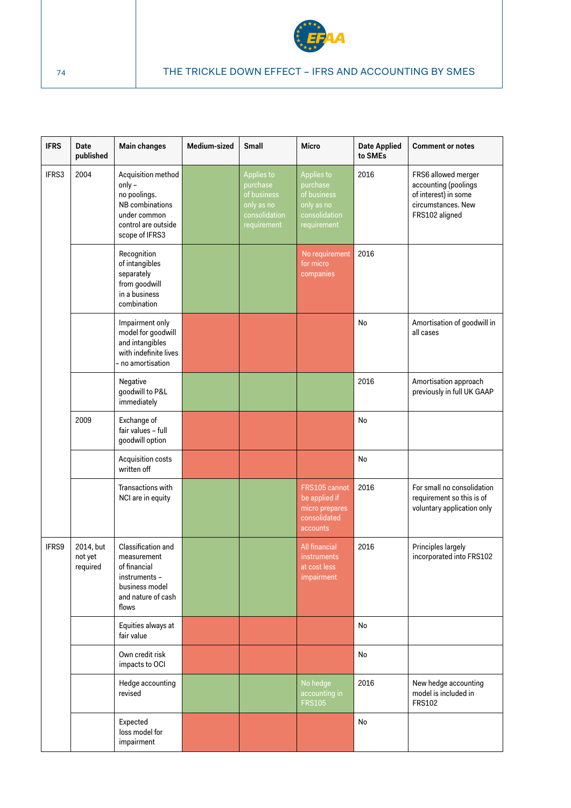

## 74 THE TRICKLE DOWN EFFECT – IFRS AND ACCOUNTING BY SMES

| <b>IFRS</b> | Date<br>published                | Main changes                                                                                                            | Medium-sized | <b>Small</b>                                                                               | <b>Micro</b>                                                                               | <b>Date Applied</b><br>to SMEs | <b>Comment or notes</b>                                                                                     |
|-------------|----------------------------------|-------------------------------------------------------------------------------------------------------------------------|--------------|--------------------------------------------------------------------------------------------|--------------------------------------------------------------------------------------------|--------------------------------|-------------------------------------------------------------------------------------------------------------|
| IFRS3       | 2004                             | Acquisition method<br>only-<br>no poolings.<br>NB combinations<br>under common<br>control are outside<br>scope of IFRS3 |              | <b>Applies to</b><br>purchase<br>of business<br>only as no<br>consolidation<br>requirement | <b>Applies to</b><br>purchase<br>of business<br>only as no<br>consolidation<br>requirement | 2016                           | FRS6 allowed merger<br>accounting (poolings<br>of interest) in some<br>circumstances. New<br>FRS102 aligned |
|             |                                  | Recognition<br>of intangibles<br>separately<br>from goodwill<br>in a business<br>combination                            |              |                                                                                            | No requirement<br>for micro<br>companies                                                   | 2016                           |                                                                                                             |
|             |                                  | Impairment only<br>model for goodwill<br>and intangibles<br>with indefinite lives<br>$\cdot$ no amortisation            |              |                                                                                            |                                                                                            | No                             | Amortisation of goodwill in<br>all cases                                                                    |
|             |                                  | Negative<br>goodwill to P&L<br>immediately                                                                              |              |                                                                                            |                                                                                            | 2016                           | Amortisation approach<br>previously in full UK GAAP                                                         |
|             | 2009                             | Exchange of<br>fair values - full<br>goodwill option                                                                    |              |                                                                                            |                                                                                            | No                             |                                                                                                             |
|             |                                  | Acquisition costs<br>written off                                                                                        |              |                                                                                            |                                                                                            | No                             |                                                                                                             |
|             |                                  | Transactions with<br>NCI are in equity                                                                                  |              |                                                                                            | FRS105 cannot<br>be applied if<br>micro prepares<br>consolidated<br>accounts               | 2016                           | For small no consolidation<br>requirement so this is of<br>voluntary application only                       |
| IFRS9       | 2014, but<br>not yet<br>required | Classification and<br>measurement<br>of financial<br>instruments –<br>business model<br>and nature of cash<br>flows     |              |                                                                                            | All financial<br>instruments<br>at cost less<br>impairment                                 | 2016                           | Principles largely<br>incorporated into FRS102                                                              |
|             |                                  | Equities always at<br>fair value                                                                                        |              |                                                                                            |                                                                                            | No                             |                                                                                                             |
|             |                                  | Own credit risk<br>impacts to OCI                                                                                       |              |                                                                                            |                                                                                            | No                             |                                                                                                             |
|             |                                  | Hedge accounting<br>revised                                                                                             |              |                                                                                            | No hedge<br>accounting in<br><b>FRS105</b>                                                 | 2016                           | New hedge accounting<br>model is included in<br><b>FRS102</b>                                               |
|             |                                  | Expected<br>loss model for<br>impairment                                                                                |              |                                                                                            |                                                                                            | No                             |                                                                                                             |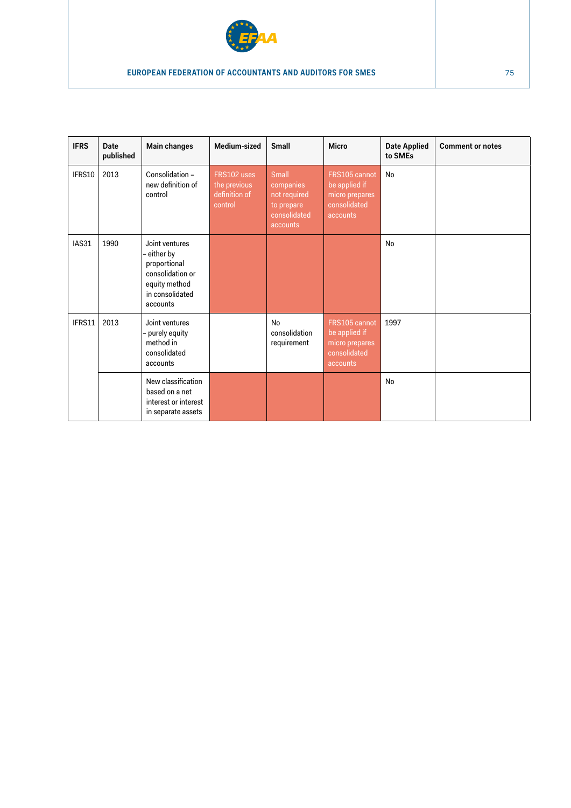

## **EUROPEAN FEDERATION OF ACCOUNTANTS AND AUDITORS FOR SMES 75**

| <b>IFRS</b> | Date<br>published | Main changes                                                                                                    | Medium-sized                                            | <b>Small</b>                                                                 | <b>Micro</b>                                                                 | <b>Date Applied</b><br>to SMEs | <b>Comment or notes</b> |
|-------------|-------------------|-----------------------------------------------------------------------------------------------------------------|---------------------------------------------------------|------------------------------------------------------------------------------|------------------------------------------------------------------------------|--------------------------------|-------------------------|
| IFRS10      | 2013              | Consolidation -<br>new definition of<br>control                                                                 | FRS102 uses<br>the previous<br>definition of<br>control | Small<br>companies<br>not required<br>to prepare<br>consolidated<br>accounts | FRS105 cannot<br>be applied if<br>micro prepares<br>consolidated<br>accounts | No                             |                         |
| IAS31       | 1990              | Joint ventures<br>either by<br>proportional<br>consolidation or<br>equity method<br>in consolidated<br>accounts |                                                         |                                                                              |                                                                              | No                             |                         |
| IFRS11      | 2013              | Joint ventures<br>- purely equity<br>method in<br>consolidated<br>accounts                                      |                                                         | <b>No</b><br>consolidation<br>requirement                                    | FRS105 cannot<br>be applied if<br>micro prepares<br>consolidated<br>accounts | 1997                           |                         |
|             |                   | New classification<br>based on a net<br>interest or interest<br>in separate assets                              |                                                         |                                                                              |                                                                              | No                             |                         |